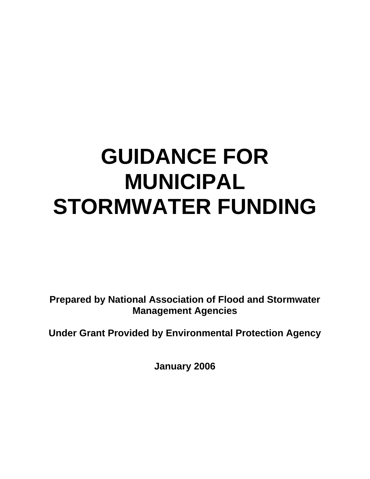# **GUIDANCE FOR MUNICIPAL STORMWATER FUNDING**

**Prepared by National Association of Flood and Stormwater Management Agencies** 

**Under Grant Provided by Environmental Protection Agency** 

**January 2006**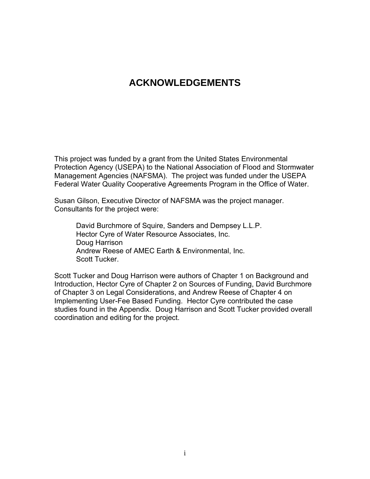# **ACKNOWLEDGEMENTS**

This project was funded by a grant from the United States Environmental Protection Agency (USEPA) to the National Association of Flood and Stormwater Management Agencies (NAFSMA). The project was funded under the USEPA Federal Water Quality Cooperative Agreements Program in the Office of Water.

Susan Gilson, Executive Director of NAFSMA was the project manager. Consultants for the project were:

David Burchmore of Squire, Sanders and Dempsey L.L.P. Hector Cyre of Water Resource Associates, Inc. Doug Harrison Andrew Reese of AMEC Earth & Environmental, Inc. Scott Tucker.

Scott Tucker and Doug Harrison were authors of Chapter 1 on Background and Introduction, Hector Cyre of Chapter 2 on Sources of Funding, David Burchmore of Chapter 3 on Legal Considerations, and Andrew Reese of Chapter 4 on Implementing User-Fee Based Funding. Hector Cyre contributed the case studies found in the Appendix. Doug Harrison and Scott Tucker provided overall coordination and editing for the project.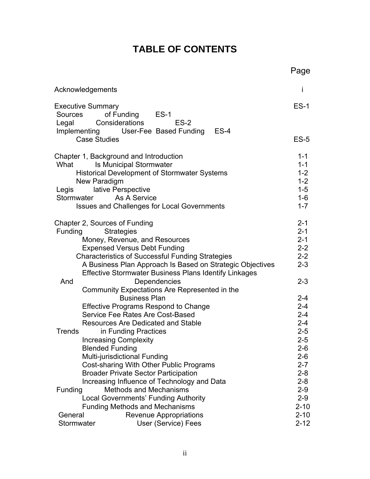# **TABLE OF CONTENTS**

|                                                                                                                                                                                                                                                                                                                        | Page                                                                      |
|------------------------------------------------------------------------------------------------------------------------------------------------------------------------------------------------------------------------------------------------------------------------------------------------------------------------|---------------------------------------------------------------------------|
| Acknowledgements                                                                                                                                                                                                                                                                                                       | İ                                                                         |
| <b>Executive Summary</b><br>of Funding ES-1<br>Sources<br>Considerations<br>$ES-2$<br>Legal<br>Implementing User-Fee Based Funding<br>$ES-4$                                                                                                                                                                           | $ES-1$                                                                    |
| <b>Case Studies</b>                                                                                                                                                                                                                                                                                                    | $ES-5$                                                                    |
| Chapter 1, Background and Introduction<br>What<br><b>Is Municipal Stormwater</b><br><b>Historical Development of Stormwater Systems</b><br>New Paradigm<br>lative Perspective<br>Legis<br>As A Service<br>Stormwater<br><b>Issues and Challenges for Local Governments</b>                                             | $1 - 1$<br>$1 - 1$<br>$1 - 2$<br>$1 - 2$<br>$1 - 5$<br>$1-6$<br>$1 - 7$   |
| Chapter 2, Sources of Funding<br>Funding<br><b>Strategies</b><br>Money, Revenue, and Resources<br><b>Expensed Versus Debt Funding</b><br><b>Characteristics of Successful Funding Strategies</b><br>A Business Plan Approach Is Based on Strategic Objectives<br>Effective Stormwater Business Plans Identify Linkages | $2 - 1$<br>$2 - 1$<br>$2 - 1$<br>$2 - 2$<br>$2 - 2$<br>$2 - 3$            |
| And<br>Dependencies<br>Community Expectations Are Represented in the<br><b>Business Plan</b><br><b>Effective Programs Respond to Change</b><br>Service Fee Rates Are Cost-Based<br><b>Resources Are Dedicated and Stable</b>                                                                                           | $2 - 3$<br>$2 - 4$<br>$2 - 4$<br>$2 - 4$<br>$2 - 4$                       |
| in Funding Practices<br>Trends<br><b>Increasing Complexity</b><br><b>Blended Funding</b><br>Multi-jurisdictional Funding<br>Cost-sharing With Other Public Programs<br><b>Broader Private Sector Participation</b><br>Increasing Influence of Technology and Data                                                      | $2 - 5$<br>$2 - 5$<br>$2 - 6$<br>$2 - 6$<br>$2 - 7$<br>$2 - 8$<br>$2 - 8$ |
| <b>Methods and Mechanisms</b><br>Funding<br><b>Local Governments' Funding Authority</b><br><b>Funding Methods and Mechanisms</b><br>General<br><b>Revenue Appropriations</b><br>Stormwater<br>User (Service) Fees                                                                                                      | $2 - 9$<br>$2-9$<br>$2 - 10$<br>$2 - 10$<br>$2 - 12$                      |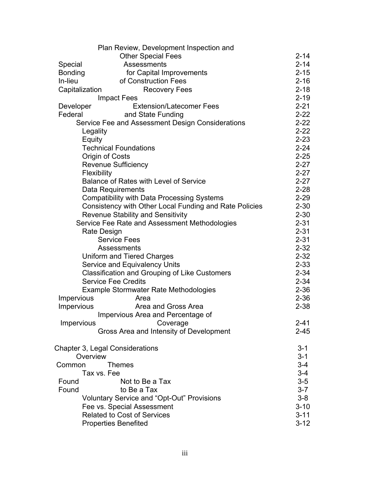|                                        | Plan Review, Development Inspection and                |          |
|----------------------------------------|--------------------------------------------------------|----------|
|                                        | <b>Other Special Fees</b>                              | $2 - 14$ |
| Special                                | Assessments                                            | $2 - 14$ |
| Bonding                                | for Capital Improvements                               | $2 - 15$ |
| In-lieu                                | of Construction Fees                                   | $2 - 16$ |
| Capitalization                         | <b>Recovery Fees</b>                                   | $2 - 18$ |
|                                        | <b>Impact Fees</b>                                     | $2 - 19$ |
| Developer                              | <b>Extension/Latecomer Fees</b>                        | $2 - 21$ |
| Federal                                | and State Funding                                      | $2 - 22$ |
|                                        | Service Fee and Assessment Design Considerations       | $2 - 22$ |
| Legality                               |                                                        | $2 - 22$ |
| Equity                                 |                                                        | $2 - 23$ |
|                                        | <b>Technical Foundations</b>                           | $2 - 24$ |
| Origin of Costs                        |                                                        | $2 - 25$ |
|                                        | <b>Revenue Sufficiency</b>                             | $2 - 27$ |
| Flexibility                            |                                                        | $2 - 27$ |
|                                        | Balance of Rates with Level of Service                 | $2 - 27$ |
|                                        | Data Requirements                                      | $2 - 28$ |
|                                        | <b>Compatibility with Data Processing Systems</b>      | $2 - 29$ |
|                                        | Consistency with Other Local Funding and Rate Policies | $2 - 30$ |
|                                        | <b>Revenue Stability and Sensitivity</b>               | $2 - 30$ |
|                                        | Service Fee Rate and Assessment Methodologies          | $2 - 31$ |
| Rate Design                            |                                                        | $2 - 31$ |
|                                        | <b>Service Fees</b>                                    | $2 - 31$ |
|                                        | Assessments                                            | $2 - 32$ |
|                                        | Uniform and Tiered Charges                             | $2 - 32$ |
|                                        | Service and Equivalency Units                          | $2 - 33$ |
|                                        | Classification and Grouping of Like Customers          | $2 - 34$ |
|                                        | <b>Service Fee Credits</b>                             | $2 - 34$ |
|                                        | Example Stormwater Rate Methodologies                  | $2 - 36$ |
| Impervious                             | Area                                                   | $2 - 36$ |
| Impervious                             | Area and Gross Area                                    | $2 - 38$ |
|                                        | Impervious Area and Percentage of                      |          |
| Impervious                             | Coverage                                               | $2 - 41$ |
|                                        | Gross Area and Intensity of Development                | $2 - 45$ |
| <b>Chapter 3, Legal Considerations</b> |                                                        | $3 - 1$  |
| Overview                               |                                                        | $3 - 1$  |
| Common                                 | <b>Themes</b>                                          | $3 - 4$  |
| Tax vs. Fee                            |                                                        | $3 - 4$  |
| Found                                  | Not to Be a Tax                                        | $3-5$    |
| Found                                  | to Be a Tax                                            | $3 - 7$  |
|                                        | <b>Voluntary Service and "Opt-Out" Provisions</b>      | $3 - 8$  |
|                                        | Fee vs. Special Assessment                             | $3 - 10$ |
|                                        | <b>Related to Cost of Services</b>                     | $3 - 11$ |
|                                        | <b>Properties Benefited</b>                            | $3 - 12$ |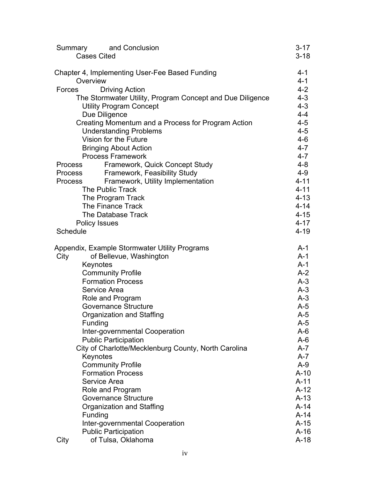| Summary        | and Conclusion<br><b>Cases Cited</b>                                               | $3 - 17$<br>$3 - 18$ |
|----------------|------------------------------------------------------------------------------------|----------------------|
|                |                                                                                    |                      |
|                | Chapter 4, Implementing User-Fee Based Funding                                     | $4 - 1$              |
| Overview       |                                                                                    | $4 - 1$              |
| Forces         | <b>Driving Action</b><br>The Stormwater Utility, Program Concept and Due Diligence | $4 - 2$<br>$4 - 3$   |
|                | <b>Utility Program Concept</b>                                                     | $4 - 3$              |
|                | Due Diligence                                                                      | $4 - 4$              |
|                | Creating Momentum and a Process for Program Action                                 | $4 - 5$              |
|                | <b>Understanding Problems</b>                                                      | $4 - 5$              |
|                | Vision for the Future                                                              | $4 - 6$              |
|                | <b>Bringing About Action</b>                                                       | $4 - 7$              |
|                | <b>Process Framework</b>                                                           | $4 - 7$              |
| <b>Process</b> | Framework, Quick Concept Study                                                     | $4 - 8$              |
| Process        | <b>Framework, Feasibility Study</b>                                                | $4 - 9$              |
| <b>Process</b> | Framework, Utility Implementation                                                  | $4 - 11$             |
|                | <b>The Public Track</b>                                                            | $4 - 11$             |
|                | The Program Track                                                                  | $4 - 13$             |
|                | The Finance Track                                                                  | $4 - 14$             |
|                | The Database Track                                                                 | $4 - 15$             |
|                | <b>Policy Issues</b>                                                               | $4 - 17$             |
| Schedule       |                                                                                    | $4 - 19$             |
|                | Appendix, Example Stormwater Utility Programs                                      | $A-1$                |
| City           | of Bellevue, Washington                                                            | $A-1$                |
|                | Keynotes                                                                           | $A-1$                |
|                | <b>Community Profile</b>                                                           | $A-2$                |
|                | <b>Formation Process</b>                                                           | $A-3$                |
|                | Service Area                                                                       | $A-3$                |
|                | Role and Program                                                                   | $A-3$                |
|                | <b>Governance Structure</b>                                                        | $A-5$                |
|                | Organization and Staffing                                                          | A-5                  |
|                | Funding                                                                            | $A-5$                |
|                | Inter-governmental Cooperation                                                     | $A-6$                |
|                | <b>Public Participation</b>                                                        | $A-6$                |
|                | City of Charlotte/Mecklenburg County, North Carolina                               | $A-7$                |
|                | Keynotes                                                                           | $A-7$                |
|                | <b>Community Profile</b><br><b>Formation Process</b>                               | $A-9$                |
|                | Service Area                                                                       | $A-10$<br>$A-11$     |
|                | Role and Program                                                                   | $A-12$               |
|                | <b>Governance Structure</b>                                                        | $A-13$               |
|                | Organization and Staffing                                                          | $A-14$               |
|                | Funding                                                                            | $A-14$               |
|                | Inter-governmental Cooperation                                                     | $A-15$               |
|                | <b>Public Participation</b>                                                        | $A-16$               |
| City           | of Tulsa, Oklahoma                                                                 | $A-18$               |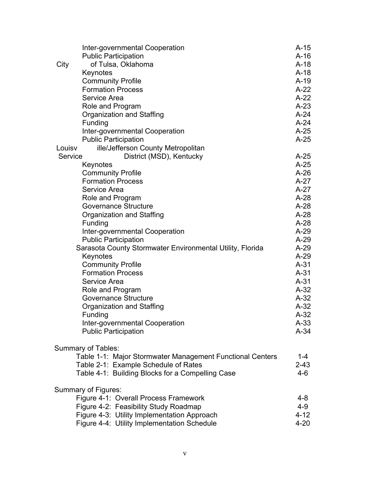|         | Inter-governmental Cooperation                            | $A-15$   |
|---------|-----------------------------------------------------------|----------|
|         | <b>Public Participation</b>                               | $A-16$   |
| City    | of Tulsa, Oklahoma                                        | $A-18$   |
|         | Keynotes                                                  | $A-18$   |
|         | <b>Community Profile</b>                                  | $A-19$   |
|         | <b>Formation Process</b>                                  | $A-22$   |
|         | Service Area                                              | $A-22$   |
|         | Role and Program                                          | $A-23$   |
|         | Organization and Staffing                                 | $A-24$   |
|         | Funding                                                   | $A-24$   |
|         | Inter-governmental Cooperation                            | $A-25$   |
|         | <b>Public Participation</b>                               | $A-25$   |
| Louisv  | ille/Jefferson County Metropolitan                        |          |
| Service | District (MSD), Kentucky                                  | $A-25$   |
|         | Keynotes                                                  | $A-25$   |
|         | <b>Community Profile</b>                                  | $A-26$   |
|         | <b>Formation Process</b>                                  | $A-27$   |
|         | Service Area                                              | $A-27$   |
|         | Role and Program                                          | $A-28$   |
|         | <b>Governance Structure</b>                               | $A-28$   |
|         | Organization and Staffing                                 | $A-28$   |
|         | Funding                                                   | $A-28$   |
|         | Inter-governmental Cooperation                            | $A-29$   |
|         | <b>Public Participation</b>                               | $A-29$   |
|         | Sarasota County Stormwater Environmental Utility, Florida | $A-29$   |
|         | Keynotes                                                  | $A-29$   |
|         | <b>Community Profile</b>                                  | $A-31$   |
|         | <b>Formation Process</b>                                  | $A-31$   |
|         | Service Area                                              | $A-31$   |
|         | Role and Program                                          | $A-32$   |
|         | <b>Governance Structure</b>                               | $A-32$   |
|         | Organization and Staffing                                 | $A-32$   |
|         | <b>Funding</b>                                            | $A-32$   |
|         | Inter-governmental Cooperation                            | $A-33$   |
|         | <b>Public Participation</b>                               | $A-34$   |
|         |                                                           |          |
|         | <b>Summary of Tables:</b>                                 |          |
|         | Table 1-1: Major Stormwater Management Functional Centers | $1 - 4$  |
|         | Table 2-1: Example Schedule of Rates                      | $2 - 43$ |
|         | Table 4-1: Building Blocks for a Compelling Case          | 4-6      |
|         |                                                           |          |
|         | Summary of Figures:                                       |          |
|         | Figure 4-1: Overall Process Framework                     | 4-8      |
|         | Figure 4-2: Feasibility Study Roadmap                     | $4 - 9$  |
|         | Figure 4-3: Utility Implementation Approach               | $4 - 12$ |
|         | Figure 4-4: Utility Implementation Schedule               | $4 - 20$ |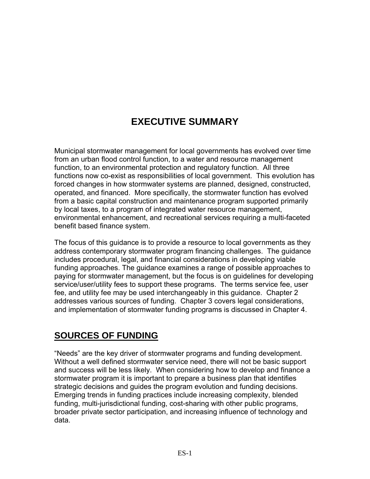# **EXECUTIVE SUMMARY**

Municipal stormwater management for local governments has evolved over time from an urban flood control function, to a water and resource management function, to an environmental protection and regulatory function. All three functions now co-exist as responsibilities of local government. This evolution has forced changes in how stormwater systems are planned, designed, constructed, operated, and financed. More specifically, the stormwater function has evolved from a basic capital construction and maintenance program supported primarily by local taxes, to a program of integrated water resource management, environmental enhancement, and recreational services requiring a multi-faceted benefit based finance system.

The focus of this guidance is to provide a resource to local governments as they address contemporary stormwater program financing challenges. The guidance includes procedural, legal, and financial considerations in developing viable funding approaches. The guidance examines a range of possible approaches to paying for stormwater management, but the focus is on guidelines for developing service/user/utility fees to support these programs. The terms service fee, user fee, and utility fee may be used interchangeably in this guidance. Chapter 2 addresses various sources of funding. Chapter 3 covers legal considerations, and implementation of stormwater funding programs is discussed in Chapter 4.

# **SOURCES OF FUNDING**

"Needs" are the key driver of stormwater programs and funding development. Without a well defined stormwater service need, there will not be basic support and success will be less likely. When considering how to develop and finance a stormwater program it is important to prepare a business plan that identifies strategic decisions and guides the program evolution and funding decisions. Emerging trends in funding practices include increasing complexity, blended funding, multi-jurisdictional funding, cost-sharing with other public programs, broader private sector participation, and increasing influence of technology and data.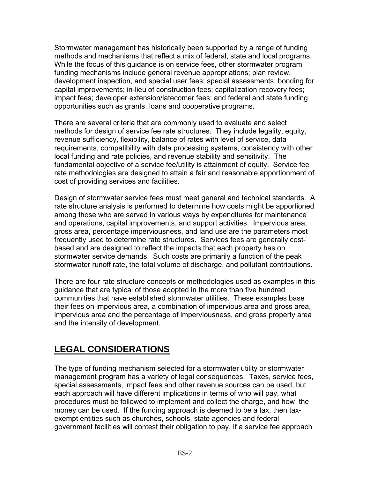Stormwater management has historically been supported by a range of funding methods and mechanisms that reflect a mix of federal, state and local programs. While the focus of this guidance is on service fees, other stormwater program funding mechanisms include general revenue appropriations; plan review, development inspection, and special user fees; special assessments; bonding for capital improvements; in-lieu of construction fees; capitalization recovery fees; impact fees; developer extension/latecomer fees; and federal and state funding opportunities such as grants, loans and cooperative programs.

There are several criteria that are commonly used to evaluate and select methods for design of service fee rate structures. They include legality, equity, revenue sufficiency, flexibility, balance of rates with level of service, data requirements, compatibility with data processing systems, consistency with other local funding and rate policies, and revenue stability and sensitivity. The fundamental objective of a service fee/utility is attainment of equity. Service fee rate methodologies are designed to attain a fair and reasonable apportionment of cost of providing services and facilities.

Design of stormwater service fees must meet general and technical standards. A rate structure analysis is performed to determine how costs might be apportioned among those who are served in various ways by expenditures for maintenance and operations, capital improvements, and support activities. Impervious area, gross area, percentage imperviousness, and land use are the parameters most frequently used to determine rate structures. Services fees are generally costbased and are designed to reflect the impacts that each property has on stormwater service demands. Such costs are primarily a function of the peak stormwater runoff rate, the total volume of discharge, and pollutant contributions.

There are four rate structure concepts or methodologies used as examples in this guidance that are typical of those adopted in the more than five hundred communities that have established stormwater utilities. These examples base their fees on impervious area, a combination of impervious area and gross area, impervious area and the percentage of imperviousness, and gross property area and the intensity of development.

# **LEGAL CONSIDERATIONS**

The type of funding mechanism selected for a stormwater utility or stormwater management program has a variety of legal consequences. Taxes, service fees, special assessments, impact fees and other revenue sources can be used, but each approach will have different implications in terms of who will pay, what procedures must be followed to implement and collect the charge, and how the money can be used. If the funding approach is deemed to be a tax, then taxexempt entities such as churches, schools, state agencies and federal government facilities will contest their obligation to pay. If a service fee approach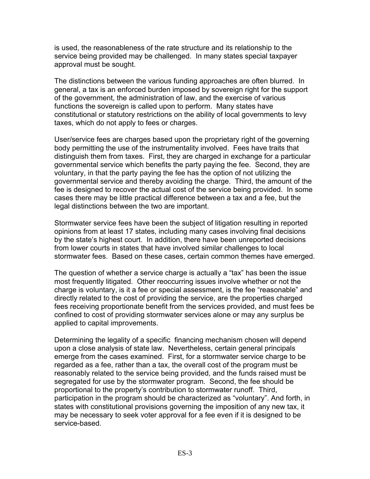is used, the reasonableness of the rate structure and its relationship to the service being provided may be challenged. In many states special taxpayer approval must be sought.

The distinctions between the various funding approaches are often blurred. In general, a tax is an enforced burden imposed by sovereign right for the support of the government, the administration of law, and the exercise of various functions the sovereign is called upon to perform. Many states have constitutional or statutory restrictions on the ability of local governments to levy taxes, which do not apply to fees or charges.

User/service fees are charges based upon the proprietary right of the governing body permitting the use of the instrumentality involved. Fees have traits that distinguish them from taxes. First, they are charged in exchange for a particular governmental service which benefits the party paying the fee. Second, they are voluntary, in that the party paying the fee has the option of not utilizing the governmental service and thereby avoiding the charge. Third, the amount of the fee is designed to recover the actual cost of the service being provided. In some cases there may be little practical difference between a tax and a fee, but the legal distinctions between the two are important.

Stormwater service fees have been the subject of litigation resulting in reported opinions from at least 17 states, including many cases involving final decisions by the state's highest court. In addition, there have been unreported decisions from lower courts in states that have involved similar challenges to local stormwater fees. Based on these cases, certain common themes have emerged.

The question of whether a service charge is actually a "tax" has been the issue most frequently litigated. Other reoccurring issues involve whether or not the charge is voluntary, is it a fee or special assessment, is the fee "reasonable" and directly related to the cost of providing the service, are the properties charged fees receiving proportionate benefit from the services provided, and must fees be confined to cost of providing stormwater services alone or may any surplus be applied to capital improvements.

Determining the legality of a specific financing mechanism chosen will depend upon a close analysis of state law. Nevertheless, certain general principals emerge from the cases examined. First, for a stormwater service charge to be regarded as a fee, rather than a tax, the overall cost of the program must be reasonably related to the service being provided, and the funds raised must be segregated for use by the stormwater program. Second, the fee should be proportional to the property's contribution to stormwater runoff. Third, participation in the program should be characterized as "voluntary". And forth, in states with constitutional provisions governing the imposition of any new tax, it may be necessary to seek voter approval for a fee even if it is designed to be service-based.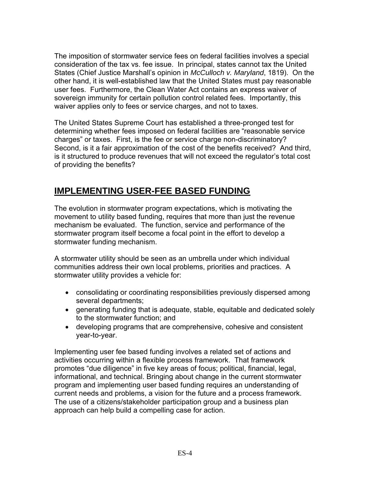The imposition of stormwater service fees on federal facilities involves a special consideration of the tax vs. fee issue. In principal, states cannot tax the United States (Chief Justice Marshall's opinion in *McCulloch v. Maryland*, 1819). On the other hand, it is well-established law that the United States must pay reasonable user fees. Furthermore, the Clean Water Act contains an express waiver of sovereign immunity for certain pollution control related fees. Importantly, this waiver applies only to fees or service charges, and not to taxes.

The United States Supreme Court has established a three-pronged test for determining whether fees imposed on federal facilities are "reasonable service charges" or taxes. First, is the fee or service charge non-discriminatory? Second, is it a fair approximation of the cost of the benefits received? And third, is it structured to produce revenues that will not exceed the regulator's total cost of providing the benefits?

# **IMPLEMENTING USER-FEE BASED FUNDING**

The evolution in stormwater program expectations, which is motivating the movement to utility based funding, requires that more than just the revenue mechanism be evaluated. The function, service and performance of the stormwater program itself become a focal point in the effort to develop a stormwater funding mechanism.

A stormwater utility should be seen as an umbrella under which individual communities address their own local problems, priorities and practices. A stormwater utility provides a vehicle for:

- consolidating or coordinating responsibilities previously dispersed among several departments;
- generating funding that is adequate, stable, equitable and dedicated solely to the stormwater function; and
- developing programs that are comprehensive, cohesive and consistent year-to-year.

Implementing user fee based funding involves a related set of actions and activities occurring within a flexible process framework. That framework promotes "due diligence" in five key areas of focus; political, financial, legal, informational, and technical. Bringing about change in the current stormwater program and implementing user based funding requires an understanding of current needs and problems, a vision for the future and a process framework. The use of a citizens/stakeholder participation group and a business plan approach can help build a compelling case for action.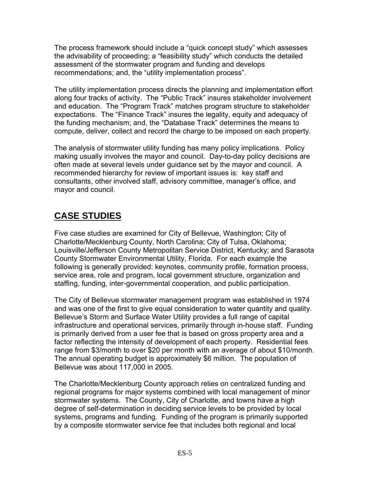The process framework should include a "quick concept study" which assesses the advisability of proceeding; a "feasibility study" which conducts the detailed assessment of the stormwater program and funding and develops recommendations; and, the "utility implementation process".

The utility implementation process directs the planning and implementation effort along four tracks of activity. The "Public Track" insures stakeholder involvement and education. The "Program Track" matches program structure to stakeholder expectations. The "Finance Track" insures the legality, equity and adequacy of the funding mechanism; and, the "Database Track" determines the means to compute, deliver, collect and record the charge to be imposed on each property.

The analysis of stormwater utility funding has many policy implications. Policy making usually involves the mayor and council. Day-to-day policy decisions are often made at several levels under guidance set by the mayor and council. A recommended hierarchy for review of important issues is: key staff and consultants, other involved staff, advisory committee, manager's office, and mayor and council.

# **CASE STUDIES**

Five case studies are examined for City of Bellevue, Washington; City of Charlotte/Mecklenburg County, North Carolina; City of Tulsa, Oklahoma; Louisville/Jefferson County Metropolitan Service District, Kentucky; and Sarasota County Stormwater Environmental Utility, Florida. For each example the following is generally provided: keynotes, community profile, formation process, service area, role and program, local government structure, organization and staffing, funding, inter-governmental cooperation, and public participation.

The City of Bellevue stormwater management program was established in 1974 and was one of the first to give equal consideration to water quantity and quality. Bellevue's Storm and Surface Water Utility provides a full range of capital infrastructure and operational services, primarily through in-house staff. Funding is primarily derived from a user fee that is based on gross property area and a factor reflecting the intensity of development of each property. Residential fees range from \$3/month to over \$20 per month with an average of about \$10/month. The annual operating budget is approximately \$6 million. The population of Bellevue was about 117,000 in 2005.

The Charlotte/Mecklenburg County approach relies on centralized funding and regional programs for major systems combined with local management of minor stormwater systems. The County, City of Charlotte, and towns have a high degree of self-determination in deciding service levels to be provided by local systems, programs and funding. Funding of the program is primarily supported by a composite stormwater service fee that includes both regional and local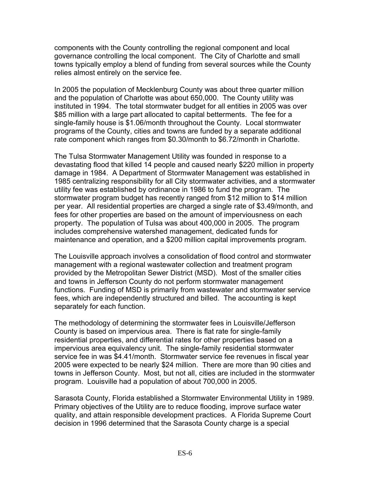components with the County controlling the regional component and local governance controlling the local component. The City of Charlotte and small towns typically employ a blend of funding from several sources while the County relies almost entirely on the service fee.

In 2005 the population of Mecklenburg County was about three quarter million and the population of Charlotte was about 650,000. The County utility was instituted in 1994. The total stormwater budget for all entities in 2005 was over \$85 million with a large part allocated to capital betterments. The fee for a single-family house is \$1.06/month throughout the County. Local stormwater programs of the County, cities and towns are funded by a separate additional rate component which ranges from \$0.30/month to \$6.72/month in Charlotte.

The Tulsa Stormwater Management Utility was founded in response to a devastating flood that killed 14 people and caused nearly \$220 million in property damage in 1984. A Department of Stormwater Management was established in 1985 centralizing responsibility for all City stormwater activities, and a stormwater utility fee was established by ordinance in 1986 to fund the program. The stormwater program budget has recently ranged from \$12 million to \$14 million per year. All residential properties are charged a single rate of \$3.49/month, and fees for other properties are based on the amount of imperviousness on each property. The population of Tulsa was about 400,000 in 2005. The program includes comprehensive watershed management, dedicated funds for maintenance and operation, and a \$200 million capital improvements program.

The Louisville approach involves a consolidation of flood control and stormwater management with a regional wastewater collection and treatment program provided by the Metropolitan Sewer District (MSD). Most of the smaller cities and towns in Jefferson County do not perform stormwater management functions. Funding of MSD is primarily from wastewater and stormwater service fees, which are independently structured and billed. The accounting is kept separately for each function.

The methodology of determining the stormwater fees in Louisville/Jefferson County is based on impervious area. There is flat rate for single-family residential properties, and differential rates for other properties based on a impervious area equivalency unit. The single-family residential stormwater service fee in was \$4.41/month. Stormwater service fee revenues in fiscal year 2005 were expected to be nearly \$24 million. There are more than 90 cities and towns in Jefferson County. Most, but not all, cities are included in the stormwater program. Louisville had a population of about 700,000 in 2005.

Sarasota County, Florida established a Stormwater Environmental Utility in 1989. Primary objectives of the Utility are to reduce flooding, improve surface water quality, and attain responsible development practices. A Florida Supreme Court decision in 1996 determined that the Sarasota County charge is a special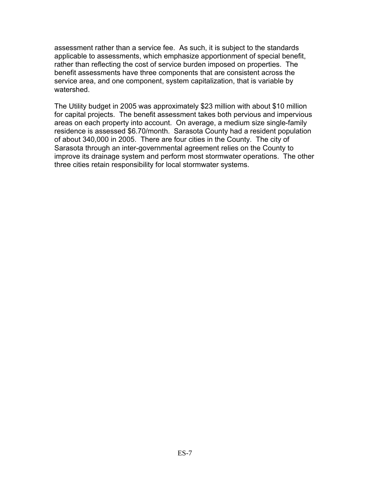assessment rather than a service fee. As such, it is subject to the standards applicable to assessments, which emphasize apportionment of special benefit, rather than reflecting the cost of service burden imposed on properties. The benefit assessments have three components that are consistent across the service area, and one component, system capitalization, that is variable by watershed.

The Utility budget in 2005 was approximately \$23 million with about \$10 million for capital projects. The benefit assessment takes both pervious and impervious areas on each property into account. On average, a medium size single-family residence is assessed \$6.70/month. Sarasota County had a resident population of about 340,000 in 2005. There are four cities in the County. The city of Sarasota through an inter-governmental agreement relies on the County to improve its drainage system and perform most stormwater operations. The other three cities retain responsibility for local stormwater systems.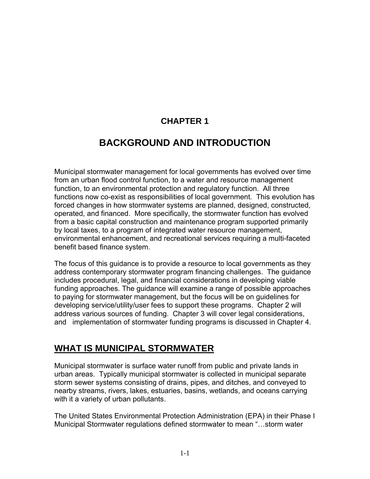# **CHAPTER 1**

# **BACKGROUND AND INTRODUCTION**

Municipal stormwater management for local governments has evolved over time from an urban flood control function, to a water and resource management function, to an environmental protection and regulatory function. All three functions now co-exist as responsibilities of local government. This evolution has forced changes in how stormwater systems are planned, designed, constructed, operated, and financed. More specifically, the stormwater function has evolved from a basic capital construction and maintenance program supported primarily by local taxes, to a program of integrated water resource management, environmental enhancement, and recreational services requiring a multi-faceted benefit based finance system.

The focus of this guidance is to provide a resource to local governments as they address contemporary stormwater program financing challenges. The guidance includes procedural, legal, and financial considerations in developing viable funding approaches. The guidance will examine a range of possible approaches to paying for stormwater management, but the focus will be on guidelines for developing service/utility/user fees to support these programs. Chapter 2 will address various sources of funding. Chapter 3 will cover legal considerations, and implementation of stormwater funding programs is discussed in Chapter 4.

## **WHAT IS MUNICIPAL STORMWATER**

Municipal stormwater is surface water runoff from public and private lands in urban areas. Typically municipal stormwater is collected in municipal separate storm sewer systems consisting of drains, pipes, and ditches, and conveyed to nearby streams, rivers, lakes, estuaries, basins, wetlands, and oceans carrying with it a variety of urban pollutants.

The United States Environmental Protection Administration (EPA) in their Phase I Municipal Stormwater regulations defined stormwater to mean "…storm water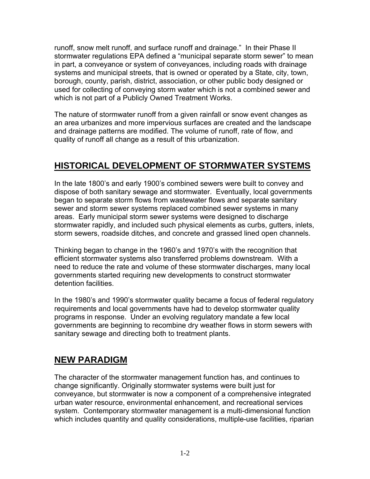runoff, snow melt runoff, and surface runoff and drainage." In their Phase II stormwater regulations EPA defined a "municipal separate storm sewer" to mean in part, a conveyance or system of conveyances, including roads with drainage systems and municipal streets, that is owned or operated by a State, city, town, borough, county, parish, district, association, or other public body designed or used for collecting of conveying storm water which is not a combined sewer and which is not part of a Publicly Owned Treatment Works.

The nature of stormwater runoff from a given rainfall or snow event changes as an area urbanizes and more impervious surfaces are created and the landscape and drainage patterns are modified. The volume of runoff, rate of flow, and quality of runoff all change as a result of this urbanization.

# **HISTORICAL DEVELOPMENT OF STORMWATER SYSTEMS**

In the late 1800's and early 1900's combined sewers were built to convey and dispose of both sanitary sewage and stormwater. Eventually, local governments began to separate storm flows from wastewater flows and separate sanitary sewer and storm sewer systems replaced combined sewer systems in many areas. Early municipal storm sewer systems were designed to discharge stormwater rapidly, and included such physical elements as curbs, gutters, inlets, storm sewers, roadside ditches, and concrete and grassed lined open channels.

Thinking began to change in the 1960's and 1970's with the recognition that efficient stormwater systems also transferred problems downstream. With a need to reduce the rate and volume of these stormwater discharges, many local governments started requiring new developments to construct stormwater detention facilities.

In the 1980's and 1990's stormwater quality became a focus of federal regulatory requirements and local governments have had to develop stormwater quality programs in response. Under an evolving regulatory mandate a few local governments are beginning to recombine dry weather flows in storm sewers with sanitary sewage and directing both to treatment plants.

# **NEW PARADIGM**

The character of the stormwater management function has, and continues to change significantly. Originally stormwater systems were built just for conveyance, but stormwater is now a component of a comprehensive integrated urban water resource, environmental enhancement, and recreational services system. Contemporary stormwater management is a multi-dimensional function which includes quantity and quality considerations, multiple-use facilities, riparian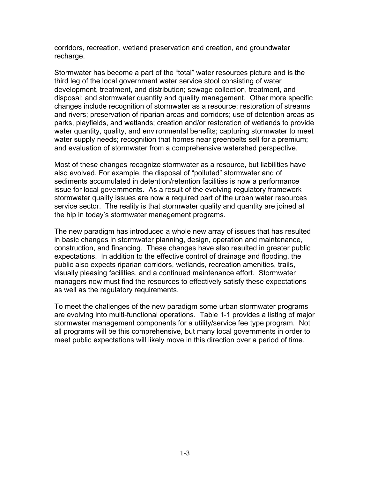<span id="page-15-0"></span>corridors, recreation, wetland preservation and creation, and groundwater recharge.

Stormwater has become a part of the "total" water resources picture and is the third leg of the local government water service stool consisting of water development, treatment, and distribution; sewage collection, treatment, and disposal; and stormwater quantity and quality management. Other more specific changes include recognition of stormwater as a resource; restoration of streams and rivers; preservation of riparian areas and corridors; use of detention areas as parks, playfields, and wetlands; creation and/or restoration of wetlands to provide water quantity, quality, and environmental benefits; capturing stormwater to meet water supply needs; recognition that homes near greenbelts sell for a premium; and evaluation of stormwater from a comprehensive watershed perspective.

Most of these changes recognize stormwater as a resource, but liabilities have also evolved. For example, the disposal of "polluted" stormwater and of sediments accumulated in detention/retention facilities is now a performance issue for local governments. As a result of the evolving regulatory framework stormwater quality issues are now a required part of the urban water resources service sector. The reality is that stormwater quality and quantity are joined at the hip in today's stormwater management programs.

The new paradigm has introduced a whole new array of issues that has resulted in basic changes in stormwater planning, design, operation and maintenance, construction, and financing. These changes have also resulted in greater public expectations. In addition to the effective control of drainage and flooding, the public also expects riparian corridors, wetlands, recreation amenities, trails, visually pleasing facilities, and a continued maintenance effort. Stormwater managers now must find the resources to effectively satisfy these expectations as well as the regulatory requirements.

To meet the challenges of the new paradigm some urban stormwater programs are evolving into multi-functional operations. Table 1-1 provides a listing of major stormwater management components for a utility/service fee type program[.](#page-15-0) Not all programs will be this comprehensive, but many local governments in order to meet public expectations will likely move in this direction over a period of time.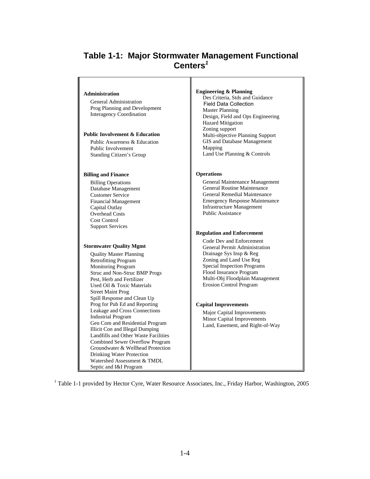## **Table 1-1: Major Stormwater Management Functional Centers***<sup>1</sup>*

#### **Administration**

 General Administration Prog Planning and Development Interagency Coordination

#### **Public Involvement & Education**

 Public Awareness & Education Public Involvement Standing Citizen's Group

#### **Billing and Finance**

 Billing Operations Database Management Customer Service Financial Management Capital Outlay Overhead Costs Cost Control Support Services

#### **Stormwater Quality Mgmt**

 Quality Master Planning Retrofitting Program Monitoring Program Struc and Non-Struc BMP Progs Pest, Herb and Fertilizer Used Oil & Toxic Materials Street Maint Prog Spill Response and Clean Up Prog for Pub Ed and Reporting Leakage and Cross Connections Industrial Program Gen Com and Residential Program Illicit Con and Illegal Dumping Landfills and Other Waste Facilities Combined Sewer Overflow Program Groundwater & Wellhead Protection Drinking Water Protection Watershed Assessment & TMDL Septic and I&I Program

#### **Engineering & Planning**

 Des Criteria, Stds and Guidance Field Data Collection Master Planning Design, Field and Ops Engineering Hazard Mitigation Zoning support Multi-objective Planning Support GIS and Database Management Mapping Land Use Planning & Controls

#### **Operations**

 General Maintenance Management General Routine Maintenance General Remedial Maintenance Emergency Response Maintenance Infrastructure Management Public Assistance

#### **Regulation and Enforcement**

 Code Dev and Enforcement General Permit Administration Drainage Sys Insp & Reg Zoning and Land Use Reg Special Inspection Programs Flood Insurance Program Multi-Obj Floodplain Management Erosion Control Program

#### **Capital Improvements**

 Major Capital Improvements Minor Capital Improvements Land, Easement, and Right-of-Way

<sup>1</sup> Table 1-1 provided by Hector Cyre, Water Resource Associates, Inc., Friday Harbor, Washington, 2005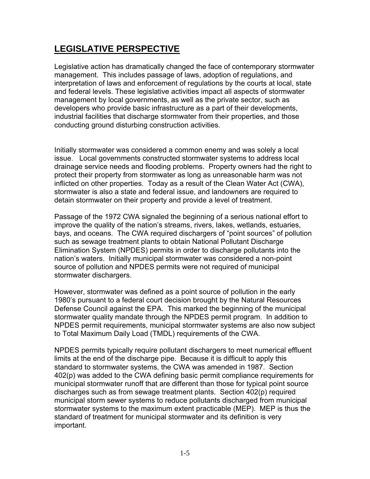# **LEGISLATIVE PERSPECTIVE**

Legislative action has dramatically changed the face of contemporary stormwater management. This includes passage of laws, adoption of regulations, and interpretation of laws and enforcement of regulations by the courts at local, state and federal levels. These legislative activities impact all aspects of stormwater management by local governments, as well as the private sector, such as developers who provide basic infrastructure as a part of their developments, industrial facilities that discharge stormwater from their properties, and those conducting ground disturbing construction activities.

Initially stormwater was considered a common enemy and was solely a local issue. Local governments constructed stormwater systems to address local drainage service needs and flooding problems. Property owners had the right to protect their property from stormwater as long as unreasonable harm was not inflicted on other properties. Today as a result of the Clean Water Act (CWA), stormwater is also a state and federal issue, and landowners are required to detain stormwater on their property and provide a level of treatment.

Passage of the 1972 CWA signaled the beginning of a serious national effort to improve the quality of the nation's streams, rivers, lakes, wetlands, estuaries, bays, and oceans. The CWA required dischargers of "point sources" of pollution such as sewage treatment plants to obtain National Pollutant Discharge Elimination System (NPDES) permits in order to discharge pollutants into the nation's waters. Initially municipal stormwater was considered a non-point source of pollution and NPDES permits were not required of municipal stormwater dischargers.

However, stormwater was defined as a point source of pollution in the early 1980's pursuant to a federal court decision brought by the Natural Resources Defense Council against the EPA. This marked the beginning of the municipal stormwater quality mandate through the NPDES permit program. In addition to NPDES permit requirements, municipal stormwater systems are also now subject to Total Maximum Daily Load (TMDL) requirements of the CWA.

NPDES permits typically require pollutant dischargers to meet numerical effluent limits at the end of the discharge pipe. Because it is difficult to apply this standard to stormwater systems, the CWA was amended in 1987. Section 402(p) was added to the CWA defining basic permit compliance requirements for municipal stormwater runoff that are different than those for typical point source discharges such as from sewage treatment plants. Section 402(p) required municipal storm sewer systems to reduce pollutants discharged from municipal stormwater systems to the maximum extent practicable (MEP). MEP is thus the standard of treatment for municipal stormwater and its definition is very important.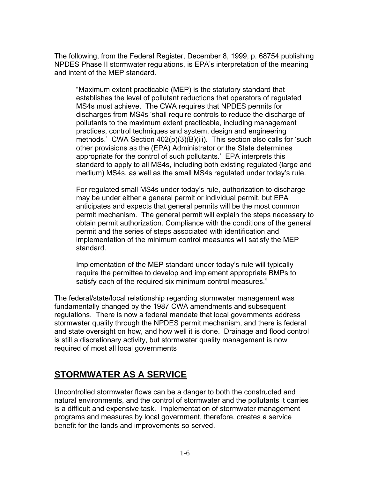The following, from the Federal Register, December 8, 1999, p. 68754 publishing NPDES Phase II stormwater regulations, is EPA's interpretation of the meaning and intent of the MEP standard.

"Maximum extent practicable (MEP) is the statutory standard that establishes the level of pollutant reductions that operators of regulated MS4s must achieve. The CWA requires that NPDES permits for discharges from MS4s 'shall require controls to reduce the discharge of pollutants to the maximum extent practicable, including management practices, control techniques and system, design and engineering methods.' CWA Section 402(p)(3)(B)(iii). This section also calls for 'such other provisions as the (EPA) Administrator or the State determines appropriate for the control of such pollutants.' EPA interprets this standard to apply to all MS4s, including both existing regulated (large and medium) MS4s, as well as the small MS4s regulated under today's rule.

For regulated small MS4s under today's rule, authorization to discharge may be under either a general permit or individual permit, but EPA anticipates and expects that general permits will be the most common permit mechanism. The general permit will explain the steps necessary to obtain permit authorization. Compliance with the conditions of the general permit and the series of steps associated with identification and implementation of the minimum control measures will satisfy the MEP standard.

Implementation of the MEP standard under today's rule will typically require the permittee to develop and implement appropriate BMPs to satisfy each of the required six minimum control measures."

The federal/state/local relationship regarding stormwater management was fundamentally changed by the 1987 CWA amendments and subsequent regulations. There is now a federal mandate that local governments address stormwater quality through the NPDES permit mechanism, and there is federal and state oversight on how, and how well it is done. Drainage and flood control is still a discretionary activity, but stormwater quality management is now required of most all local governments

# **STORMWATER AS A SERVICE**

Uncontrolled stormwater flows can be a danger to both the constructed and natural environments, and the control of stormwater and the pollutants it carries is a difficult and expensive task. Implementation of stormwater management programs and measures by local government, therefore, creates a service benefit for the lands and improvements so served.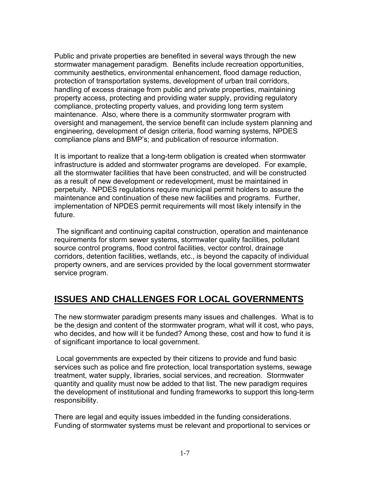Public and private properties are benefited in several ways through the new stormwater management paradigm. Benefits include recreation opportunities, community aesthetics, environmental enhancement, flood damage reduction, protection of transportation systems, development of urban trail corridors, handling of excess drainage from public and private properties, maintaining property access, protecting and providing water supply, providing regulatory compliance, protecting property values, and providing long term system maintenance. Also, where there is a community stormwater program with oversight and management, the service benefit can include system planning and engineering, development of design criteria, flood warning systems, NPDES compliance plans and BMP's; and publication of resource information.

It is important to realize that a long-term obligation is created when stormwater infrastructure is added and stormwater programs are developed. For example, all the stormwater facilities that have been constructed, and will be constructed as a result of new development or redevelopment, must be maintained in perpetuity. NPDES regulations require municipal permit holders to assure the maintenance and continuation of these new facilities and programs. Further, implementation of NPDES permit requirements will most likely intensify in the future.

 The significant and continuing capital construction, operation and maintenance requirements for storm sewer systems, stormwater quality facilities, pollutant source control programs, flood control facilities, vector control, drainage corridors, detention facilities, wetlands, etc., is beyond the capacity of individual property owners, and are services provided by the local government stormwater service program.

# **ISSUES AND CHALLENGES FOR LOCAL GOVERNMENTS**

The new stormwater paradigm presents many issues and challenges. What is to be the design and content of the stormwater program, what will it cost, who pays, who decides, and how will it be funded? Among these, cost and how to fund it is of significant importance to local government.

 Local governments are expected by their citizens to provide and fund basic services such as police and fire protection, local transportation systems, sewage treatment, water supply, libraries, social services, and recreation. Stormwater quantity and quality must now be added to that list. The new paradigm requires the development of institutional and funding frameworks to support this long-term responsibility.

There are legal and equity issues imbedded in the funding considerations. Funding of stormwater systems must be relevant and proportional to services or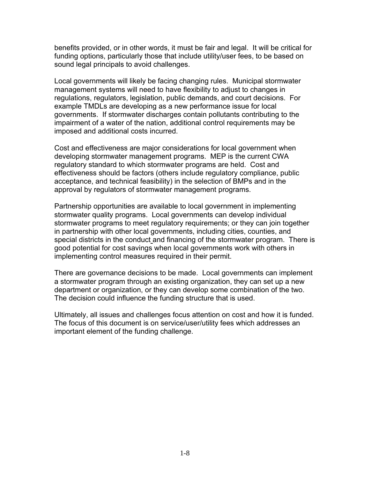benefits provided, or in other words, it must be fair and legal. It will be critical for funding options, particularly those that include utility/user fees, to be based on sound legal principals to avoid challenges.

Local governments will likely be facing changing rules. Municipal stormwater management systems will need to have flexibility to adjust to changes in regulations, regulators, legislation, public demands, and court decisions. For example TMDLs are developing as a new performance issue for local governments. If stormwater discharges contain pollutants contributing to the impairment of a water of the nation, additional control requirements may be imposed and additional costs incurred.

Cost and effectiveness are major considerations for local government when developing stormwater management programs. MEP is the current CWA regulatory standard to which stormwater programs are held. Cost and effectiveness should be factors (others include regulatory compliance, public acceptance, and technical feasibility) in the selection of BMPs and in the approval by regulators of stormwater management programs.

Partnership opportunities are available to local government in implementing stormwater quality programs. Local governments can develop individual stormwater programs to meet regulatory requirements; or they can join together in partnership with other local governments, including cities, counties, and special districts in the conduct and financing of the stormwater program. There is good potential for cost savings when local governments work with others in implementing control measures required in their permit.

There are governance decisions to be made. Local governments can implement a stormwater program through an existing organization, they can set up a new department or organization, or they can develop some combination of the two. The decision could influence the funding structure that is used.

Ultimately, all issues and challenges focus attention on cost and how it is funded. The focus of this document is on service/user/utility fees which addresses an important element of the funding challenge.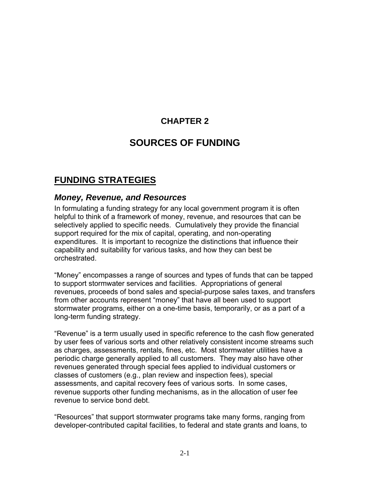# **CHAPTER 2**

# **SOURCES OF FUNDING**

# **FUNDING STRATEGIES**

#### *Money, Revenue, and Resources*

In formulating a funding strategy for any local government program it is often helpful to think of a framework of money, revenue, and resources that can be selectively applied to specific needs. Cumulatively they provide the financial support required for the mix of capital, operating, and non-operating expenditures. It is important to recognize the distinctions that influence their capability and suitability for various tasks, and how they can best be orchestrated.

"Money" encompasses a range of sources and types of funds that can be tapped to support stormwater services and facilities. Appropriations of general revenues, proceeds of bond sales and special-purpose sales taxes, and transfers from other accounts represent "money" that have all been used to support stormwater programs, either on a one-time basis, temporarily, or as a part of a long-term funding strategy.

"Revenue" is a term usually used in specific reference to the cash flow generated by user fees of various sorts and other relatively consistent income streams such as charges, assessments, rentals, fines, etc. Most stormwater utilities have a periodic charge generally applied to all customers. They may also have other revenues generated through special fees applied to individual customers or classes of customers (e.g., plan review and inspection fees), special assessments, and capital recovery fees of various sorts. In some cases, revenue supports other funding mechanisms, as in the allocation of user fee revenue to service bond debt.

"Resources" that support stormwater programs take many forms, ranging from developer-contributed capital facilities, to federal and state grants and loans, to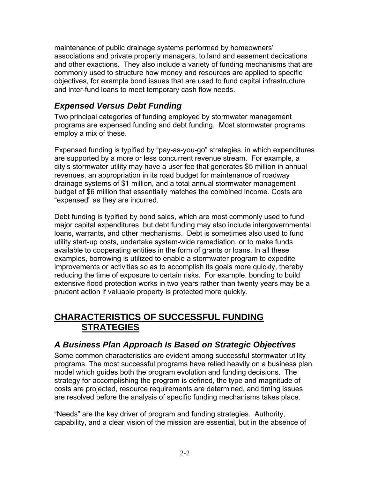maintenance of public drainage systems performed by homeowners' associations and private property managers, to land and easement dedications and other exactions. They also include a variety of funding mechanisms that are commonly used to structure how money and resources are applied to specific objectives, for example bond issues that are used to fund capital infrastructure and inter-fund loans to meet temporary cash flow needs.

## *Expensed Versus Debt Funding*

Two principal categories of funding employed by stormwater management programs are expensed funding and debt funding. Most stormwater programs employ a mix of these.

Expensed funding is typified by "pay-as-you-go" strategies, in which expenditures are supported by a more or less concurrent revenue stream. For example, a city's stormwater utility may have a user fee that generates \$5 million in annual revenues, an appropriation in its road budget for maintenance of roadway drainage systems of \$1 million, and a total annual stormwater management budget of \$6 million that essentially matches the combined income. Costs are "expensed" as they are incurred.

Debt funding is typified by bond sales, which are most commonly used to fund major capital expenditures, but debt funding may also include intergovernmental loans, warrants, and other mechanisms. Debt is sometimes also used to fund utility start-up costs, undertake system-wide remediation, or to make funds available to cooperating entities in the form of grants or loans. In all these examples, borrowing is utilized to enable a stormwater program to expedite improvements or activities so as to accomplish its goals more quickly, thereby reducing the time of exposure to certain risks. For example, bonding to build extensive flood protection works in two years rather than twenty years may be a prudent action if valuable property is protected more quickly.

# **CHARACTERISTICS OF SUCCESSFUL FUNDING STRATEGIES**

#### *A Business Plan Approach Is Based on Strategic Objectives*

Some common characteristics are evident among successful stormwater utility programs. The most successful programs have relied heavily on a business plan model which guides both the program evolution and funding decisions. The strategy for accomplishing the program is defined, the type and magnitude of costs are projected, resource requirements are determined, and timing issues are resolved before the analysis of specific funding mechanisms takes place.

"Needs" are the key driver of program and funding strategies. Authority, capability, and a clear vision of the mission are essential, but in the absence of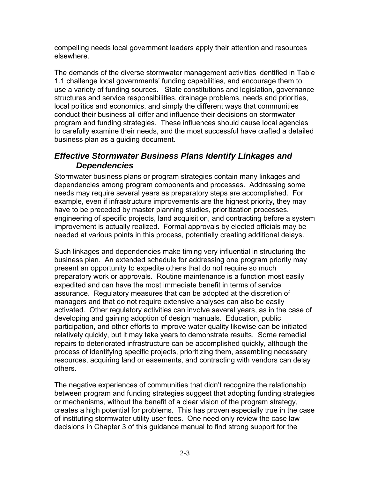compelling needs local government leaders apply their attention and resources elsewhere.

The demands of the diverse stormwater management activities identified in Table 1.1 challenge local governments' funding capabilities, and encourage them to use a variety of funding sources. State constitutions and legislation, governance structures and service responsibilities, drainage problems, needs and priorities, local politics and economics, and simply the different ways that communities conduct their business all differ and influence their decisions on stormwater program and funding strategies. These influences should cause local agencies to carefully examine their needs, and the most successful have crafted a detailed business plan as a guiding document.

## *Effective Stormwater Business Plans Identify Linkages and Dependencies*

Stormwater business plans or program strategies contain many linkages and dependencies among program components and processes. Addressing some needs may require several years as preparatory steps are accomplished. For example, even if infrastructure improvements are the highest priority, they may have to be preceded by master planning studies, prioritization processes, engineering of specific projects, land acquisition, and contracting before a system improvement is actually realized. Formal approvals by elected officials may be needed at various points in this process, potentially creating additional delays.

Such linkages and dependencies make timing very influential in structuring the business plan. An extended schedule for addressing one program priority may present an opportunity to expedite others that do not require so much preparatory work or approvals. Routine maintenance is a function most easily expedited and can have the most immediate benefit in terms of service assurance. Regulatory measures that can be adopted at the discretion of managers and that do not require extensive analyses can also be easily activated. Other regulatory activities can involve several years, as in the case of developing and gaining adoption of design manuals. Education, public participation, and other efforts to improve water quality likewise can be initiated relatively quickly, but it may take years to demonstrate results. Some remedial repairs to deteriorated infrastructure can be accomplished quickly, although the process of identifying specific projects, prioritizing them, assembling necessary resources, acquiring land or easements, and contracting with vendors can delay others.

The negative experiences of communities that didn't recognize the relationship between program and funding strategies suggest that adopting funding strategies or mechanisms, without the benefit of a clear vision of the program strategy, creates a high potential for problems. This has proven especially true in the case of instituting stormwater utility user fees. One need only review the case law decisions in Chapter 3 of this guidance manual to find strong support for the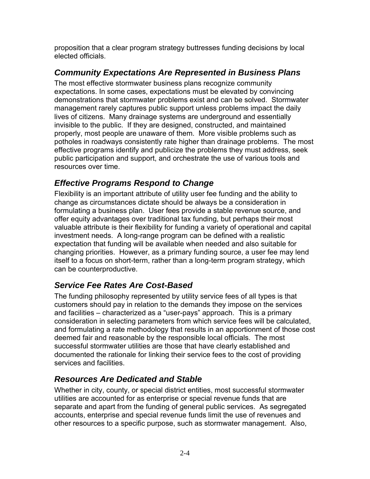proposition that a clear program strategy buttresses funding decisions by local elected officials.

# *Community Expectations Are Represented in Business Plans*

The most effective stormwater business plans recognize community expectations. In some cases, expectations must be elevated by convincing demonstrations that stormwater problems exist and can be solved. Stormwater management rarely captures public support unless problems impact the daily lives of citizens. Many drainage systems are underground and essentially invisible to the public. If they are designed, constructed, and maintained properly, most people are unaware of them. More visible problems such as potholes in roadways consistently rate higher than drainage problems. The most effective programs identify and publicize the problems they must address, seek public participation and support, and orchestrate the use of various tools and resources over time.

## *Effective Programs Respond to Change*

Flexibility is an important attribute of utility user fee funding and the ability to change as circumstances dictate should be always be a consideration in formulating a business plan. User fees provide a stable revenue source, and offer equity advantages over traditional tax funding, but perhaps their most valuable attribute is their flexibility for funding a variety of operational and capital investment needs. A long-range program can be defined with a realistic expectation that funding will be available when needed and also suitable for changing priorities. However, as a primary funding source, a user fee may lend itself to a focus on short-term, rather than a long-term program strategy, which can be counterproductive.

# *Service Fee Rates Are Cost-Based*

The funding philosophy represented by utility service fees of all types is that customers should pay in relation to the demands they impose on the services and facilities – characterized as a "user-pays" approach. This is a primary consideration in selecting parameters from which service fees will be calculated, and formulating a rate methodology that results in an apportionment of those cost deemed fair and reasonable by the responsible local officials. The most successful stormwater utilities are those that have clearly established and documented the rationale for linking their service fees to the cost of providing services and facilities.

## *Resources Are Dedicated and Stable*

Whether in city, county, or special district entities, most successful stormwater utilities are accounted for as enterprise or special revenue funds that are separate and apart from the funding of general public services. As segregated accounts, enterprise and special revenue funds limit the use of revenues and other resources to a specific purpose, such as stormwater management. Also,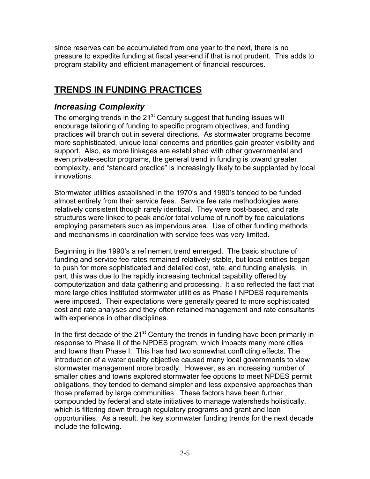since reserves can be accumulated from one year to the next, there is no pressure to expedite funding at fiscal year-end if that is not prudent. This adds to program stability and efficient management of financial resources.

# **TRENDS IN FUNDING PRACTICES**

## *Increasing Complexity*

The emerging trends in the  $21<sup>st</sup>$  Century suggest that funding issues will encourage tailoring of funding to specific program objectives, and funding practices will branch out in several directions. As stormwater programs become more sophisticated, unique local concerns and priorities gain greater visibility and support. Also, as more linkages are established with other governmental and even private-sector programs, the general trend in funding is toward greater complexity, and "standard practice" is increasingly likely to be supplanted by local innovations.

Stormwater utilities established in the 1970's and 1980's tended to be funded almost entirely from their service fees. Service fee rate methodologies were relatively consistent though rarely identical. They were cost-based, and rate structures were linked to peak and/or total volume of runoff by fee calculations employing parameters such as impervious area. Use of other funding methods and mechanisms in coordination with service fees was very limited.

Beginning in the 1990's a refinement trend emerged. The basic structure of funding and service fee rates remained relatively stable, but local entities began to push for more sophisticated and detailed cost, rate, and funding analysis. In part, this was due to the rapidly increasing technical capability offered by computerization and data gathering and processing. It also reflected the fact that more large cities instituted stormwater utilities as Phase I NPDES requirements were imposed. Their expectations were generally geared to more sophisticated cost and rate analyses and they often retained management and rate consultants with experience in other disciplines.

In the first decade of the  $21<sup>st</sup>$  Century the trends in funding have been primarily in response to Phase II of the NPDES program, which impacts many more cities and towns than Phase I. This has had two somewhat conflicting effects. The introduction of a water quality objective caused many local governments to view stormwater management more broadly. However, as an increasing number of smaller cities and towns explored stormwater fee options to meet NPDES permit obligations, they tended to demand simpler and less expensive approaches than those preferred by large communities. These factors have been further compounded by federal and state initiatives to manage watersheds holistically, which is filtering down through regulatory programs and grant and loan opportunities. As a result, the key stormwater funding trends for the next decade include the following.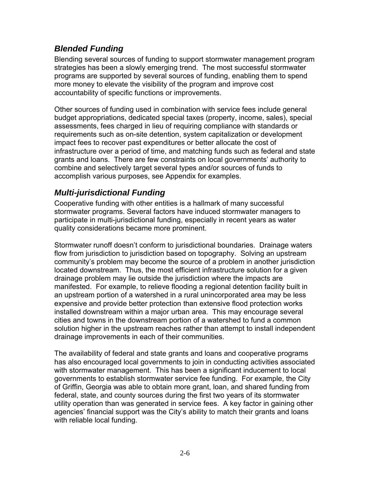## *Blended Funding*

Blending several sources of funding to support stormwater management program strategies has been a slowly emerging trend. The most successful stormwater programs are supported by several sources of funding, enabling them to spend more money to elevate the visibility of the program and improve cost accountability of specific functions or improvements.

Other sources of funding used in combination with service fees include general budget appropriations, dedicated special taxes (property, income, sales), special assessments, fees charged in lieu of requiring compliance with standards or requirements such as on-site detention, system capitalization or development impact fees to recover past expenditures or better allocate the cost of infrastructure over a period of time, and matching funds such as federal and state grants and loans. There are few constraints on local governments' authority to combine and selectively target several types and/or sources of funds to accomplish various purposes, see Appendix for examples.

## *Multi-jurisdictional Funding*

Cooperative funding with other entities is a hallmark of many successful stormwater programs. Several factors have induced stormwater managers to participate in multi-jurisdictional funding, especially in recent years as water quality considerations became more prominent.

Stormwater runoff doesn't conform to jurisdictional boundaries. Drainage waters flow from jurisdiction to jurisdiction based on topography. Solving an upstream community's problem may become the source of a problem in another jurisdiction located downstream. Thus, the most efficient infrastructure solution for a given drainage problem may lie outside the jurisdiction where the impacts are manifested. For example, to relieve flooding a regional detention facility built in an upstream portion of a watershed in a rural unincorporated area may be less expensive and provide better protection than extensive flood protection works installed downstream within a major urban area. This may encourage several cities and towns in the downstream portion of a watershed to fund a common solution higher in the upstream reaches rather than attempt to install independent drainage improvements in each of their communities.

The availability of federal and state grants and loans and cooperative programs has also encouraged local governments to join in conducting activities associated with stormwater management. This has been a significant inducement to local governments to establish stormwater service fee funding. For example, the City of Griffin, Georgia was able to obtain more grant, loan, and shared funding from federal, state, and county sources during the first two years of its stormwater utility operation than was generated in service fees. A key factor in gaining other agencies' financial support was the City's ability to match their grants and loans with reliable local funding.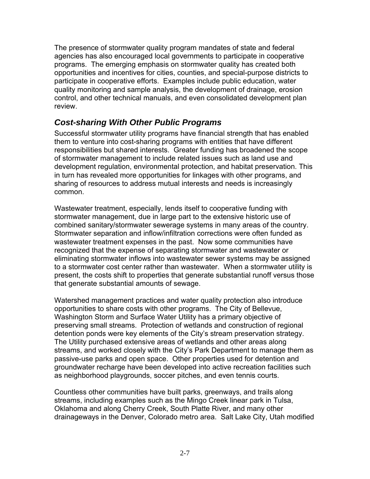The presence of stormwater quality program mandates of state and federal agencies has also encouraged local governments to participate in cooperative programs. The emerging emphasis on stormwater quality has created both opportunities and incentives for cities, counties, and special-purpose districts to participate in cooperative efforts. Examples include public education, water quality monitoring and sample analysis, the development of drainage, erosion control, and other technical manuals, and even consolidated development plan review.

## *Cost-sharing With Other Public Programs*

Successful stormwater utility programs have financial strength that has enabled them to venture into cost-sharing programs with entities that have different responsibilities but shared interests. Greater funding has broadened the scope of stormwater management to include related issues such as land use and development regulation, environmental protection, and habitat preservation. This in turn has revealed more opportunities for linkages with other programs, and sharing of resources to address mutual interests and needs is increasingly common.

Wastewater treatment, especially, lends itself to cooperative funding with stormwater management, due in large part to the extensive historic use of combined sanitary/stormwater sewerage systems in many areas of the country. Stormwater separation and inflow/infiltration corrections were often funded as wastewater treatment expenses in the past. Now some communities have recognized that the expense of separating stormwater and wastewater or eliminating stormwater inflows into wastewater sewer systems may be assigned to a stormwater cost center rather than wastewater. When a stormwater utility is present, the costs shift to properties that generate substantial runoff versus those that generate substantial amounts of sewage.

Watershed management practices and water quality protection also introduce opportunities to share costs with other programs. The City of Bellevue, Washington Storm and Surface Water Utility has a primary objective of preserving small streams. Protection of wetlands and construction of regional detention ponds were key elements of the City's stream preservation strategy. The Utility purchased extensive areas of wetlands and other areas along streams, and worked closely with the City's Park Department to manage them as passive-use parks and open space. Other properties used for detention and groundwater recharge have been developed into active recreation facilities such as neighborhood playgrounds, soccer pitches, and even tennis courts.

Countless other communities have built parks, greenways, and trails along streams, including examples such as the Mingo Creek linear park in Tulsa, Oklahoma and along Cherry Creek, South Platte River, and many other drainageways in the Denver, Colorado metro area. Salt Lake City, Utah modified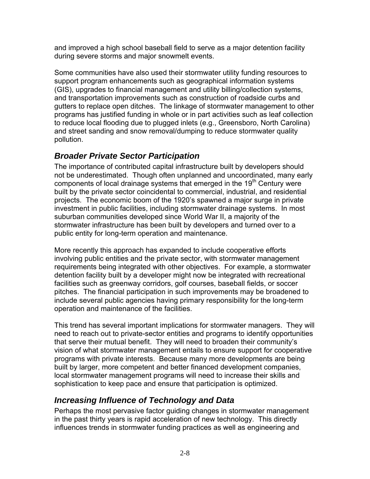and improved a high school baseball field to serve as a major detention facility during severe storms and major snowmelt events.

Some communities have also used their stormwater utility funding resources to support program enhancements such as geographical information systems (GIS), upgrades to financial management and utility billing/collection systems, and transportation improvements such as construction of roadside curbs and gutters to replace open ditches. The linkage of stormwater management to other programs has justified funding in whole or in part activities such as leaf collection to reduce local flooding due to plugged inlets (e.g., Greensboro, North Carolina) and street sanding and snow removal/dumping to reduce stormwater quality pollution.

# *Broader Private Sector Participation*

The importance of contributed capital infrastructure built by developers should not be underestimated. Though often unplanned and uncoordinated, many early components of local drainage systems that emerged in the  $19<sup>th</sup>$  Century were built by the private sector coincidental to commercial, industrial, and residential projects. The economic boom of the 1920's spawned a major surge in private investment in public facilities, including stormwater drainage systems. In most suburban communities developed since World War II, a majority of the stormwater infrastructure has been built by developers and turned over to a public entity for long-term operation and maintenance.

More recently this approach has expanded to include cooperative efforts involving public entities and the private sector, with stormwater management requirements being integrated with other objectives. For example, a stormwater detention facility built by a developer might now be integrated with recreational facilities such as greenway corridors, golf courses, baseball fields, or soccer pitches. The financial participation in such improvements may be broadened to include several public agencies having primary responsibility for the long-term operation and maintenance of the facilities.

This trend has several important implications for stormwater managers. They will need to reach out to private-sector entities and programs to identify opportunities that serve their mutual benefit. They will need to broaden their community's vision of what stormwater management entails to ensure support for cooperative programs with private interests. Because many more developments are being built by larger, more competent and better financed development companies, local stormwater management programs will need to increase their skills and sophistication to keep pace and ensure that participation is optimized.

# *Increasing Influence of Technology and Data*

Perhaps the most pervasive factor guiding changes in stormwater management in the past thirty years is rapid acceleration of new technology. This directly influences trends in stormwater funding practices as well as engineering and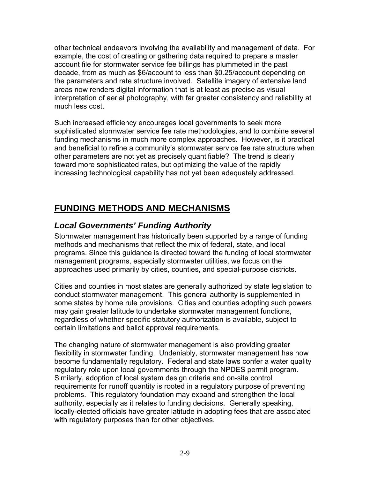other technical endeavors involving the availability and management of data. For example, the cost of creating or gathering data required to prepare a master account file for stormwater service fee billings has plummeted in the past decade, from as much as \$6/account to less than \$0.25/account depending on the parameters and rate structure involved. Satellite imagery of extensive land areas now renders digital information that is at least as precise as visual interpretation of aerial photography, with far greater consistency and reliability at much less cost.

Such increased efficiency encourages local governments to seek more sophisticated stormwater service fee rate methodologies, and to combine several funding mechanisms in much more complex approaches. However, is it practical and beneficial to refine a community's stormwater service fee rate structure when other parameters are not yet as precisely quantifiable? The trend is clearly toward more sophisticated rates, but optimizing the value of the rapidly increasing technological capability has not yet been adequately addressed.

# **FUNDING METHODS AND MECHANISMS**

# *Local Governments' Funding Authority*

Stormwater management has historically been supported by a range of funding methods and mechanisms that reflect the mix of federal, state, and local programs. Since this guidance is directed toward the funding of local stormwater management programs, especially stormwater utilities, we focus on the approaches used primarily by cities, counties, and special-purpose districts.

Cities and counties in most states are generally authorized by state legislation to conduct stormwater management. This general authority is supplemented in some states by home rule provisions. Cities and counties adopting such powers may gain greater latitude to undertake stormwater management functions, regardless of whether specific statutory authorization is available, subject to certain limitations and ballot approval requirements.

The changing nature of stormwater management is also providing greater flexibility in stormwater funding. Undeniably, stormwater management has now become fundamentally regulatory. Federal and state laws confer a water quality regulatory role upon local governments through the NPDES permit program. Similarly, adoption of local system design criteria and on-site control requirements for runoff quantity is rooted in a regulatory purpose of preventing problems. This regulatory foundation may expand and strengthen the local authority, especially as it relates to funding decisions. Generally speaking, locally-elected officials have greater latitude in adopting fees that are associated with regulatory purposes than for other objectives.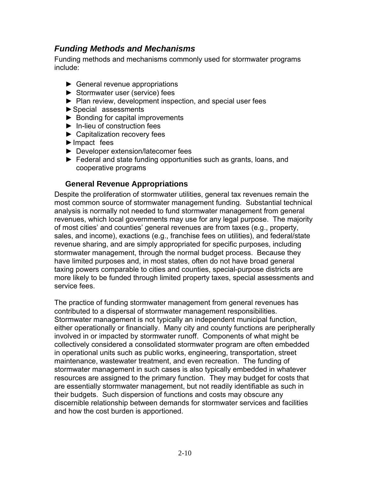#### *Funding Methods and Mechanisms*

Funding methods and mechanisms commonly used for stormwater programs include:

- ► General revenue appropriations
- ► Stormwater user (service) fees
- ► Plan review, development inspection, and special user fees
- ► Special assessments
- ► Bonding for capital improvements
- ► In-lieu of construction fees
- ► Capitalization recovery fees
- ► Impact fees
- ► Developer extension/latecomer fees
- ► Federal and state funding opportunities such as grants, loans, and cooperative programs

#### **General Revenue Appropriations**

Despite the proliferation of stormwater utilities, general tax revenues remain the most common source of stormwater management funding. Substantial technical analysis is normally not needed to fund stormwater management from general revenues, which local governments may use for any legal purpose. The majority of most cities' and counties' general revenues are from taxes (e.g., property, sales, and income), exactions (e.g., franchise fees on utilities), and federal/state revenue sharing, and are simply appropriated for specific purposes, including stormwater management, through the normal budget process. Because they have limited purposes and, in most states, often do not have broad general taxing powers comparable to cities and counties, special-purpose districts are more likely to be funded through limited property taxes, special assessments and service fees.

The practice of funding stormwater management from general revenues has contributed to a dispersal of stormwater management responsibilities. Stormwater management is not typically an independent municipal function, either operationally or financially. Many city and county functions are peripherally involved in or impacted by stormwater runoff. Components of what might be collectively considered a consolidated stormwater program are often embedded in operational units such as public works, engineering, transportation, street maintenance, wastewater treatment, and even recreation. The funding of stormwater management in such cases is also typically embedded in whatever resources are assigned to the primary function. They may budget for costs that are essentially stormwater management, but not readily identifiable as such in their budgets. Such dispersion of functions and costs may obscure any discernible relationship between demands for stormwater services and facilities and how the cost burden is apportioned.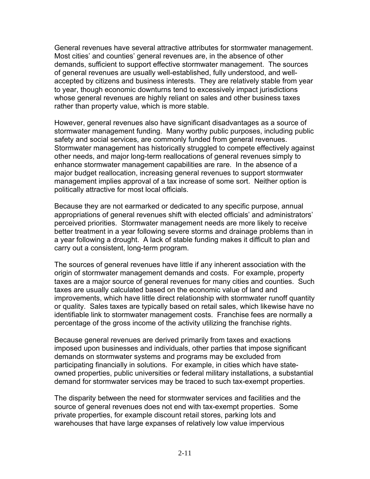General revenues have several attractive attributes for stormwater management. Most cities' and counties' general revenues are, in the absence of other demands, sufficient to support effective stormwater management. The sources of general revenues are usually well-established, fully understood, and wellaccepted by citizens and business interests. They are relatively stable from year to year, though economic downturns tend to excessively impact jurisdictions whose general revenues are highly reliant on sales and other business taxes rather than property value, which is more stable.

However, general revenues also have significant disadvantages as a source of stormwater management funding. Many worthy public purposes, including public safety and social services, are commonly funded from general revenues. Stormwater management has historically struggled to compete effectively against other needs, and major long-term reallocations of general revenues simply to enhance stormwater management capabilities are rare. In the absence of a major budget reallocation, increasing general revenues to support stormwater management implies approval of a tax increase of some sort. Neither option is politically attractive for most local officials.

Because they are not earmarked or dedicated to any specific purpose, annual appropriations of general revenues shift with elected officials' and administrators' perceived priorities. Stormwater management needs are more likely to receive better treatment in a year following severe storms and drainage problems than in a year following a drought. A lack of stable funding makes it difficult to plan and carry out a consistent, long-term program.

The sources of general revenues have little if any inherent association with the origin of stormwater management demands and costs. For example, property taxes are a major source of general revenues for many cities and counties. Such taxes are usually calculated based on the economic value of land and improvements, which have little direct relationship with stormwater runoff quantity or quality. Sales taxes are typically based on retail sales, which likewise have no identifiable link to stormwater management costs. Franchise fees are normally a percentage of the gross income of the activity utilizing the franchise rights.

Because general revenues are derived primarily from taxes and exactions imposed upon businesses and individuals, other parties that impose significant demands on stormwater systems and programs may be excluded from participating financially in solutions. For example, in cities which have stateowned properties, public universities or federal military installations, a substantial demand for stormwater services may be traced to such tax-exempt properties.

The disparity between the need for stormwater services and facilities and the source of general revenues does not end with tax-exempt properties. Some private properties, for example discount retail stores, parking lots and warehouses that have large expanses of relatively low value impervious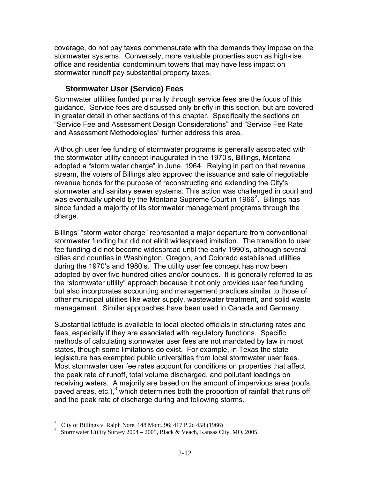coverage, do not pay taxes commensurate with the demands they impose on the stormwater systems. Conversely, more valuable properties such as high-rise office and residential condominium towers that may have less impact on stormwater runoff pay substantial property taxes.

#### **Stormwater User (Service) Fees**

Stormwater utilities funded primarily through service fees are the focus of this guidance. Service fees are discussed only briefly in this section, but are covered in greater detail in other sections of this chapter. Specifically the sections on "Service Fee and Assessment Design Considerations" and "Service Fee Rate and Assessment Methodologies" further address this area.

Although user fee funding of stormwater programs is generally associated with the stormwater utility concept inaugurated in the 1970's, Billings, Montana adopted a "storm water charge" in June, 1964. Relying in part on that revenue stream, the voters of Billings also approved the issuance and sale of negotiable revenue bonds for the purpose of reconstructing and extending the City's stormwater and sanitary sewer systems. This action was challenged in court and was eventually upheld by the Montana Supreme Court in 1966<sup>[2](#page-32-0)</sup>. Billings has since funded a majority of its stormwater management programs through the charge.

Billings' "storm water charge" represented a major departure from conventional stormwater funding but did not elicit widespread imitation. The transition to user fee funding did not become widespread until the early 1990's, although several cities and counties in Washington, Oregon, and Colorado established utilities during the 1970's and 1980's. The utility user fee concept has now been adopted by over five hundred cities and/or counties. It is generally referred to as the "stormwater utility" approach because it not only provides user fee funding but also incorporates accounting and management practices similar to those of other municipal utilities like water supply, wastewater treatment, and solid waste management. Similar approaches have been used in Canada and Germany.

Substantial latitude is available to local elected officials in structuring rates and fees, especially if they are associated with regulatory functions. Specific methods of calculating stormwater user fees are not mandated by law in most states, though some limitations do exist. For example, in Texas the state legislature has exempted public universities from local stormwater user fees. Most stormwater user fee rates account for conditions on properties that affect the peak rate of runoff, total volume discharged, and pollutant loadings on receiving waters. A majority are based on the amount of impervious area (roofs, paved areas, etc.),<sup>[3](#page-32-1)</sup> which determines both the proportion of rainfall that runs off and the peak rate of discharge during and following storms.

 $\overline{a}$ 

<span id="page-32-0"></span><sup>2</sup> City of Billings v. Ralph Nore, 148 Mont. 96; 417 P.2d 458 (1966) 3

<span id="page-32-1"></span>Stormwater Utility Survey 2004 – 2005, Black & Veach, Kansas City, MO, 2005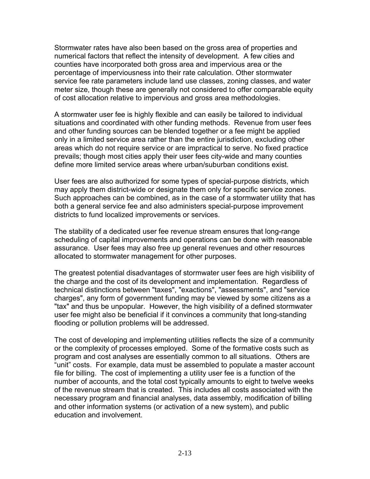Stormwater rates have also been based on the gross area of properties and numerical factors that reflect the intensity of development. A few cities and counties have incorporated both gross area and impervious area or the percentage of imperviousness into their rate calculation. Other stormwater service fee rate parameters include land use classes, zoning classes, and water meter size, though these are generally not considered to offer comparable equity of cost allocation relative to impervious and gross area methodologies.

A stormwater user fee is highly flexible and can easily be tailored to individual situations and coordinated with other funding methods. Revenue from user fees and other funding sources can be blended together or a fee might be applied only in a limited service area rather than the entire jurisdiction, excluding other areas which do not require service or are impractical to serve. No fixed practice prevails; though most cities apply their user fees city-wide and many counties define more limited service areas where urban/suburban conditions exist.

User fees are also authorized for some types of special-purpose districts, which may apply them district-wide or designate them only for specific service zones. Such approaches can be combined, as in the case of a stormwater utility that has both a general service fee and also administers special-purpose improvement districts to fund localized improvements or services.

The stability of a dedicated user fee revenue stream ensures that long-range scheduling of capital improvements and operations can be done with reasonable assurance. User fees may also free up general revenues and other resources allocated to stormwater management for other purposes.

The greatest potential disadvantages of stormwater user fees are high visibility of the charge and the cost of its development and implementation. Regardless of technical distinctions between "taxes", "exactions", "assessments", and "service charges", any form of government funding may be viewed by some citizens as a "tax" and thus be unpopular. However, the high visibility of a defined stormwater user fee might also be beneficial if it convinces a community that long-standing flooding or pollution problems will be addressed.

The cost of developing and implementing utilities reflects the size of a community or the complexity of processes employed. Some of the formative costs such as program and cost analyses are essentially common to all situations. Others are "unit" costs. For example, data must be assembled to populate a master account file for billing. The cost of implementing a utility user fee is a function of the number of accounts, and the total cost typically amounts to eight to twelve weeks of the revenue stream that is created. This includes all costs associated with the necessary program and financial analyses, data assembly, modification of billing and other information systems (or activation of a new system), and public education and involvement.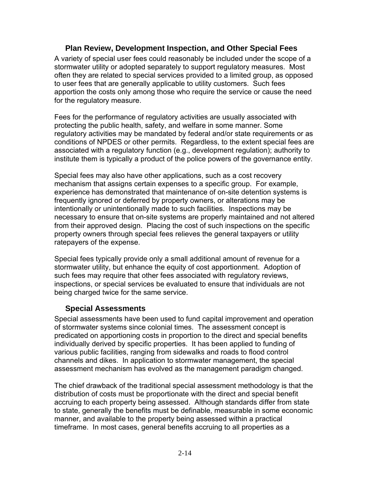#### **Plan Review, Development Inspection, and Other Special Fees**

A variety of special user fees could reasonably be included under the scope of a stormwater utility or adopted separately to support regulatory measures. Most often they are related to special services provided to a limited group, as opposed to user fees that are generally applicable to utility customers. Such fees apportion the costs only among those who require the service or cause the need for the regulatory measure.

Fees for the performance of regulatory activities are usually associated with protecting the public health, safety, and welfare in some manner. Some regulatory activities may be mandated by federal and/or state requirements or as conditions of NPDES or other permits. Regardless, to the extent special fees are associated with a regulatory function (e.g., development regulation); authority to institute them is typically a product of the police powers of the governance entity.

Special fees may also have other applications, such as a cost recovery mechanism that assigns certain expenses to a specific group. For example, experience has demonstrated that maintenance of on-site detention systems is frequently ignored or deferred by property owners, or alterations may be intentionally or unintentionally made to such facilities. Inspections may be necessary to ensure that on-site systems are properly maintained and not altered from their approved design. Placing the cost of such inspections on the specific property owners through special fees relieves the general taxpayers or utility ratepayers of the expense.

Special fees typically provide only a small additional amount of revenue for a stormwater utility, but enhance the equity of cost apportionment. Adoption of such fees may require that other fees associated with regulatory reviews, inspections, or special services be evaluated to ensure that individuals are not being charged twice for the same service.

#### **Special Assessments**

Special assessments have been used to fund capital improvement and operation of stormwater systems since colonial times. The assessment concept is predicated on apportioning costs in proportion to the direct and special benefits individually derived by specific properties. It has been applied to funding of various public facilities, ranging from sidewalks and roads to flood control channels and dikes. In application to stormwater management, the special assessment mechanism has evolved as the management paradigm changed.

The chief drawback of the traditional special assessment methodology is that the distribution of costs must be proportionate with the direct and special benefit accruing to each property being assessed. Although standards differ from state to state, generally the benefits must be definable, measurable in some economic manner, and available to the property being assessed within a practical timeframe. In most cases, general benefits accruing to all properties as a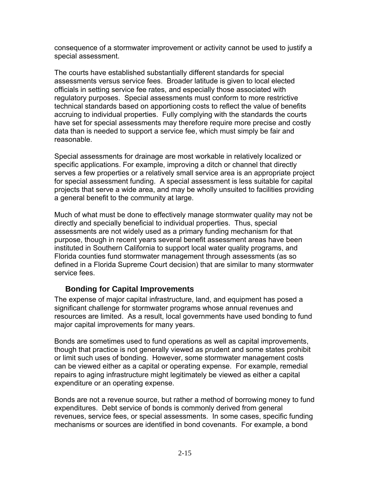consequence of a stormwater improvement or activity cannot be used to justify a special assessment.

The courts have established substantially different standards for special assessments versus service fees. Broader latitude is given to local elected officials in setting service fee rates, and especially those associated with regulatory purposes. Special assessments must conform to more restrictive technical standards based on apportioning costs to reflect the value of benefits accruing to individual properties. Fully complying with the standards the courts have set for special assessments may therefore require more precise and costly data than is needed to support a service fee, which must simply be fair and reasonable.

Special assessments for drainage are most workable in relatively localized or specific applications. For example, improving a ditch or channel that directly serves a few properties or a relatively small service area is an appropriate project for special assessment funding. A special assessment is less suitable for capital projects that serve a wide area, and may be wholly unsuited to facilities providing a general benefit to the community at large.

Much of what must be done to effectively manage stormwater quality may not be directly and specially beneficial to individual properties. Thus, special assessments are not widely used as a primary funding mechanism for that purpose, though in recent years several benefit assessment areas have been instituted in Southern California to support local water quality programs, and Florida counties fund stormwater management through assessments (as so defined in a Florida Supreme Court decision) that are similar to many stormwater service fees.

#### **Bonding for Capital Improvements**

The expense of major capital infrastructure, land, and equipment has posed a significant challenge for stormwater programs whose annual revenues and resources are limited. As a result, local governments have used bonding to fund major capital improvements for many years.

Bonds are sometimes used to fund operations as well as capital improvements, though that practice is not generally viewed as prudent and some states prohibit or limit such uses of bonding. However, some stormwater management costs can be viewed either as a capital or operating expense. For example, remedial repairs to aging infrastructure might legitimately be viewed as either a capital expenditure or an operating expense.

Bonds are not a revenue source, but rather a method of borrowing money to fund expenditures. Debt service of bonds is commonly derived from general revenues, service fees, or special assessments. In some cases, specific funding mechanisms or sources are identified in bond covenants. For example, a bond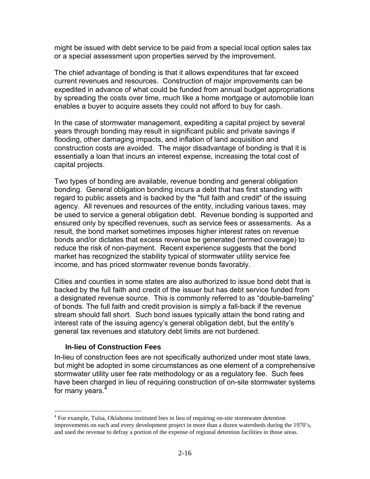might be issued with debt service to be paid from a special local option sales tax or a special assessment upon properties served by the improvement.

The chief advantage of bonding is that it allows expenditures that far exceed current revenues and resources. Construction of major improvements can be expedited in advance of what could be funded from annual budget appropriations by spreading the costs over time, much like a home mortgage or automobile loan enables a buyer to acquire assets they could not afford to buy for cash.

In the case of stormwater management, expediting a capital project by several years through bonding may result in significant public and private savings if flooding, other damaging impacts, and inflation of land acquisition and construction costs are avoided. The major disadvantage of bonding is that it is essentially a loan that incurs an interest expense, increasing the total cost of capital projects.

Two types of bonding are available, revenue bonding and general obligation bonding. General obligation bonding incurs a debt that has first standing with regard to public assets and is backed by the "full faith and credit" of the issuing agency. All revenues and resources of the entity, including various taxes, may be used to service a general obligation debt. Revenue bonding is supported and ensured only by specified revenues, such as service fees or assessments. As a result, the bond market sometimes imposes higher interest rates on revenue bonds and/or dictates that excess revenue be generated (termed coverage) to reduce the risk of non-payment. Recent experience suggests that the bond market has recognized the stability typical of stormwater utility service fee income, and has priced stormwater revenue bonds favorably.

Cities and counties in some states are also authorized to issue bond debt that is backed by the full faith and credit of the issuer but has debt service funded from a designated revenue source. This is commonly referred to as "double-barreling" of bonds. The full faith and credit provision is simply a fall-back if the revenue stream should fall short. Such bond issues typically attain the bond rating and interest rate of the issuing agency's general obligation debt, but the entity's general tax revenues and statutory debt limits are not burdened.

#### **In-lieu of Construction Fees**

 $\overline{a}$ 

In-lieu of construction fees are not specifically authorized under most state laws, but might be adopted in some circumstances as one element of a comprehensive stormwater utility user fee rate methodology or as a regulatory fee. Such fees have been charged in lieu of requiring construction of on-site stormwater systems for many years.<sup>[4](#page-36-0)</sup>

<span id="page-36-0"></span><sup>&</sup>lt;sup>4</sup> For example, Tulsa, Oklahoma instituted fees in lieu of requiring on-site stormwater detention improvements on each and every development project in more than a dozen watersheds during the 1970's, and used the revenue to defray a portion of the expense of regional detention facilities in those areas.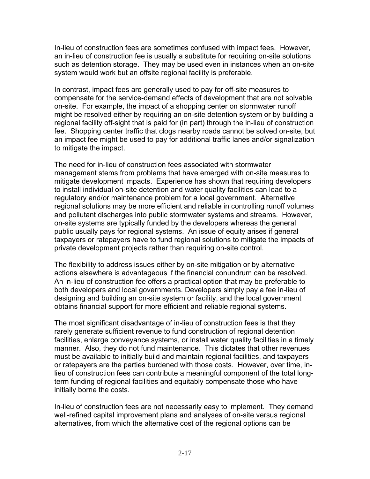In-lieu of construction fees are sometimes confused with impact fees. However, an in-lieu of construction fee is usually a substitute for requiring on-site solutions such as detention storage. They may be used even in instances when an on-site system would work but an offsite regional facility is preferable.

In contrast, impact fees are generally used to pay for off-site measures to compensate for the service-demand effects of development that are not solvable on-site. For example, the impact of a shopping center on stormwater runoff might be resolved either by requiring an on-site detention system or by building a regional facility off-sight that is paid for (in part) through the in-lieu of construction fee. Shopping center traffic that clogs nearby roads cannot be solved on-site, but an impact fee might be used to pay for additional traffic lanes and/or signalization to mitigate the impact.

The need for in-lieu of construction fees associated with stormwater management stems from problems that have emerged with on-site measures to mitigate development impacts. Experience has shown that requiring developers to install individual on-site detention and water quality facilities can lead to a regulatory and/or maintenance problem for a local government. Alternative regional solutions may be more efficient and reliable in controlling runoff volumes and pollutant discharges into public stormwater systems and streams. However, on-site systems are typically funded by the developers whereas the general public usually pays for regional systems. An issue of equity arises if general taxpayers or ratepayers have to fund regional solutions to mitigate the impacts of private development projects rather than requiring on-site control.

The flexibility to address issues either by on-site mitigation or by alternative actions elsewhere is advantageous if the financial conundrum can be resolved. An in-lieu of construction fee offers a practical option that may be preferable to both developers and local governments. Developers simply pay a fee in-lieu of designing and building an on-site system or facility, and the local government obtains financial support for more efficient and reliable regional systems.

The most significant disadvantage of in-lieu of construction fees is that they rarely generate sufficient revenue to fund construction of regional detention facilities, enlarge conveyance systems, or install water quality facilities in a timely manner. Also, they do not fund maintenance. This dictates that other revenues must be available to initially build and maintain regional facilities, and taxpayers or ratepayers are the parties burdened with those costs. However, over time, inlieu of construction fees can contribute a meaningful component of the total longterm funding of regional facilities and equitably compensate those who have initially borne the costs.

In-lieu of construction fees are not necessarily easy to implement. They demand well-refined capital improvement plans and analyses of on-site versus regional alternatives, from which the alternative cost of the regional options can be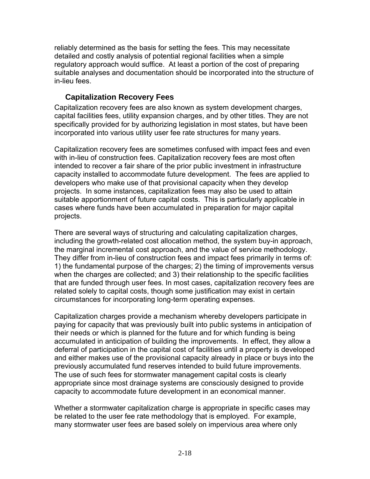reliably determined as the basis for setting the fees. This may necessitate detailed and costly analysis of potential regional facilities when a simple regulatory approach would suffice. At least a portion of the cost of preparing suitable analyses and documentation should be incorporated into the structure of in-lieu fees.

#### **Capitalization Recovery Fees**

Capitalization recovery fees are also known as system development charges, capital facilities fees, utility expansion charges, and by other titles. They are not specifically provided for by authorizing legislation in most states, but have been incorporated into various utility user fee rate structures for many years.

Capitalization recovery fees are sometimes confused with impact fees and even with in-lieu of construction fees. Capitalization recovery fees are most often intended to recover a fair share of the prior public investment in infrastructure capacity installed to accommodate future development. The fees are applied to developers who make use of that provisional capacity when they develop projects. In some instances, capitalization fees may also be used to attain suitable apportionment of future capital costs. This is particularly applicable in cases where funds have been accumulated in preparation for major capital projects.

There are several ways of structuring and calculating capitalization charges, including the growth-related cost allocation method, the system buy-in approach, the marginal incremental cost approach, and the value of service methodology. They differ from in-lieu of construction fees and impact fees primarily in terms of: 1) the fundamental purpose of the charges; 2) the timing of improvements versus when the charges are collected; and 3) their relationship to the specific facilities that are funded through user fees. In most cases, capitalization recovery fees are related solely to capital costs, though some justification may exist in certain circumstances for incorporating long-term operating expenses.

Capitalization charges provide a mechanism whereby developers participate in paying for capacity that was previously built into public systems in anticipation of their needs or which is planned for the future and for which funding is being accumulated in anticipation of building the improvements. In effect, they allow a deferral of participation in the capital cost of facilities until a property is developed and either makes use of the provisional capacity already in place or buys into the previously accumulated fund reserves intended to build future improvements. The use of such fees for stormwater management capital costs is clearly appropriate since most drainage systems are consciously designed to provide capacity to accommodate future development in an economical manner.

Whether a stormwater capitalization charge is appropriate in specific cases may be related to the user fee rate methodology that is employed. For example, many stormwater user fees are based solely on impervious area where only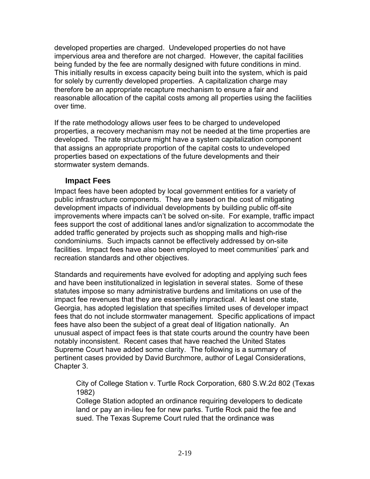developed properties are charged. Undeveloped properties do not have impervious area and therefore are not charged. However, the capital facilities being funded by the fee are normally designed with future conditions in mind. This initially results in excess capacity being built into the system, which is paid for solely by currently developed properties. A capitalization charge may therefore be an appropriate recapture mechanism to ensure a fair and reasonable allocation of the capital costs among all properties using the facilities over time.

If the rate methodology allows user fees to be charged to undeveloped properties, a recovery mechanism may not be needed at the time properties are developed. The rate structure might have a system capitalization component that assigns an appropriate proportion of the capital costs to undeveloped properties based on expectations of the future developments and their stormwater system demands.

#### **Impact Fees**

Impact fees have been adopted by local government entities for a variety of public infrastructure components. They are based on the cost of mitigating development impacts of individual developments by building public off-site improvements where impacts can't be solved on-site. For example, traffic impact fees support the cost of additional lanes and/or signalization to accommodate the added traffic generated by projects such as shopping malls and high-rise condominiums. Such impacts cannot be effectively addressed by on-site facilities. Impact fees have also been employed to meet communities' park and recreation standards and other objectives.

Standards and requirements have evolved for adopting and applying such fees and have been institutionalized in legislation in several states. Some of these statutes impose so many administrative burdens and limitations on use of the impact fee revenues that they are essentially impractical. At least one state, Georgia, has adopted legislation that specifies limited uses of developer impact fees that do not include stormwater management. Specific applications of impact fees have also been the subject of a great deal of litigation nationally. An unusual aspect of impact fees is that state courts around the country have been notably inconsistent. Recent cases that have reached the United States Supreme Court have added some clarity. The following is a summary of pertinent cases provided by David Burchmore, author of Legal Considerations, Chapter 3.

City of College Station v. Turtle Rock Corporation, 680 S.W.2d 802 (Texas 1982)

College Station adopted an ordinance requiring developers to dedicate land or pay an in-lieu fee for new parks. Turtle Rock paid the fee and sued. The Texas Supreme Court ruled that the ordinance was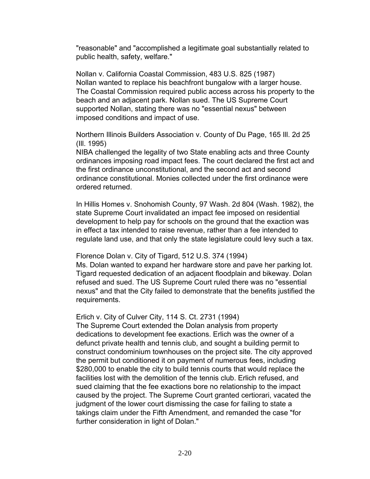"reasonable" and "accomplished a legitimate goal substantially related to public health, safety, welfare."

Nollan v. California Coastal Commission, 483 U.S. 825 (1987) Nollan wanted to replace his beachfront bungalow with a larger house. The Coastal Commission required public access across his property to the beach and an adjacent park. Nollan sued. The US Supreme Court supported Nollan, stating there was no "essential nexus" between imposed conditions and impact of use.

Northern Illinois Builders Association v. County of Du Page, 165 Ill. 2d 25 (Ill. 1995)

NIBA challenged the legality of two State enabling acts and three County ordinances imposing road impact fees. The court declared the first act and the first ordinance unconstitutional, and the second act and second ordinance constitutional. Monies collected under the first ordinance were ordered returned.

In Hillis Homes v. Snohomish County, 97 Wash. 2d 804 (Wash. 1982), the state Supreme Court invalidated an impact fee imposed on residential development to help pay for schools on the ground that the exaction was in effect a tax intended to raise revenue, rather than a fee intended to regulate land use, and that only the state legislature could levy such a tax.

Florence Dolan v. City of Tigard, 512 U.S. 374 (1994)

Ms. Dolan wanted to expand her hardware store and pave her parking lot. Tigard requested dedication of an adjacent floodplain and bikeway. Dolan refused and sued. The US Supreme Court ruled there was no "essential nexus" and that the City failed to demonstrate that the benefits justified the requirements.

Erlich v. City of Culver City, 114 S. Ct. 2731 (1994)

The Supreme Court extended the Dolan analysis from property dedications to development fee exactions. Erlich was the owner of a defunct private health and tennis club, and sought a building permit to construct condominium townhouses on the project site. The city approved the permit but conditioned it on payment of numerous fees, including \$280,000 to enable the city to build tennis courts that would replace the facilities lost with the demolition of the tennis club. Erlich refused, and sued claiming that the fee exactions bore no relationship to the impact caused by the project. The Supreme Court granted certiorari, vacated the judgment of the lower court dismissing the case for failing to state a takings claim under the Fifth Amendment, and remanded the case "for further consideration in light of Dolan."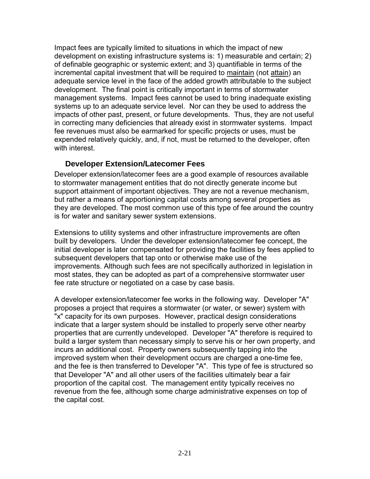Impact fees are typically limited to situations in which the impact of new development on existing infrastructure systems is: 1) measurable and certain; 2) of definable geographic or systemic extent; and 3) quantifiable in terms of the incremental capital investment that will be required to maintain (not attain) an adequate service level in the face of the added growth attributable to the subject development. The final point is critically important in terms of stormwater management systems. Impact fees cannot be used to bring inadequate existing systems up to an adequate service level. Nor can they be used to address the impacts of other past, present, or future developments. Thus, they are not useful in correcting many deficiencies that already exist in stormwater systems. Impact fee revenues must also be earmarked for specific projects or uses, must be expended relatively quickly, and, if not, must be returned to the developer, often with interest.

#### **Developer Extension/Latecomer Fees**

Developer extension/latecomer fees are a good example of resources available to stormwater management entities that do not directly generate income but support attainment of important objectives. They are not a revenue mechanism, but rather a means of apportioning capital costs among several properties as they are developed. The most common use of this type of fee around the country is for water and sanitary sewer system extensions.

Extensions to utility systems and other infrastructure improvements are often built by developers. Under the developer extension/latecomer fee concept, the initial developer is later compensated for providing the facilities by fees applied to subsequent developers that tap onto or otherwise make use of the improvements. Although such fees are not specifically authorized in legislation in most states, they can be adopted as part of a comprehensive stormwater user fee rate structure or negotiated on a case by case basis.

A developer extension/latecomer fee works in the following way. Developer "A" proposes a project that requires a stormwater (or water, or sewer) system with "x" capacity for its own purposes. However, practical design considerations indicate that a larger system should be installed to properly serve other nearby properties that are currently undeveloped. Developer "A" therefore is required to build a larger system than necessary simply to serve his or her own property, and incurs an additional cost. Property owners subsequently tapping into the improved system when their development occurs are charged a one-time fee, and the fee is then transferred to Developer "A". This type of fee is structured so that Developer "A" and all other users of the facilities ultimately bear a fair proportion of the capital cost. The management entity typically receives no revenue from the fee, although some charge administrative expenses on top of the capital cost.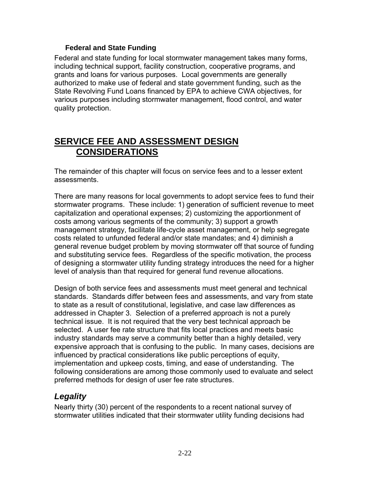#### **Federal and State Funding**

Federal and state funding for local stormwater management takes many forms, including technical support, facility construction, cooperative programs, and grants and loans for various purposes. Local governments are generally authorized to make use of federal and state government funding, such as the State Revolving Fund Loans financed by EPA to achieve CWA objectives, for various purposes including stormwater management, flood control, and water quality protection.

## **SERVICE FEE AND ASSESSMENT DESIGN CONSIDERATIONS**

The remainder of this chapter will focus on service fees and to a lesser extent assessments.

There are many reasons for local governments to adopt service fees to fund their stormwater programs. These include: 1) generation of sufficient revenue to meet capitalization and operational expenses; 2) customizing the apportionment of costs among various segments of the community; 3) support a growth management strategy, facilitate life-cycle asset management, or help segregate costs related to unfunded federal and/or state mandates; and 4) diminish a general revenue budget problem by moving stormwater off that source of funding and substituting service fees. Regardless of the specific motivation, the process of designing a stormwater utility funding strategy introduces the need for a higher level of analysis than that required for general fund revenue allocations.

Design of both service fees and assessments must meet general and technical standards. Standards differ between fees and assessments, and vary from state to state as a result of constitutional, legislative, and case law differences as addressed in Chapter 3. Selection of a preferred approach is not a purely technical issue. It is not required that the very best technical approach be selected. A user fee rate structure that fits local practices and meets basic industry standards may serve a community better than a highly detailed, very expensive approach that is confusing to the public. In many cases, decisions are influenced by practical considerations like public perceptions of equity, implementation and upkeep costs, timing, and ease of understanding. The following considerations are among those commonly used to evaluate and select preferred methods for design of user fee rate structures.

### *Legality*

Nearly thirty (30) percent of the respondents to a recent national survey of stormwater utilities indicated that their stormwater utility funding decisions had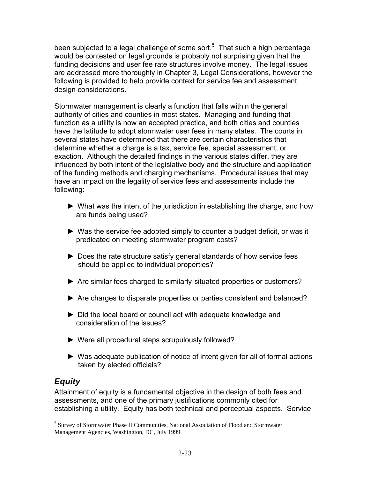been subjected to a legal challenge of some sort.<sup>[5](#page-43-0)</sup> That such a high percentage would be contested on legal grounds is probably not surprising given that the funding decisions and user fee rate structures involve money. The legal issues are addressed more thoroughly in Chapter 3, Legal Considerations, however the following is provided to help provide context for service fee and assessment design considerations.

Stormwater management is clearly a function that falls within the general authority of cities and counties in most states. Managing and funding that function as a utility is now an accepted practice, and both cities and counties have the latitude to adopt stormwater user fees in many states. The courts in several states have determined that there are certain characteristics that determine whether a charge is a tax, service fee, special assessment, or exaction. Although the detailed findings in the various states differ, they are influenced by both intent of the legislative body and the structure and application of the funding methods and charging mechanisms. Procedural issues that may have an impact on the legality of service fees and assessments include the following:

- ► What was the intent of the jurisdiction in establishing the charge, and how are funds being used?
- ► Was the service fee adopted simply to counter a budget deficit, or was it predicated on meeting stormwater program costs?
- ► Does the rate structure satisfy general standards of how service fees should be applied to individual properties?
- ► Are similar fees charged to similarly-situated properties or customers?
- ► Are charges to disparate properties or parties consistent and balanced?
- ► Did the local board or council act with adequate knowledge and consideration of the issues?
- ► Were all procedural steps scrupulously followed?
- ► Was adequate publication of notice of intent given for all of formal actions taken by elected officials?

### *Equity*

 $\overline{a}$ 

Attainment of equity is a fundamental objective in the design of both fees and assessments, and one of the primary justifications commonly cited for establishing a utility. Equity has both technical and perceptual aspects. Service

<span id="page-43-0"></span><sup>&</sup>lt;sup>5</sup> Survey of Stormwater Phase II Communities, National Association of Flood and Stormwater Management Agencies, Washington, DC, July 1999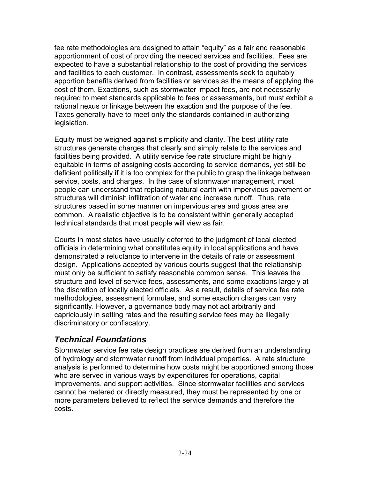fee rate methodologies are designed to attain "equity" as a fair and reasonable apportionment of cost of providing the needed services and facilities. Fees are expected to have a substantial relationship to the cost of providing the services and facilities to each customer. In contrast, assessments seek to equitably apportion benefits derived from facilities or services as the means of applying the cost of them. Exactions, such as stormwater impact fees, are not necessarily required to meet standards applicable to fees or assessments, but must exhibit a rational nexus or linkage between the exaction and the purpose of the fee. Taxes generally have to meet only the standards contained in authorizing legislation.

Equity must be weighed against simplicity and clarity. The best utility rate structures generate charges that clearly and simply relate to the services and facilities being provided. A utility service fee rate structure might be highly equitable in terms of assigning costs according to service demands, yet still be deficient politically if it is too complex for the public to grasp the linkage between service, costs, and charges. In the case of stormwater management, most people can understand that replacing natural earth with impervious pavement or structures will diminish infiltration of water and increase runoff. Thus, rate structures based in some manner on impervious area and gross area are common. A realistic objective is to be consistent within generally accepted technical standards that most people will view as fair.

Courts in most states have usually deferred to the judgment of local elected officials in determining what constitutes equity in local applications and have demonstrated a reluctance to intervene in the details of rate or assessment design. Applications accepted by various courts suggest that the relationship must only be sufficient to satisfy reasonable common sense. This leaves the structure and level of service fees, assessments, and some exactions largely at the discretion of locally elected officials. As a result, details of service fee rate methodologies, assessment formulae, and some exaction charges can vary significantly. However, a governance body may not act arbitrarily and capriciously in setting rates and the resulting service fees may be illegally discriminatory or confiscatory.

#### *Technical Foundations*

Stormwater service fee rate design practices are derived from an understanding of hydrology and stormwater runoff from individual properties. A rate structure analysis is performed to determine how costs might be apportioned among those who are served in various ways by expenditures for operations, capital improvements, and support activities. Since stormwater facilities and services cannot be metered or directly measured, they must be represented by one or more parameters believed to reflect the service demands and therefore the costs.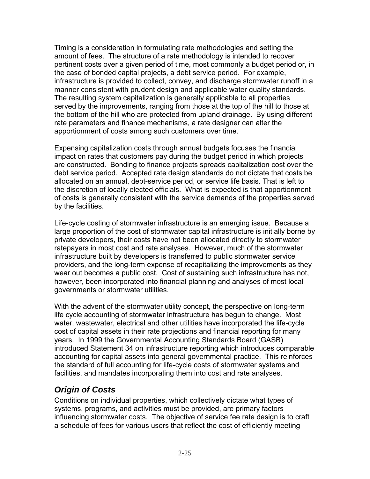Timing is a consideration in formulating rate methodologies and setting the amount of fees. The structure of a rate methodology is intended to recover pertinent costs over a given period of time, most commonly a budget period or, in the case of bonded capital projects, a debt service period. For example, infrastructure is provided to collect, convey, and discharge stormwater runoff in a manner consistent with prudent design and applicable water quality standards. The resulting system capitalization is generally applicable to all properties served by the improvements, ranging from those at the top of the hill to those at the bottom of the hill who are protected from upland drainage. By using different rate parameters and finance mechanisms, a rate designer can alter the apportionment of costs among such customers over time.

Expensing capitalization costs through annual budgets focuses the financial impact on rates that customers pay during the budget period in which projects are constructed. Bonding to finance projects spreads capitalization cost over the debt service period. Accepted rate design standards do not dictate that costs be allocated on an annual, debt-service period, or service life basis. That is left to the discretion of locally elected officials. What is expected is that apportionment of costs is generally consistent with the service demands of the properties served by the facilities.

Life-cycle costing of stormwater infrastructure is an emerging issue. Because a large proportion of the cost of stormwater capital infrastructure is initially borne by private developers, their costs have not been allocated directly to stormwater ratepayers in most cost and rate analyses. However, much of the stormwater infrastructure built by developers is transferred to public stormwater service providers, and the long-term expense of recapitalizing the improvements as they wear out becomes a public cost. Cost of sustaining such infrastructure has not, however, been incorporated into financial planning and analyses of most local governments or stormwater utilities.

With the advent of the stormwater utility concept, the perspective on long-term life cycle accounting of stormwater infrastructure has begun to change. Most water, wastewater, electrical and other utilities have incorporated the life-cycle cost of capital assets in their rate projections and financial reporting for many years. In 1999 the Governmental Accounting Standards Board (GASB) introduced Statement 34 on infrastructure reporting which introduces comparable accounting for capital assets into general governmental practice. This reinforces the standard of full accounting for life-cycle costs of stormwater systems and facilities, and mandates incorporating them into cost and rate analyses.

### *Origin of Costs*

Conditions on individual properties, which collectively dictate what types of systems, programs, and activities must be provided, are primary factors influencing stormwater costs. The objective of service fee rate design is to craft a schedule of fees for various users that reflect the cost of efficiently meeting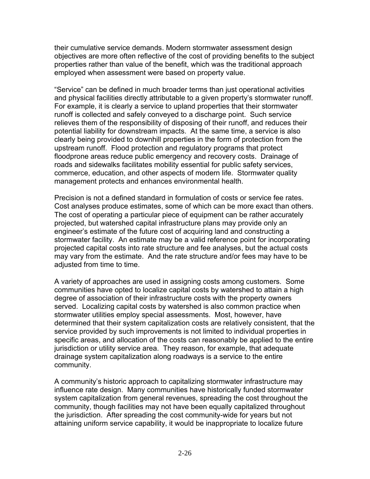their cumulative service demands. Modern stormwater assessment design objectives are more often reflective of the cost of providing benefits to the subject properties rather than value of the benefit, which was the traditional approach employed when assessment were based on property value.

"Service" can be defined in much broader terms than just operational activities and physical facilities directly attributable to a given property's stormwater runoff. For example, it is clearly a service to upland properties that their stormwater runoff is collected and safely conveyed to a discharge point. Such service relieves them of the responsibility of disposing of their runoff, and reduces their potential liability for downstream impacts. At the same time, a service is also clearly being provided to downhill properties in the form of protection from the upstream runoff. Flood protection and regulatory programs that protect floodprone areas reduce public emergency and recovery costs. Drainage of roads and sidewalks facilitates mobility essential for public safety services, commerce, education, and other aspects of modern life. Stormwater quality management protects and enhances environmental health.

Precision is not a defined standard in formulation of costs or service fee rates. Cost analyses produce estimates, some of which can be more exact than others. The cost of operating a particular piece of equipment can be rather accurately projected, but watershed capital infrastructure plans may provide only an engineer's estimate of the future cost of acquiring land and constructing a stormwater facility. An estimate may be a valid reference point for incorporating projected capital costs into rate structure and fee analyses, but the actual costs may vary from the estimate. And the rate structure and/or fees may have to be adjusted from time to time.

A variety of approaches are used in assigning costs among customers. Some communities have opted to localize capital costs by watershed to attain a high degree of association of their infrastructure costs with the property owners served. Localizing capital costs by watershed is also common practice when stormwater utilities employ special assessments. Most, however, have determined that their system capitalization costs are relatively consistent, that the service provided by such improvements is not limited to individual properties in specific areas, and allocation of the costs can reasonably be applied to the entire jurisdiction or utility service area. They reason, for example, that adequate drainage system capitalization along roadways is a service to the entire community.

A community's historic approach to capitalizing stormwater infrastructure may influence rate design. Many communities have historically funded stormwater system capitalization from general revenues, spreading the cost throughout the community, though facilities may not have been equally capitalized throughout the jurisdiction. After spreading the cost community-wide for years but not attaining uniform service capability, it would be inappropriate to localize future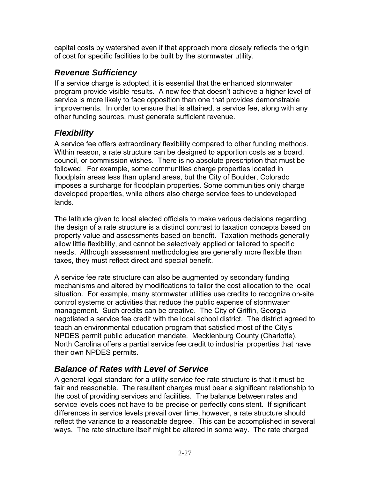capital costs by watershed even if that approach more closely reflects the origin of cost for specific facilities to be built by the stormwater utility.

### *Revenue Sufficiency*

If a service charge is adopted, it is essential that the enhanced stormwater program provide visible results. A new fee that doesn't achieve a higher level of service is more likely to face opposition than one that provides demonstrable improvements. In order to ensure that is attained, a service fee, along with any other funding sources, must generate sufficient revenue.

## *Flexibility*

A service fee offers extraordinary flexibility compared to other funding methods. Within reason, a rate structure can be designed to apportion costs as a board, council, or commission wishes. There is no absolute prescription that must be followed. For example, some communities charge properties located in floodplain areas less than upland areas, but the City of Boulder, Colorado imposes a surcharge for floodplain properties. Some communities only charge developed properties, while others also charge service fees to undeveloped lands.

The latitude given to local elected officials to make various decisions regarding the design of a rate structure is a distinct contrast to taxation concepts based on property value and assessments based on benefit. Taxation methods generally allow little flexibility, and cannot be selectively applied or tailored to specific needs. Although assessment methodologies are generally more flexible than taxes, they must reflect direct and special benefit.

A service fee rate structure can also be augmented by secondary funding mechanisms and altered by modifications to tailor the cost allocation to the local situation. For example, many stormwater utilities use credits to recognize on-site control systems or activities that reduce the public expense of stormwater management. Such credits can be creative. The City of Griffin, Georgia negotiated a service fee credit with the local school district. The district agreed to teach an environmental education program that satisfied most of the City's NPDES permit public education mandate. Mecklenburg County (Charlotte), North Carolina offers a partial service fee credit to industrial properties that have their own NPDES permits.

## *Balance of Rates with Level of Service*

A general legal standard for a utility service fee rate structure is that it must be fair and reasonable. The resultant charges must bear a significant relationship to the cost of providing services and facilities. The balance between rates and service levels does not have to be precise or perfectly consistent. If significant differences in service levels prevail over time, however, a rate structure should reflect the variance to a reasonable degree. This can be accomplished in several ways. The rate structure itself might be altered in some way. The rate charged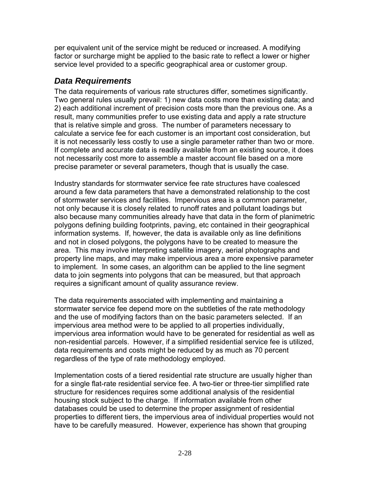per equivalent unit of the service might be reduced or increased. A modifying factor or surcharge might be applied to the basic rate to reflect a lower or higher service level provided to a specific geographical area or customer group.

#### *Data Requirements*

The data requirements of various rate structures differ, sometimes significantly. Two general rules usually prevail: 1) new data costs more than existing data; and 2) each additional increment of precision costs more than the previous one. As a result, many communities prefer to use existing data and apply a rate structure that is relative simple and gross. The number of parameters necessary to calculate a service fee for each customer is an important cost consideration, but it is not necessarily less costly to use a single parameter rather than two or more. If complete and accurate data is readily available from an existing source, it does not necessarily cost more to assemble a master account file based on a more precise parameter or several parameters, though that is usually the case.

Industry standards for stormwater service fee rate structures have coalesced around a few data parameters that have a demonstrated relationship to the cost of stormwater services and facilities. Impervious area is a common parameter, not only because it is closely related to runoff rates and pollutant loadings but also because many communities already have that data in the form of planimetric polygons defining building footprints, paving, etc contained in their geographical information systems. If, however, the data is available only as line definitions and not in closed polygons, the polygons have to be created to measure the area. This may involve interpreting satellite imagery, aerial photographs and property line maps, and may make impervious area a more expensive parameter to implement. In some cases, an algorithm can be applied to the line segment data to join segments into polygons that can be measured, but that approach requires a significant amount of quality assurance review.

The data requirements associated with implementing and maintaining a stormwater service fee depend more on the subtleties of the rate methodology and the use of modifying factors than on the basic parameters selected. If an impervious area method were to be applied to all properties individually, impervious area information would have to be generated for residential as well as non-residential parcels. However, if a simplified residential service fee is utilized, data requirements and costs might be reduced by as much as 70 percent regardless of the type of rate methodology employed.

Implementation costs of a tiered residential rate structure are usually higher than for a single flat-rate residential service fee. A two-tier or three-tier simplified rate structure for residences requires some additional analysis of the residential housing stock subject to the charge. If information available from other databases could be used to determine the proper assignment of residential properties to different tiers, the impervious area of individual properties would not have to be carefully measured. However, experience has shown that grouping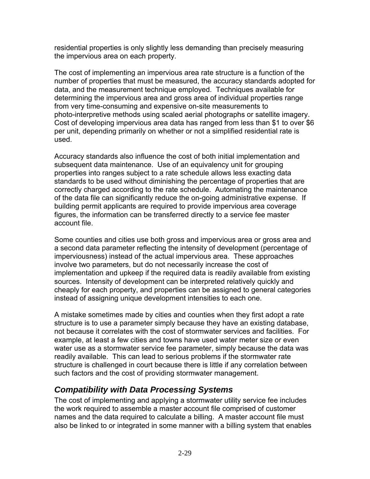residential properties is only slightly less demanding than precisely measuring the impervious area on each property.

The cost of implementing an impervious area rate structure is a function of the number of properties that must be measured, the accuracy standards adopted for data, and the measurement technique employed. Techniques available for determining the impervious area and gross area of individual properties range from very time-consuming and expensive on-site measurements to photo-interpretive methods using scaled aerial photographs or satellite imagery. Cost of developing impervious area data has ranged from less than \$1 to over \$6 per unit, depending primarily on whether or not a simplified residential rate is used.

Accuracy standards also influence the cost of both initial implementation and subsequent data maintenance. Use of an equivalency unit for grouping properties into ranges subject to a rate schedule allows less exacting data standards to be used without diminishing the percentage of properties that are correctly charged according to the rate schedule. Automating the maintenance of the data file can significantly reduce the on-going administrative expense. If building permit applicants are required to provide impervious area coverage figures, the information can be transferred directly to a service fee master account file.

Some counties and cities use both gross and impervious area or gross area and a second data parameter reflecting the intensity of development (percentage of imperviousness) instead of the actual impervious area. These approaches involve two parameters, but do not necessarily increase the cost of implementation and upkeep if the required data is readily available from existing sources. Intensity of development can be interpreted relatively quickly and cheaply for each property, and properties can be assigned to general categories instead of assigning unique development intensities to each one.

A mistake sometimes made by cities and counties when they first adopt a rate structure is to use a parameter simply because they have an existing database, not because it correlates with the cost of stormwater services and facilities. For example, at least a few cities and towns have used water meter size or even water use as a stormwater service fee parameter, simply because the data was readily available. This can lead to serious problems if the stormwater rate structure is challenged in court because there is little if any correlation between such factors and the cost of providing stormwater management.

### *Compatibility with Data Processing Systems*

The cost of implementing and applying a stormwater utility service fee includes the work required to assemble a master account file comprised of customer names and the data required to calculate a billing. A master account file must also be linked to or integrated in some manner with a billing system that enables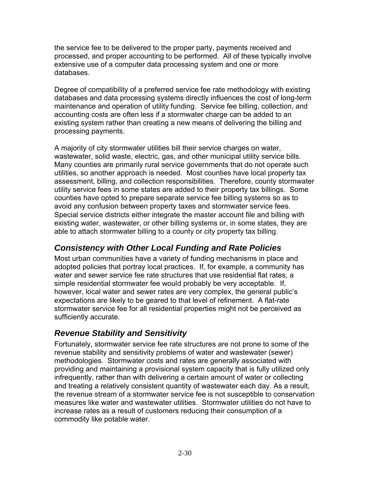the service fee to be delivered to the proper party, payments received and processed, and proper accounting to be performed. All of these typically involve extensive use of a computer data processing system and one or more databases.

Degree of compatibility of a preferred service fee rate methodology with existing databases and data processing systems directly influences the cost of long-term maintenance and operation of utility funding. Service fee billing, collection, and accounting costs are often less if a stormwater charge can be added to an existing system rather than creating a new means of delivering the billing and processing payments.

A majority of city stormwater utilities bill their service charges on water, wastewater, solid waste, electric, gas, and other municipal utility service bills. Many counties are primarily rural service governments that do not operate such utilities, so another approach is needed. Most counties have local property tax assessment, billing, and collection responsibilities. Therefore, county stormwater utility service fees in some states are added to their property tax billings. Some counties have opted to prepare separate service fee billing systems so as to avoid any confusion between property taxes and stormwater service fees. Special service districts either integrate the master account file and billing with existing water, wastewater, or other billing systems or, in some states, they are able to attach stormwater billing to a county or city property tax billing.

### *Consistency with Other Local Funding and Rate Policies*

Most urban communities have a variety of funding mechanisms in place and adopted policies that portray local practices. If, for example, a community has water and sewer service fee rate structures that use residential flat rates, a simple residential stormwater fee would probably be very acceptable. If, however, local water and sewer rates are very complex, the general public's expectations are likely to be geared to that level of refinement. A flat-rate stormwater service fee for all residential properties might not be perceived as sufficiently accurate.

### *Revenue Stability and Sensitivity*

Fortunately, stormwater service fee rate structures are not prone to some of the revenue stability and sensitivity problems of water and wastewater (sewer) methodologies. Stormwater costs and rates are generally associated with providing and maintaining a provisional system capacity that is fully utilized only infrequently, rather than with delivering a certain amount of water or collecting and treating a relatively consistent quantity of wastewater each day. As a result, the revenue stream of a stormwater service fee is not susceptible to conservation measures like water and wastewater utilities. Stormwater utilities do not have to increase rates as a result of customers reducing their consumption of a commodity like potable water.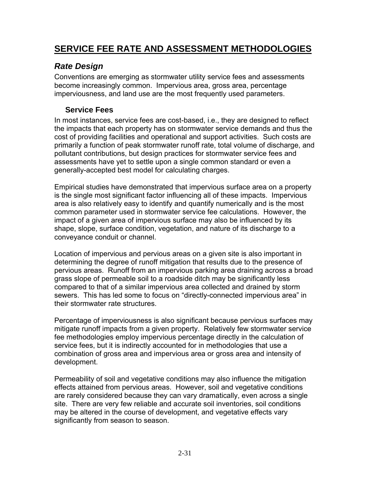## **SERVICE FEE RATE AND ASSESSMENT METHODOLOGIES**

## *Rate Design*

Conventions are emerging as stormwater utility service fees and assessments become increasingly common. Impervious area, gross area, percentage imperviousness, and land use are the most frequently used parameters.

#### **Service Fees**

In most instances, service fees are cost-based, i.e., they are designed to reflect the impacts that each property has on stormwater service demands and thus the cost of providing facilities and operational and support activities. Such costs are primarily a function of peak stormwater runoff rate, total volume of discharge, and pollutant contributions, but design practices for stormwater service fees and assessments have yet to settle upon a single common standard or even a generally-accepted best model for calculating charges.

Empirical studies have demonstrated that impervious surface area on a property is the single most significant factor influencing all of these impacts. Impervious area is also relatively easy to identify and quantify numerically and is the most common parameter used in stormwater service fee calculations. However, the impact of a given area of impervious surface may also be influenced by its shape, slope, surface condition, vegetation, and nature of its discharge to a conveyance conduit or channel.

Location of impervious and pervious areas on a given site is also important in determining the degree of runoff mitigation that results due to the presence of pervious areas. Runoff from an impervious parking area draining across a broad grass slope of permeable soil to a roadside ditch may be significantly less compared to that of a similar impervious area collected and drained by storm sewers. This has led some to focus on "directly-connected impervious area" in their stormwater rate structures.

Percentage of imperviousness is also significant because pervious surfaces may mitigate runoff impacts from a given property. Relatively few stormwater service fee methodologies employ impervious percentage directly in the calculation of service fees, but it is indirectly accounted for in methodologies that use a combination of gross area and impervious area or gross area and intensity of development.

Permeability of soil and vegetative conditions may also influence the mitigation effects attained from pervious areas. However, soil and vegetative conditions are rarely considered because they can vary dramatically, even across a single site. There are very few reliable and accurate soil inventories, soil conditions may be altered in the course of development, and vegetative effects vary significantly from season to season.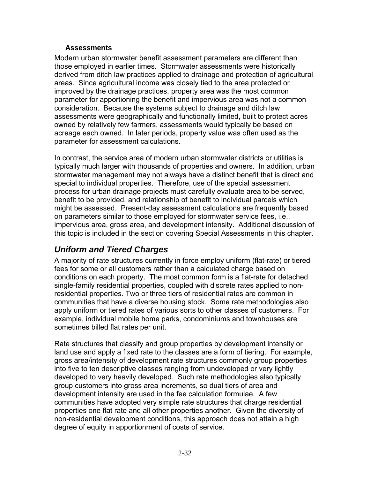#### **Assessments**

Modern urban stormwater benefit assessment parameters are different than those employed in earlier times. Stormwater assessments were historically derived from ditch law practices applied to drainage and protection of agricultural areas. Since agricultural income was closely tied to the area protected or improved by the drainage practices, property area was the most common parameter for apportioning the benefit and impervious area was not a common consideration. Because the systems subject to drainage and ditch law assessments were geographically and functionally limited, built to protect acres owned by relatively few farmers, assessments would typically be based on acreage each owned. In later periods, property value was often used as the parameter for assessment calculations.

In contrast, the service area of modern urban stormwater districts or utilities is typically much larger with thousands of properties and owners. In addition, urban stormwater management may not always have a distinct benefit that is direct and special to individual properties. Therefore, use of the special assessment process for urban drainage projects must carefully evaluate area to be served, benefit to be provided, and relationship of benefit to individual parcels which might be assessed. Present-day assessment calculations are frequently based on parameters similar to those employed for stormwater service fees, i.e., impervious area, gross area, and development intensity. Additional discussion of this topic is included in the section covering Special Assessments in this chapter.

#### *Uniform and Tiered Charges*

A majority of rate structures currently in force employ uniform (flat-rate) or tiered fees for some or all customers rather than a calculated charge based on conditions on each property. The most common form is a flat-rate for detached single-family residential properties, coupled with discrete rates applied to nonresidential properties. Two or three tiers of residential rates are common in communities that have a diverse housing stock. Some rate methodologies also apply uniform or tiered rates of various sorts to other classes of customers. For example, individual mobile home parks, condominiums and townhouses are sometimes billed flat rates per unit.

Rate structures that classify and group properties by development intensity or land use and apply a fixed rate to the classes are a form of tiering. For example, gross area/intensity of development rate structures commonly group properties into five to ten descriptive classes ranging from undeveloped or very lightly developed to very heavily developed. Such rate methodologies also typically group customers into gross area increments, so dual tiers of area and development intensity are used in the fee calculation formulae. A few communities have adopted very simple rate structures that charge residential properties one flat rate and all other properties another. Given the diversity of non-residential development conditions, this approach does not attain a high degree of equity in apportionment of costs of service.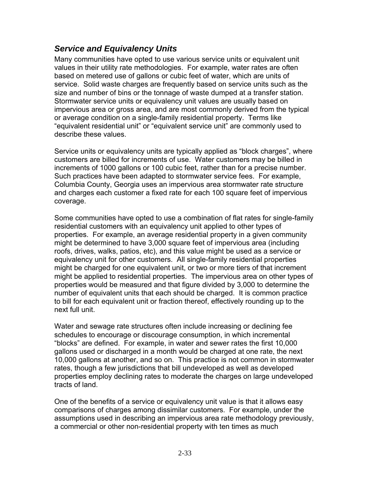#### *Service and Equivalency Units*

Many communities have opted to use various service units or equivalent unit values in their utility rate methodologies. For example, water rates are often based on metered use of gallons or cubic feet of water, which are units of service. Solid waste charges are frequently based on service units such as the size and number of bins or the tonnage of waste dumped at a transfer station. Stormwater service units or equivalency unit values are usually based on impervious area or gross area, and are most commonly derived from the typical or average condition on a single-family residential property. Terms like "equivalent residential unit" or "equivalent service unit" are commonly used to describe these values.

Service units or equivalency units are typically applied as "block charges", where customers are billed for increments of use. Water customers may be billed in increments of 1000 gallons or 100 cubic feet, rather than for a precise number. Such practices have been adapted to stormwater service fees. For example, Columbia County, Georgia uses an impervious area stormwater rate structure and charges each customer a fixed rate for each 100 square feet of impervious coverage.

Some communities have opted to use a combination of flat rates for single-family residential customers with an equivalency unit applied to other types of properties. For example, an average residential property in a given community might be determined to have 3,000 square feet of impervious area (including roofs, drives, walks, patios, etc), and this value might be used as a service or equivalency unit for other customers. All single-family residential properties might be charged for one equivalent unit, or two or more tiers of that increment might be applied to residential properties. The impervious area on other types of properties would be measured and that figure divided by 3,000 to determine the number of equivalent units that each should be charged. It is common practice to bill for each equivalent unit or fraction thereof, effectively rounding up to the next full unit.

Water and sewage rate structures often include increasing or declining fee schedules to encourage or discourage consumption, in which incremental "blocks" are defined. For example, in water and sewer rates the first 10,000 gallons used or discharged in a month would be charged at one rate, the next 10,000 gallons at another, and so on. This practice is not common in stormwater rates, though a few jurisdictions that bill undeveloped as well as developed properties employ declining rates to moderate the charges on large undeveloped tracts of land.

One of the benefits of a service or equivalency unit value is that it allows easy comparisons of charges among dissimilar customers. For example, under the assumptions used in describing an impervious area rate methodology previously, a commercial or other non-residential property with ten times as much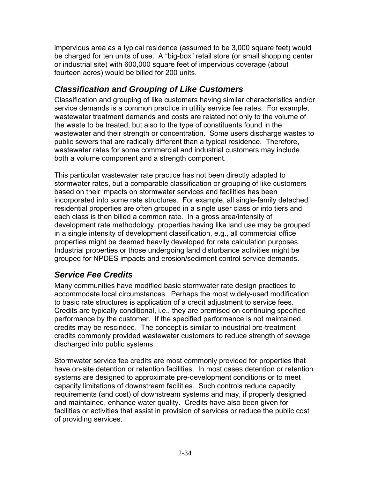impervious area as a typical residence (assumed to be 3,000 square feet) would be charged for ten units of use. A "big-box" retail store (or small shopping center or industrial site) with 600,000 square feet of impervious coverage (about fourteen acres) would be billed for 200 units.

## *Classification and Grouping of Like Customers*

Classification and grouping of like customers having similar characteristics and/or service demands is a common practice in utility service fee rates. For example, wastewater treatment demands and costs are related not only to the volume of the waste to be treated, but also to the type of constituents found in the wastewater and their strength or concentration. Some users discharge wastes to public sewers that are radically different than a typical residence. Therefore, wastewater rates for some commercial and industrial customers may include both a volume component and a strength component.

This particular wastewater rate practice has not been directly adapted to stormwater rates, but a comparable classification or grouping of like customers based on their impacts on stormwater services and facilities has been incorporated into some rate structures. For example, all single-family detached residential properties are often grouped in a single user class or into tiers and each class is then billed a common rate. In a gross area/intensity of development rate methodology, properties having like land use may be grouped in a single intensity of development classification, e.g., all commercial office properties might be deemed heavily developed for rate calculation purposes. Industrial properties or those undergoing land disturbance activities might be grouped for NPDES impacts and erosion/sediment control service demands.

## *Service Fee Credits*

Many communities have modified basic stormwater rate design practices to accommodate local circumstances. Perhaps the most widely-used modification to basic rate structures is application of a credit adjustment to service fees. Credits are typically conditional, i.e., they are premised on continuing specified performance by the customer. If the specified performance is not maintained, credits may be rescinded. The concept is similar to industrial pre-treatment credits commonly provided wastewater customers to reduce strength of sewage discharged into public systems.

Stormwater service fee credits are most commonly provided for properties that have on-site detention or retention facilities. In most cases detention or retention systems are designed to approximate pre-development conditions or to meet capacity limitations of downstream facilities. Such controls reduce capacity requirements (and cost) of downstream systems and may, if properly designed and maintained, enhance water quality. Credits have also been given for facilities or activities that assist in provision of services or reduce the public cost of providing services.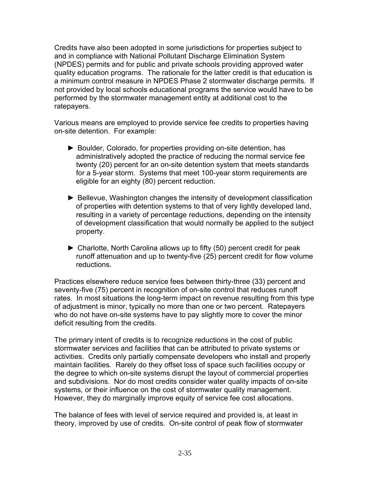Credits have also been adopted in some jurisdictions for properties subject to and in compliance with National Pollutant Discharge Elimination System (NPDES) permits and for public and private schools providing approved water quality education programs. The rationale for the latter credit is that education is a minimum control measure in NPDES Phase 2 stormwater discharge permits. If not provided by local schools educational programs the service would have to be performed by the stormwater management entity at additional cost to the ratepayers.

Various means are employed to provide service fee credits to properties having on-site detention. For example:

- ► Boulder, Colorado, for properties providing on-site detention, has administratively adopted the practice of reducing the normal service fee twenty (20) percent for an on-site detention system that meets standards for a 5-year storm. Systems that meet 100-year storm requirements are eligible for an eighty (80) percent reduction.
- ► Bellevue, Washington changes the intensity of development classification of properties with detention systems to that of very lightly developed land, resulting in a variety of percentage reductions, depending on the intensity of development classification that would normally be applied to the subject property.
- ► Charlotte, North Carolina allows up to fifty (50) percent credit for peak runoff attenuation and up to twenty-five (25) percent credit for flow volume reductions.

Practices elsewhere reduce service fees between thirty-three (33) percent and seventy-five (75) percent in recognition of on-site control that reduces runoff rates. In most situations the long-term impact on revenue resulting from this type of adjustment is minor, typically no more than one or two percent. Ratepayers who do not have on-site systems have to pay slightly more to cover the minor deficit resulting from the credits.

The primary intent of credits is to recognize reductions in the cost of public stormwater services and facilities that can be attributed to private systems or activities. Credits only partially compensate developers who install and properly maintain facilities. Rarely do they offset loss of space such facilities occupy or the degree to which on-site systems disrupt the layout of commercial properties and subdivisions. Nor do most credits consider water quality impacts of on-site systems, or their influence on the cost of stormwater quality management. However, they do marginally improve equity of service fee cost allocations.

The balance of fees with level of service required and provided is, at least in theory, improved by use of credits. On-site control of peak flow of stormwater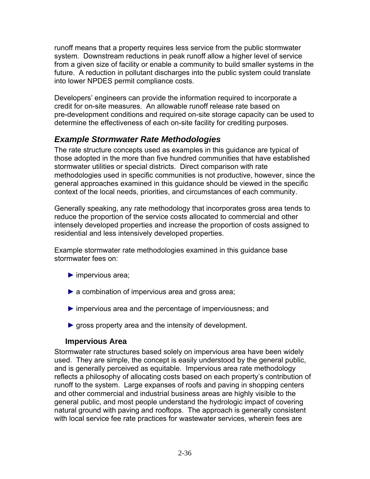runoff means that a property requires less service from the public stormwater system. Downstream reductions in peak runoff allow a higher level of service from a given size of facility or enable a community to build smaller systems in the future. A reduction in pollutant discharges into the public system could translate into lower NPDES permit compliance costs.

Developers' engineers can provide the information required to incorporate a credit for on-site measures. An allowable runoff release rate based on pre-development conditions and required on-site storage capacity can be used to determine the effectiveness of each on-site facility for crediting purposes.

### *Example Stormwater Rate Methodologies*

The rate structure concepts used as examples in this guidance are typical of those adopted in the more than five hundred communities that have established stormwater utilities or special districts. Direct comparison with rate methodologies used in specific communities is not productive, however, since the general approaches examined in this guidance should be viewed in the specific context of the local needs, priorities, and circumstances of each community.

Generally speaking, any rate methodology that incorporates gross area tends to reduce the proportion of the service costs allocated to commercial and other intensely developed properties and increase the proportion of costs assigned to residential and less intensively developed properties.

Example stormwater rate methodologies examined in this guidance base stormwater fees on:

- ► impervious area;
- ▶ a combination of impervious area and gross area;
- ► impervious area and the percentage of imperviousness; and
- ▶ gross property area and the intensity of development.

#### **Impervious Area**

Stormwater rate structures based solely on impervious area have been widely used. They are simple, the concept is easily understood by the general public, and is generally perceived as equitable. Impervious area rate methodology reflects a philosophy of allocating costs based on each property's contribution of runoff to the system. Large expanses of roofs and paving in shopping centers and other commercial and industrial business areas are highly visible to the general public, and most people understand the hydrologic impact of covering natural ground with paving and rooftops. The approach is generally consistent with local service fee rate practices for wastewater services, wherein fees are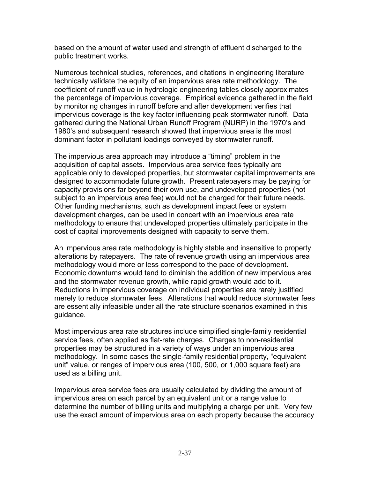based on the amount of water used and strength of effluent discharged to the public treatment works.

Numerous technical studies, references, and citations in engineering literature technically validate the equity of an impervious area rate methodology. The coefficient of runoff value in hydrologic engineering tables closely approximates the percentage of impervious coverage. Empirical evidence gathered in the field by monitoring changes in runoff before and after development verifies that impervious coverage is the key factor influencing peak stormwater runoff. Data gathered during the National Urban Runoff Program (NURP) in the 1970's and 1980's and subsequent research showed that impervious area is the most dominant factor in pollutant loadings conveyed by stormwater runoff.

The impervious area approach may introduce a "timing" problem in the acquisition of capital assets. Impervious area service fees typically are applicable only to developed properties, but stormwater capital improvements are designed to accommodate future growth. Present ratepayers may be paying for capacity provisions far beyond their own use, and undeveloped properties (not subject to an impervious area fee) would not be charged for their future needs. Other funding mechanisms, such as development impact fees or system development charges, can be used in concert with an impervious area rate methodology to ensure that undeveloped properties ultimately participate in the cost of capital improvements designed with capacity to serve them.

An impervious area rate methodology is highly stable and insensitive to property alterations by ratepayers. The rate of revenue growth using an impervious area methodology would more or less correspond to the pace of development. Economic downturns would tend to diminish the addition of new impervious area and the stormwater revenue growth, while rapid growth would add to it. Reductions in impervious coverage on individual properties are rarely justified merely to reduce stormwater fees. Alterations that would reduce stormwater fees are essentially infeasible under all the rate structure scenarios examined in this guidance.

Most impervious area rate structures include simplified single-family residential service fees, often applied as flat-rate charges. Charges to non-residential properties may be structured in a variety of ways under an impervious area methodology. In some cases the single-family residential property, "equivalent unit" value, or ranges of impervious area (100, 500, or 1,000 square feet) are used as a billing unit.

Impervious area service fees are usually calculated by dividing the amount of impervious area on each parcel by an equivalent unit or a range value to determine the number of billing units and multiplying a charge per unit. Very few use the exact amount of impervious area on each property because the accuracy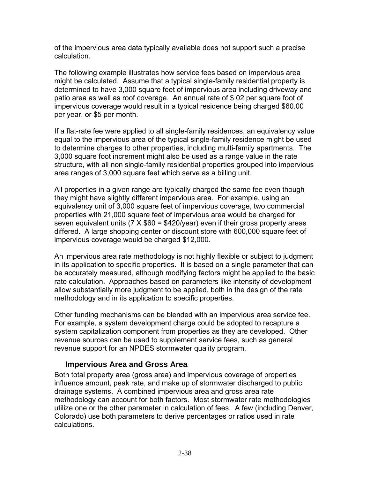of the impervious area data typically available does not support such a precise calculation.

The following example illustrates how service fees based on impervious area might be calculated. Assume that a typical single-family residential property is determined to have 3,000 square feet of impervious area including driveway and patio area as well as roof coverage. An annual rate of \$.02 per square foot of impervious coverage would result in a typical residence being charged \$60.00 per year, or \$5 per month.

If a flat-rate fee were applied to all single-family residences, an equivalency value equal to the impervious area of the typical single-family residence might be used to determine charges to other properties, including multi-family apartments. The 3,000 square foot increment might also be used as a range value in the rate structure, with all non single-family residential properties grouped into impervious area ranges of 3,000 square feet which serve as a billing unit.

All properties in a given range are typically charged the same fee even though they might have slightly different impervious area. For example, using an equivalency unit of 3,000 square feet of impervious coverage, two commercial properties with 21,000 square feet of impervious area would be charged for seven equivalent units ( $7 \times $60 = $420$ /year) even if their gross property areas differed. A large shopping center or discount store with 600,000 square feet of impervious coverage would be charged \$12,000.

An impervious area rate methodology is not highly flexible or subject to judgment in its application to specific properties. It is based on a single parameter that can be accurately measured, although modifying factors might be applied to the basic rate calculation. Approaches based on parameters like intensity of development allow substantially more judgment to be applied, both in the design of the rate methodology and in its application to specific properties.

Other funding mechanisms can be blended with an impervious area service fee. For example, a system development charge could be adopted to recapture a system capitalization component from properties as they are developed. Other revenue sources can be used to supplement service fees, such as general revenue support for an NPDES stormwater quality program.

#### **Impervious Area and Gross Area**

Both total property area (gross area) and impervious coverage of properties influence amount, peak rate, and make up of stormwater discharged to public drainage systems. A combined impervious area and gross area rate methodology can account for both factors. Most stormwater rate methodologies utilize one or the other parameter in calculation of fees. A few (including Denver, Colorado) use both parameters to derive percentages or ratios used in rate calculations.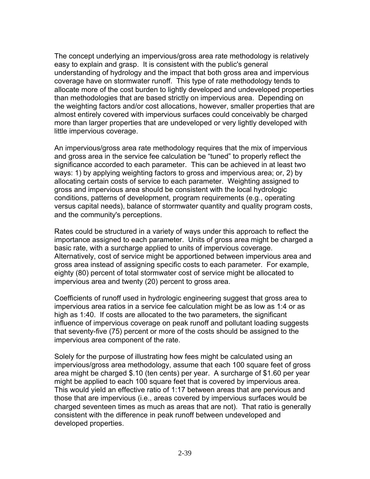The concept underlying an impervious/gross area rate methodology is relatively easy to explain and grasp. It is consistent with the public's general understanding of hydrology and the impact that both gross area and impervious coverage have on stormwater runoff. This type of rate methodology tends to allocate more of the cost burden to lightly developed and undeveloped properties than methodologies that are based strictly on impervious area. Depending on the weighting factors and/or cost allocations, however, smaller properties that are almost entirely covered with impervious surfaces could conceivably be charged more than larger properties that are undeveloped or very lightly developed with little impervious coverage.

An impervious/gross area rate methodology requires that the mix of impervious and gross area in the service fee calculation be "tuned" to properly reflect the significance accorded to each parameter. This can be achieved in at least two ways: 1) by applying weighting factors to gross and impervious area; or, 2) by allocating certain costs of service to each parameter. Weighting assigned to gross and impervious area should be consistent with the local hydrologic conditions, patterns of development, program requirements (e.g., operating versus capital needs), balance of stormwater quantity and quality program costs, and the community's perceptions.

Rates could be structured in a variety of ways under this approach to reflect the importance assigned to each parameter. Units of gross area might be charged a basic rate, with a surcharge applied to units of impervious coverage. Alternatively, cost of service might be apportioned between impervious area and gross area instead of assigning specific costs to each parameter. For example, eighty (80) percent of total stormwater cost of service might be allocated to impervious area and twenty (20) percent to gross area.

Coefficients of runoff used in hydrologic engineering suggest that gross area to impervious area ratios in a service fee calculation might be as low as 1:4 or as high as 1:40. If costs are allocated to the two parameters, the significant influence of impervious coverage on peak runoff and pollutant loading suggests that seventy-five (75) percent or more of the costs should be assigned to the impervious area component of the rate.

Solely for the purpose of illustrating how fees might be calculated using an impervious/gross area methodology, assume that each 100 square feet of gross area might be charged \$.10 (ten cents) per year. A surcharge of \$1.60 per year might be applied to each 100 square feet that is covered by impervious area. This would yield an effective ratio of 1:17 between areas that are pervious and those that are impervious (i.e., areas covered by impervious surfaces would be charged seventeen times as much as areas that are not). That ratio is generally consistent with the difference in peak runoff between undeveloped and developed properties.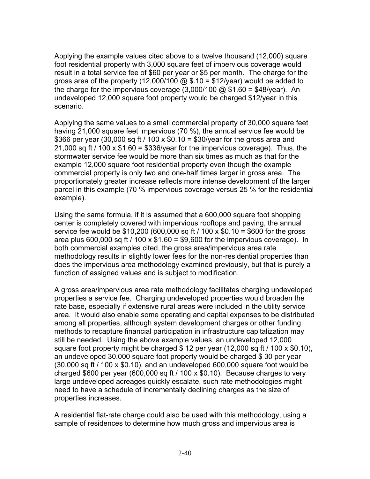Applying the example values cited above to a twelve thousand (12,000) square foot residential property with 3,000 square feet of impervious coverage would result in a total service fee of \$60 per year or \$5 per month. The charge for the gross area of the property (12,000/100  $\textcircled{a}$  \$.10 = \$12/year) would be added to the charge for the impervious coverage  $(3,000/100 \text{ @ } $1.60 = $48/\text{year})$ . An undeveloped 12,000 square foot property would be charged \$12/year in this scenario.

Applying the same values to a small commercial property of 30,000 square feet having 21,000 square feet impervious (70 %), the annual service fee would be \$366 per year (30,000 sq ft / 100 x \$0.10 = \$30/year for the gross area and 21,000 sq ft  $/$  100 x \$1.60 = \$336/year for the impervious coverage). Thus, the stormwater service fee would be more than six times as much as that for the example 12,000 square foot residential property even though the example commercial property is only two and one-half times larger in gross area. The proportionately greater increase reflects more intense development of the larger parcel in this example (70 % impervious coverage versus 25 % for the residential example).

Using the same formula, if it is assumed that a 600,000 square foot shopping center is completely covered with impervious rooftops and paving, the annual service fee would be \$10,200 (600,000 sq ft / 100 x \$0.10 = \$600 for the gross area plus 600,000 sq ft / 100 x  $$1.60 = $9,600$  for the impervious coverage). In both commercial examples cited, the gross area/impervious area rate methodology results in slightly lower fees for the non-residential properties than does the impervious area methodology examined previously, but that is purely a function of assigned values and is subject to modification.

A gross area/impervious area rate methodology facilitates charging undeveloped properties a service fee. Charging undeveloped properties would broaden the rate base, especially if extensive rural areas were included in the utility service area. It would also enable some operating and capital expenses to be distributed among all properties, although system development charges or other funding methods to recapture financial participation in infrastructure capitalization may still be needed. Using the above example values, an undeveloped 12,000 square foot property might be charged \$ 12 per year (12,000 sq ft / 100 x \$0.10), an undeveloped 30,000 square foot property would be charged \$ 30 per year (30,000 sq ft / 100 x \$0.10), and an undeveloped 600,000 square foot would be charged  $$600$  per year (600,000 sq ft / 100 x  $$0.10$ ). Because charges to very large undeveloped acreages quickly escalate, such rate methodologies might need to have a schedule of incrementally declining charges as the size of properties increases.

A residential flat-rate charge could also be used with this methodology, using a sample of residences to determine how much gross and impervious area is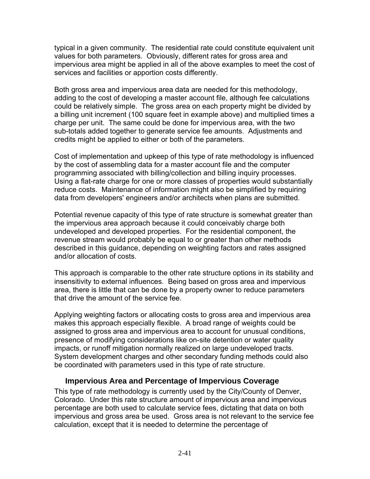typical in a given community. The residential rate could constitute equivalent unit values for both parameters. Obviously, different rates for gross area and impervious area might be applied in all of the above examples to meet the cost of services and facilities or apportion costs differently.

Both gross area and impervious area data are needed for this methodology, adding to the cost of developing a master account file, although fee calculations could be relatively simple. The gross area on each property might be divided by a billing unit increment (100 square feet in example above) and multiplied times a charge per unit. The same could be done for impervious area, with the two sub-totals added together to generate service fee amounts. Adjustments and credits might be applied to either or both of the parameters.

Cost of implementation and upkeep of this type of rate methodology is influenced by the cost of assembling data for a master account file and the computer programming associated with billing/collection and billing inquiry processes. Using a flat-rate charge for one or more classes of properties would substantially reduce costs. Maintenance of information might also be simplified by requiring data from developers' engineers and/or architects when plans are submitted.

Potential revenue capacity of this type of rate structure is somewhat greater than the impervious area approach because it could conceivably charge both undeveloped and developed properties. For the residential component, the revenue stream would probably be equal to or greater than other methods described in this guidance, depending on weighting factors and rates assigned and/or allocation of costs.

This approach is comparable to the other rate structure options in its stability and insensitivity to external influences. Being based on gross area and impervious area, there is little that can be done by a property owner to reduce parameters that drive the amount of the service fee.

Applying weighting factors or allocating costs to gross area and impervious area makes this approach especially flexible. A broad range of weights could be assigned to gross area and impervious area to account for unusual conditions, presence of modifying considerations like on-site detention or water quality impacts, or runoff mitigation normally realized on large undeveloped tracts. System development charges and other secondary funding methods could also be coordinated with parameters used in this type of rate structure.

#### **Impervious Area and Percentage of Impervious Coverage**

This type of rate methodology is currently used by the City/County of Denver, Colorado. Under this rate structure amount of impervious area and impervious percentage are both used to calculate service fees, dictating that data on both impervious and gross area be used. Gross area is not relevant to the service fee calculation, except that it is needed to determine the percentage of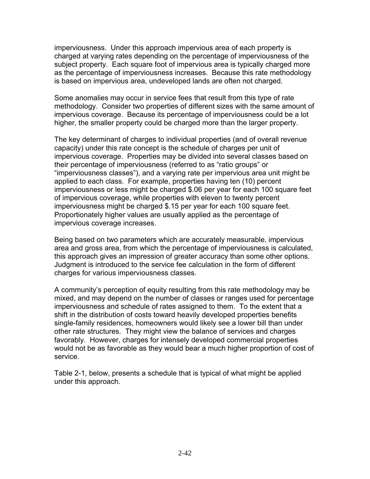imperviousness. Under this approach impervious area of each property is charged at varying rates depending on the percentage of imperviousness of the subject property. Each square foot of impervious area is typically charged more as the percentage of imperviousness increases. Because this rate methodology is based on impervious area, undeveloped lands are often not charged.

Some anomalies may occur in service fees that result from this type of rate methodology. Consider two properties of different sizes with the same amount of impervious coverage. Because its percentage of imperviousness could be a lot higher, the smaller property could be charged more than the larger property.

The key determinant of charges to individual properties (and of overall revenue capacity) under this rate concept is the schedule of charges per unit of impervious coverage. Properties may be divided into several classes based on their percentage of imperviousness (referred to as "ratio groups" or "imperviousness classes"), and a varying rate per impervious area unit might be applied to each class. For example, properties having ten (10) percent imperviousness or less might be charged \$.06 per year for each 100 square feet of impervious coverage, while properties with eleven to twenty percent imperviousness might be charged \$.15 per year for each 100 square feet. Proportionately higher values are usually applied as the percentage of impervious coverage increases.

Being based on two parameters which are accurately measurable, impervious area and gross area, from which the percentage of imperviousness is calculated, this approach gives an impression of greater accuracy than some other options. Judgment is introduced to the service fee calculation in the form of different charges for various imperviousness classes.

A community's perception of equity resulting from this rate methodology may be mixed, and may depend on the number of classes or ranges used for percentage imperviousness and schedule of rates assigned to them. To the extent that a shift in the distribution of costs toward heavily developed properties benefits single-family residences, homeowners would likely see a lower bill than under other rate structures. They might view the balance of services and charges favorably. However, charges for intensely developed commercial properties would not be as favorable as they would bear a much higher proportion of cost of service.

Table 2-1, below, presents a schedule that is typical of what might be applied under this approach.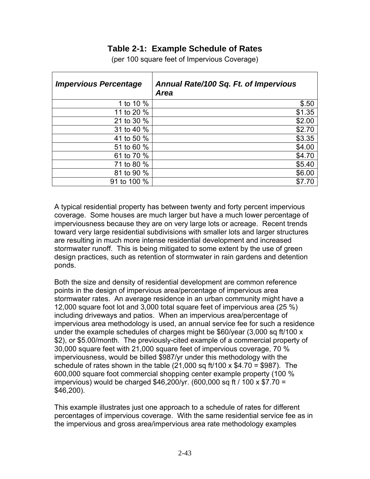#### **Table 2-1: Example Schedule of Rates**

| <b>Impervious Percentage</b> | Annual Rate/100 Sq. Ft. of Impervious<br><b>Area</b> |
|------------------------------|------------------------------------------------------|
| 1 to 10 %                    | \$.50                                                |
| 11 to 20 %                   | \$1.35                                               |
| 21 to 30 %                   | \$2.00                                               |
| 31 to 40 %                   | \$2.70                                               |
| 41 to 50 %                   | \$3.35                                               |
| 51 to 60 %                   | \$4.00                                               |
| 61 to 70 %                   | \$4.70                                               |
| 71 to 80 %                   | \$5.40                                               |
| 81 to 90 %                   | \$6.00                                               |
| 91 to 100 %                  |                                                      |

(per 100 square feet of Impervious Coverage)

A typical residential property has between twenty and forty percent impervious coverage. Some houses are much larger but have a much lower percentage of imperviousness because they are on very large lots or acreage. Recent trends toward very large residential subdivisions with smaller lots and larger structures are resulting in much more intense residential development and increased stormwater runoff. This is being mitigated to some extent by the use of green design practices, such as retention of stormwater in rain gardens and detention ponds.

Both the size and density of residential development are common reference points in the design of impervious area/percentage of impervious area stormwater rates. An average residence in an urban community might have a 12,000 square foot lot and 3,000 total square feet of impervious area (25 %) including driveways and patios. When an impervious area/percentage of impervious area methodology is used, an annual service fee for such a residence under the example schedules of charges might be \$60/year (3,000 sq ft/100 x \$2), or \$5.00/month. The previously-cited example of a commercial property of 30,000 square feet with 21,000 square feet of impervious coverage, 70 % imperviousness, would be billed \$987/yr under this methodology with the schedule of rates shown in the table  $(21,000 \text{ sq ft}/100 \times $4.70 = $987)$ . The 600,000 square foot commercial shopping center example property (100 % impervious) would be charged \$46,200/yr. (600,000 sq ft / 100 x \$7.70 = \$46,200).

This example illustrates just one approach to a schedule of rates for different percentages of impervious coverage. With the same residential service fee as in the impervious and gross area/impervious area rate methodology examples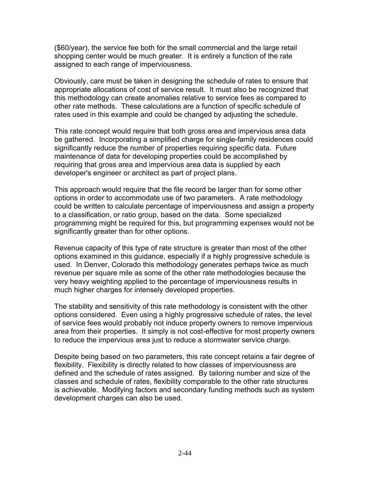(\$60/year), the service fee both for the small commercial and the large retail shopping center would be much greater. It is entirely a function of the rate assigned to each range of imperviousness.

Obviously, care must be taken in designing the schedule of rates to ensure that appropriate allocations of cost of service result. It must also be recognized that this methodology can create anomalies relative to service fees as compared to other rate methods. These calculations are a function of specific schedule of rates used in this example and could be changed by adjusting the schedule.

This rate concept would require that both gross area and impervious area data be gathered. Incorporating a simplified charge for single-family residences could significantly reduce the number of properties requiring specific data. Future maintenance of data for developing properties could be accomplished by requiring that gross area and impervious area data is supplied by each developer's engineer or architect as part of project plans.

This approach would require that the file record be larger than for some other options in order to accommodate use of two parameters. A rate methodology could be written to calculate percentage of imperviousness and assign a property to a classification, or ratio group, based on the data. Some specialized programming might be required for this, but programming expenses would not be significantly greater than for other options.

Revenue capacity of this type of rate structure is greater than most of the other options examined in this guidance, especially if a highly progressive schedule is used. In Denver, Colorado this methodology generates perhaps twice as much revenue per square mile as some of the other rate methodologies because the very heavy weighting applied to the percentage of imperviousness results in much higher charges for intensely developed properties.

The stability and sensitivity of this rate methodology is consistent with the other options considered. Even using a highly progressive schedule of rates, the level of service fees would probably not induce property owners to remove impervious area from their properties. It simply is not cost-effective for most property owners to reduce the impervious area just to reduce a stormwater service charge.

Despite being based on two parameters, this rate concept retains a fair degree of flexibility. Flexibility is directly related to how classes of imperviousness are defined and the schedule of rates assigned. By tailoring number and size of the classes and schedule of rates, flexibility comparable to the other rate structures is achievable. Modifying factors and secondary funding methods such as system development charges can also be used.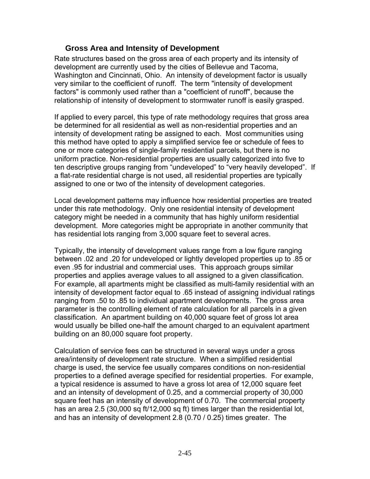#### **Gross Area and Intensity of Development**

Rate structures based on the gross area of each property and its intensity of development are currently used by the cities of Bellevue and Tacoma, Washington and Cincinnati, Ohio. An intensity of development factor is usually very similar to the coefficient of runoff. The term "intensity of development factors" is commonly used rather than a "coefficient of runoff", because the relationship of intensity of development to stormwater runoff is easily grasped.

If applied to every parcel, this type of rate methodology requires that gross area be determined for all residential as well as non-residential properties and an intensity of development rating be assigned to each. Most communities using this method have opted to apply a simplified service fee or schedule of fees to one or more categories of single-family residential parcels, but there is no uniform practice. Non-residential properties are usually categorized into five to ten descriptive groups ranging from "undeveloped" to "very heavily developed". If a flat-rate residential charge is not used, all residential properties are typically assigned to one or two of the intensity of development categories.

Local development patterns may influence how residential properties are treated under this rate methodology. Only one residential intensity of development category might be needed in a community that has highly uniform residential development. More categories might be appropriate in another community that has residential lots ranging from 3,000 square feet to several acres.

Typically, the intensity of development values range from a low figure ranging between .02 and .20 for undeveloped or lightly developed properties up to .85 or even .95 for industrial and commercial uses. This approach groups similar properties and applies average values to all assigned to a given classification. For example, all apartments might be classified as multi-family residential with an intensity of development factor equal to .65 instead of assigning individual ratings ranging from .50 to .85 to individual apartment developments. The gross area parameter is the controlling element of rate calculation for all parcels in a given classification. An apartment building on 40,000 square feet of gross lot area would usually be billed one-half the amount charged to an equivalent apartment building on an 80,000 square foot property.

Calculation of service fees can be structured in several ways under a gross area/intensity of development rate structure. When a simplified residential charge is used, the service fee usually compares conditions on non-residential properties to a defined average specified for residential properties. For example, a typical residence is assumed to have a gross lot area of 12,000 square feet and an intensity of development of 0.25, and a commercial property of 30,000 square feet has an intensity of development of 0.70. The commercial property has an area 2.5 (30,000 sq ft/12,000 sq ft) times larger than the residential lot, and has an intensity of development 2.8 (0.70 / 0.25) times greater. The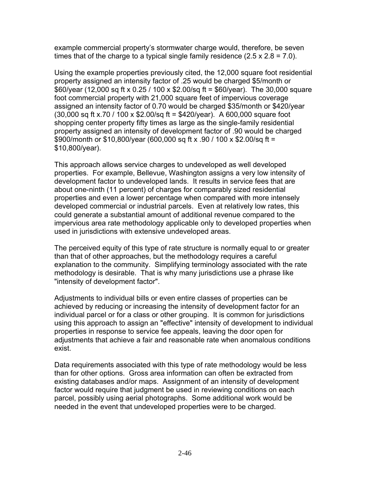example commercial property's stormwater charge would, therefore, be seven times that of the charge to a typical single family residence  $(2.5 \times 2.8 = 7.0)$ .

Using the example properties previously cited, the 12,000 square foot residential property assigned an intensity factor of .25 would be charged \$5/month or \$60/year (12,000 sq ft x 0.25 / 100 x \$2.00/sq ft = \$60/year). The 30,000 square foot commercial property with 21,000 square feet of impervious coverage assigned an intensity factor of 0.70 would be charged \$35/month or \$420/year (30,000 sq ft x.70 / 100 x \$2.00/sq ft = \$420/year). A 600,000 square foot shopping center property fifty times as large as the single-family residential property assigned an intensity of development factor of .90 would be charged \$900/month or \$10,800/year (600,000 sq ft x .90 / 100 x \$2.00/sq ft = \$10,800/year).

This approach allows service charges to undeveloped as well developed properties. For example, Bellevue, Washington assigns a very low intensity of development factor to undeveloped lands. It results in service fees that are about one-ninth (11 percent) of charges for comparably sized residential properties and even a lower percentage when compared with more intensely developed commercial or industrial parcels. Even at relatively low rates, this could generate a substantial amount of additional revenue compared to the impervious area rate methodology applicable only to developed properties when used in jurisdictions with extensive undeveloped areas.

The perceived equity of this type of rate structure is normally equal to or greater than that of other approaches, but the methodology requires a careful explanation to the community. Simplifying terminology associated with the rate methodology is desirable. That is why many jurisdictions use a phrase like "intensity of development factor".

Adjustments to individual bills or even entire classes of properties can be achieved by reducing or increasing the intensity of development factor for an individual parcel or for a class or other grouping. It is common for jurisdictions using this approach to assign an "effective" intensity of development to individual properties in response to service fee appeals, leaving the door open for adjustments that achieve a fair and reasonable rate when anomalous conditions exist.

Data requirements associated with this type of rate methodology would be less than for other options. Gross area information can often be extracted from existing databases and/or maps. Assignment of an intensity of development factor would require that judgment be used in reviewing conditions on each parcel, possibly using aerial photographs. Some additional work would be needed in the event that undeveloped properties were to be charged.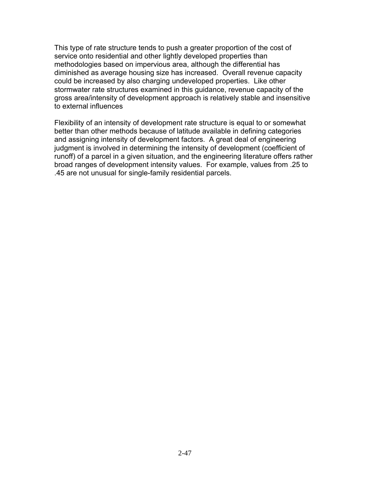This type of rate structure tends to push a greater proportion of the cost of service onto residential and other lightly developed properties than methodologies based on impervious area, although the differential has diminished as average housing size has increased. Overall revenue capacity could be increased by also charging undeveloped properties. Like other stormwater rate structures examined in this guidance, revenue capacity of the gross area/intensity of development approach is relatively stable and insensitive to external influences

Flexibility of an intensity of development rate structure is equal to or somewhat better than other methods because of latitude available in defining categories and assigning intensity of development factors. A great deal of engineering judgment is involved in determining the intensity of development (coefficient of runoff) of a parcel in a given situation, and the engineering literature offers rather broad ranges of development intensity values. For example, values from .25 to .45 are not unusual for single-family residential parcels.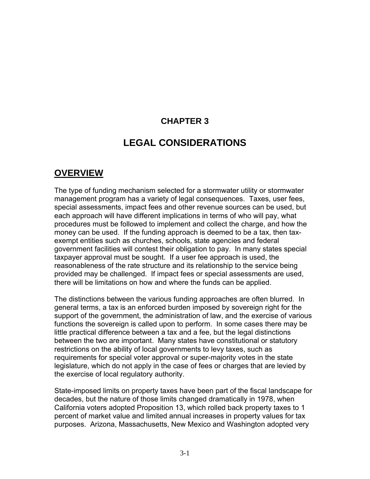## **CHAPTER 3**

## **LEGAL CONSIDERATIONS**

#### **OVERVIEW**

The type of funding mechanism selected for a stormwater utility or stormwater management program has a variety of legal consequences. Taxes, user fees, special assessments, impact fees and other revenue sources can be used, but each approach will have different implications in terms of who will pay, what procedures must be followed to implement and collect the charge, and how the money can be used. If the funding approach is deemed to be a tax, then taxexempt entities such as churches, schools, state agencies and federal government facilities will contest their obligation to pay. In many states special taxpayer approval must be sought. If a user fee approach is used, the reasonableness of the rate structure and its relationship to the service being provided may be challenged. If impact fees or special assessments are used, there will be limitations on how and where the funds can be applied.

The distinctions between the various funding approaches are often blurred. In general terms, a tax is an enforced burden imposed by sovereign right for the support of the government, the administration of law, and the exercise of various functions the sovereign is called upon to perform. In some cases there may be little practical difference between a tax and a fee, but the legal distinctions between the two are important. Many states have constitutional or statutory restrictions on the ability of local governments to levy taxes, such as requirements for special voter approval or super-majority votes in the state legislature, which do not apply in the case of fees or charges that are levied by the exercise of local regulatory authority.

State-imposed limits on property taxes have been part of the fiscal landscape for decades, but the nature of those limits changed dramatically in 1978, when California voters adopted Proposition 13, which rolled back property taxes to 1 percent of market value and limited annual increases in property values for tax purposes. Arizona, Massachusetts, New Mexico and Washington adopted very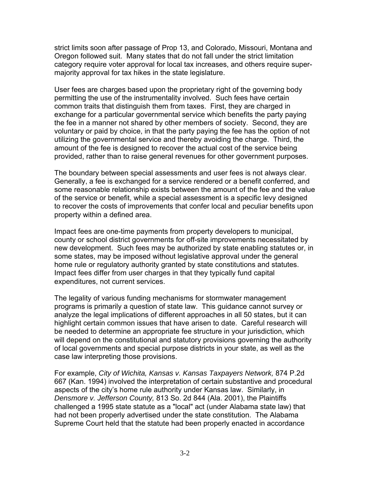strict limits soon after passage of Prop 13, and Colorado, Missouri, Montana and Oregon followed suit. Many states that do not fall under the strict limitation category require voter approval for local tax increases, and others require supermajority approval for tax hikes in the state legislature.

User fees are charges based upon the proprietary right of the governing body permitting the use of the instrumentality involved. Such fees have certain common traits that distinguish them from taxes. First, they are charged in exchange for a particular governmental service which benefits the party paying the fee in a manner not shared by other members of society. Second, they are voluntary or paid by choice, in that the party paying the fee has the option of not utilizing the governmental service and thereby avoiding the charge. Third, the amount of the fee is designed to recover the actual cost of the service being provided, rather than to raise general revenues for other government purposes.

The boundary between special assessments and user fees is not always clear. Generally, a fee is exchanged for a service rendered or a benefit conferred, and some reasonable relationship exists between the amount of the fee and the value of the service or benefit, while a special assessment is a specific levy designed to recover the costs of improvements that confer local and peculiar benefits upon property within a defined area.

Impact fees are one-time payments from property developers to municipal, county or school district governments for off-site improvements necessitated by new development. Such fees may be authorized by state enabling statutes or, in some states, may be imposed without legislative approval under the general home rule or regulatory authority granted by state constitutions and statutes. Impact fees differ from user charges in that they typically fund capital expenditures, not current services.

The legality of various funding mechanisms for stormwater management programs is primarily a question of state law. This guidance cannot survey or analyze the legal implications of different approaches in all 50 states, but it can highlight certain common issues that have arisen to date. Careful research will be needed to determine an appropriate fee structure in your jurisdiction, which will depend on the constitutional and statutory provisions governing the authority of local governments and special purpose districts in your state, as well as the case law interpreting those provisions.

For example, *City of Wichita, Kansas v. Kansas Taxpayers Network,* 874 P.2d 667 (Kan. 1994) involved the interpretation of certain substantive and procedural aspects of the city's home rule authority under Kansas law. Similarly, in *Densmore v. Jefferson County,* 813 So. 2d 844 (Ala. 2001), the Plaintiffs challenged a 1995 state statute as a "local" act (under Alabama state law) that had not been properly advertised under the state constitution. The Alabama Supreme Court held that the statute had been properly enacted in accordance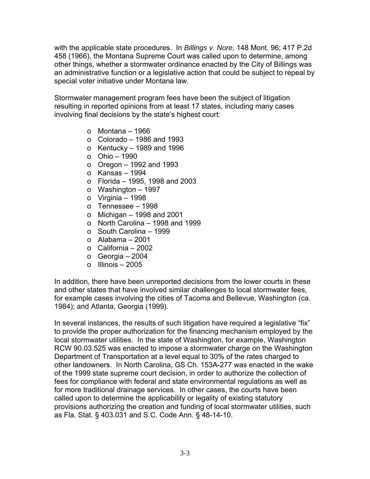with the applicable state procedures. In *Billings v. Nore,* 148 Mont. 96; 417 P.2d 458 (1966), the Montana Supreme Court was called upon to determine, among other things, whether a stormwater ordinance enacted by the City of Billings was an administrative function or a legislative action that could be subject to repeal by special voter initiative under Montana law.

Stormwater management program fees have been the subject of litigation resulting in reported opinions from at least 17 states, including many cases involving final decisions by the state's highest court:

- $\circ$  Montana 1966
- $\circ$  Colorado 1986 and 1993
- $\circ$  Kentucky 1989 and 1996
- o Ohio 1990
- $\circ$  Oregon 1992 and 1993
- $\circ$  Kansas 1994
- o Florida 1995, 1998 and 2003
- o Washington 1997
- $\circ$  Virginia 1998
- o Tennessee 1998
- $\circ$  Michigan 1998 and 2001
- $\circ$  North Carolina 1998 and 1999
- $\circ$  South Carolina 1999
- $\circ$  Alabama 2001
- $\circ$  California 2002
- $\circ$  Georgia 2004
- $\circ$  Illinois 2005

In addition, there have been unreported decisions from the lower courts in these and other states that have involved similar challenges to local stormwater fees, for example cases involving the cities of Tacoma and Bellevue, Washington (ca. 1984); and Atlanta, Georgia (1999).

In several instances, the results of such litigation have required a legislative "fix" to provide the proper authorization for the financing mechanism employed by the local stormwater utilities. In the state of Washington, for example, Washington RCW 90.03.525 was enacted to impose a stormwater charge on the Washington Department of Transportation at a level equal to 30% of the rates charged to other landowners. In North Carolina, GS Ch. 153A-277 was enacted in the wake of the 1999 state supreme court decision, in order to authorize the collection of fees for compliance with federal and state environmental regulations as well as for more traditional drainage services. In other cases, the courts have been called upon to determine the applicability or legality of existing statutory provisions authorizing the creation and funding of local stormwater utilities, such as Fla. Stat. § 403.031 and S.C. Code Ann. § 48-14-10.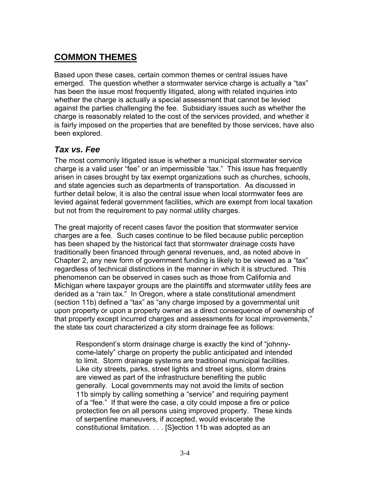# **COMMON THEMES**

Based upon these cases, certain common themes or central issues have emerged. The question whether a stormwater service charge is actually a "tax" has been the issue most frequently litigated, along with related inquiries into whether the charge is actually a special assessment that cannot be levied against the parties challenging the fee. Subsidiary issues such as whether the charge is reasonably related to the cost of the services provided, and whether it is fairly imposed on the properties that are benefited by those services, have also been explored.

### *Tax vs. Fee*

The most commonly litigated issue is whether a municipal stormwater service charge is a valid user "fee" or an impermissible "tax." This issue has frequently arisen in cases brought by tax exempt organizations such as churches, schools, and state agencies such as departments of transportation. As discussed in further detail below, it is also the central issue when local stormwater fees are levied against federal government facilities, which are exempt from local taxation but not from the requirement to pay normal utility charges.

The great majority of recent cases favor the position that stormwater service charges are a fee. Such cases continue to be filed because public perception has been shaped by the historical fact that stormwater drainage costs have traditionally been financed through general revenues, and, as noted above in Chapter 2, any new form of government funding is likely to be viewed as a "tax" regardless of technical distinctions in the manner in which it is structured. This phenomenon can be observed in cases such as those from California and Michigan where taxpayer groups are the plaintiffs and stormwater utility fees are derided as a "rain tax." In Oregon, where a state constitutional amendment (section 11b) defined a "tax" as "any charge imposed by a governmental unit upon property or upon a property owner as a direct consequence of ownership of that property except incurred charges and assessments for local improvements," the state tax court characterized a city storm drainage fee as follows:

Respondent's storm drainage charge is exactly the kind of "johnnycome-lately" charge on property the public anticipated and intended to limit. Storm drainage systems are traditional municipal facilities. Like city streets, parks, street lights and street signs, storm drains are viewed as part of the infrastructure benefiting the public generally. Local governments may not avoid the limits of section 11b simply by calling something a "service" and requiring payment of a "fee." If that were the case, a city could impose a fire or police protection fee on all persons using improved property. These kinds of serpentine maneuvers, if accepted, would eviscerate the constitutional limitation. . . . [S]ection 11b was adopted as an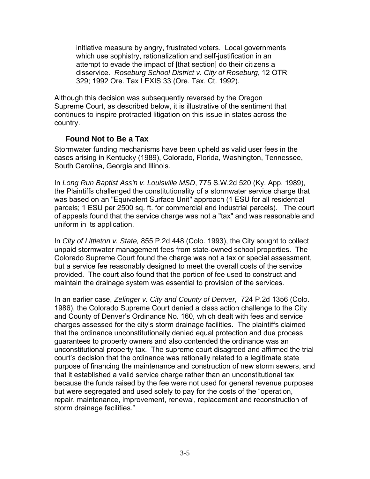initiative measure by angry, frustrated voters. Local governments which use sophistry, rationalization and self-justification in an attempt to evade the impact of [that section] do their citizens a disservice. *Roseburg School District v. City of Roseburg*, 12 OTR 329; 1992 Ore. Tax LEXIS 33 (Ore. Tax. Ct. 1992).

Although this decision was subsequently reversed by the Oregon Supreme Court, as described below, it is illustrative of the sentiment that continues to inspire protracted litigation on this issue in states across the country.

#### **Found Not to Be a Tax**

Stormwater funding mechanisms have been upheld as valid user fees in the cases arising in Kentucky (1989), Colorado, Florida, Washington, Tennessee, South Carolina, Georgia and Illinois.

In *Long Run Baptist Ass'n v. Louisville MSD*, 775 S.W.2d 520 (Ky. App. 1989), the Plaintiffs challenged the constitutionality of a stormwater service charge that was based on an "Equivalent Surface Unit" approach (1 ESU for all residential parcels; 1 ESU per 2500 sq. ft. for commercial and industrial parcels). The court of appeals found that the service charge was not a "tax" and was reasonable and uniform in its application.

In *City of Littleton v. State,* 855 P.2d 448 (Colo. 1993), the City sought to collect unpaid stormwater management fees from state-owned school properties. The Colorado Supreme Court found the charge was not a tax or special assessment, but a service fee reasonably designed to meet the overall costs of the service provided. The court also found that the portion of fee used to construct and maintain the drainage system was essential to provision of the services.

In an earlier case, *Zelinger v. City and County of Denver,* 724 P.2d 1356 (Colo. 1986), the Colorado Supreme Court denied a class action challenge to the City and County of Denver's Ordinance No. 160, which dealt with fees and service charges assessed for the city's storm drainage facilities. The plaintiffs claimed that the ordinance unconstitutionally denied equal protection and due process guarantees to property owners and also contended the ordinance was an unconstitutional property tax. The supreme court disagreed and affirmed the trial court's decision that the ordinance was rationally related to a legitimate state purpose of financing the maintenance and construction of new storm sewers, and that it established a valid service charge rather than an unconstitutional tax because the funds raised by the fee were not used for general revenue purposes but were segregated and used solely to pay for the costs of the "operation, repair, maintenance, improvement, renewal, replacement and reconstruction of storm drainage facilities."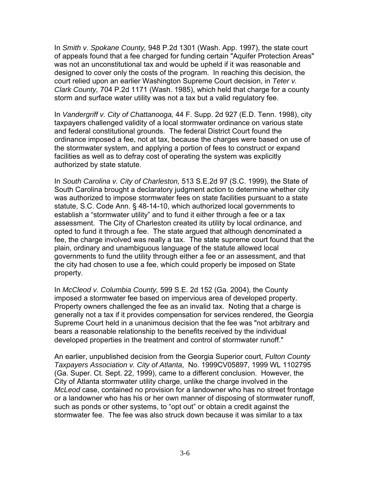In *Smith v. Spokane County,* 948 P.2d 1301 (Wash. App. 1997), the state court of appeals found that a fee charged for funding certain "Aquifer Protection Areas" was not an unconstitutional tax and would be upheld if it was reasonable and designed to cover only the costs of the program. In reaching this decision, the court relied upon an earlier Washington Supreme Court decision, in *Teter v. Clark County,* 704 P.2d 1171 (Wash. 1985), which held that charge for a county storm and surface water utility was not a tax but a valid regulatory fee.

In *Vandergriff v. City of Chattanooga,* 44 F. Supp. 2d 927 (E.D. Tenn. 1998), city taxpayers challenged validity of a local stormwater ordinance on various state and federal constitutional grounds. The federal District Court found the ordinance imposed a fee, not at tax, because the charges were based on use of the stormwater system, and applying a portion of fees to construct or expand facilities as well as to defray cost of operating the system was explicitly authorized by state statute.

In *South Carolina v. City of Charleston,* 513 S.E.2d 97 (S.C. 1999), the State of South Carolina brought a declaratory judgment action to determine whether city was authorized to impose stormwater fees on state facilities pursuant to a state statute, S.C. Code Ann. § 48-14-10, which authorized local governments to establish a "stormwater utility" and to fund it either through a fee or a tax assessment. The City of Charleston created its utility by local ordinance, and opted to fund it through a fee. The state argued that although denominated a fee, the charge involved was really a tax. The state supreme court found that the plain, ordinary and unambiguous language of the statute allowed local governments to fund the utility through either a fee or an assessment, and that the city had chosen to use a fee, which could properly be imposed on State property.

In *McCleod v. Columbia County,* 599 S.E. 2d 152 (Ga. 2004), the County imposed a stormwater fee based on impervious area of developed property. Property owners challenged the fee as an invalid tax. Noting that a charge is generally not a tax if it provides compensation for services rendered, the Georgia Supreme Court held in a unanimous decision that the fee was "not arbitrary and bears a reasonable relationship to the benefits received by the individual developed properties in the treatment and control of stormwater runoff."

An earlier, unpublished decision from the Georgia Superior court, *Fulton County Taxpayers Association v. City of Atlanta*, No. 1999CV05897, 1999 WL 1102795 (Ga. Super. Ct. Sept. 22, 1999), came to a different conclusion. However, the City of Atlanta stormwater utility charge, unlike the charge involved in the *McLeod* case, contained no provision for a landowner who has no street frontage or a landowner who has his or her own manner of disposing of stormwater runoff, such as ponds or other systems, to "opt out" or obtain a credit against the stormwater fee. The fee was also struck down because it was similar to a tax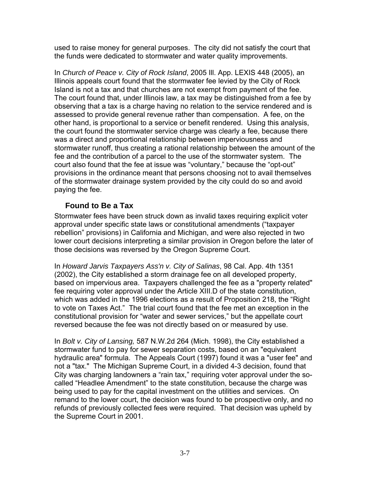used to raise money for general purposes. The city did not satisfy the court that the funds were dedicated to stormwater and water quality improvements.

In *Church of Peace v. City of Rock Island*, 2005 Ill. App. LEXIS 448 (2005), an Illinois appeals court found that the stormwater fee levied by the City of Rock Island is not a tax and that churches are not exempt from payment of the fee. The court found that, under Illinois law, a tax may be distinguished from a fee by observing that a tax is a charge having no relation to the service rendered and is assessed to provide general revenue rather than compensation. A fee, on the other hand, is proportional to a service or benefit rendered. Using this analysis, the court found the stormwater service charge was clearly a fee, because there was a direct and proportional relationship between imperviousness and stormwater runoff, thus creating a rational relationship between the amount of the fee and the contribution of a parcel to the use of the stormwater system. The court also found that the fee at issue was "voluntary," because the "opt-out" provisions in the ordinance meant that persons choosing not to avail themselves of the stormwater drainage system provided by the city could do so and avoid paying the fee.

#### **Found to Be a Tax**

Stormwater fees have been struck down as invalid taxes requiring explicit voter approval under specific state laws or constitutional amendments ("taxpayer rebellion" provisions) in California and Michigan, and were also rejected in two lower court decisions interpreting a similar provision in Oregon before the later of those decisions was reversed by the Oregon Supreme Court.

In *Howard Jarvis Taxpayers Ass'n v. City of Salinas*, 98 Cal. App. 4th 1351 (2002), the City established a storm drainage fee on all developed property, based on impervious area. Taxpayers challenged the fee as a "property related" fee requiring voter approval under the Article XIII.D of the state constitution, which was added in the 1996 elections as a result of Proposition 218, the "Right to vote on Taxes Act." The trial court found that the fee met an exception in the constitutional provision for "water and sewer services," but the appellate court reversed because the fee was not directly based on or measured by use.

In *Bolt v. City of Lansing,* 587 N.W.2d 264 (Mich. 1998), the City established a stormwater fund to pay for sewer separation costs, based on an "equivalent hydraulic area" formula. The Appeals Court (1997) found it was a "user fee" and not a "tax." The Michigan Supreme Court, in a divided 4-3 decision, found that City was charging landowners a "rain tax," requiring voter approval under the socalled "Headlee Amendment" to the state constitution, because the charge was being used to pay for the capital investment on the utilities and services. On remand to the lower court, the decision was found to be prospective only, and no refunds of previously collected fees were required. That decision was upheld by the Supreme Court in 2001.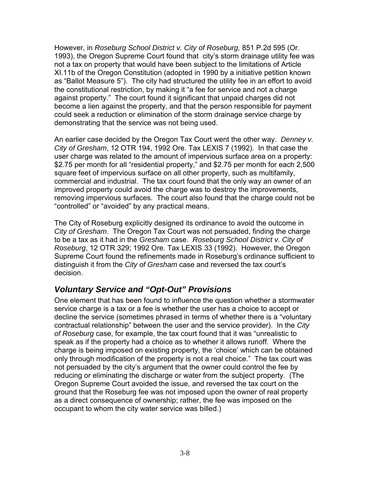However, in *Roseburg School District v. City of Roseburg,* 851 P.2d 595 (Or. 1993), the Oregon Supreme Court found that city's storm drainage utility fee was not a tax on property that would have been subject to the limitations of Article XI.11b of the Oregon Constitution (adopted in 1990 by a initiative petition known as "Ballot Measure 5"). The city had structured the utility fee in an effort to avoid the constitutional restriction, by making it "a fee for service and not a charge against property." The court found it significant that unpaid charges did not become a lien against the property, and that the person responsible for payment could seek a reduction or elimination of the storm drainage service charge by demonstrating that the service was not being used.

An earlier case decided by the Oregon Tax Court went the other way. *Denney v. City of Gresham*, 12 OTR 194, 1992 Ore. Tax LEXIS 7 (1992). In that case the user charge was related to the amount of impervious surface area on a property: \$2.75 per month for all "residential property," and \$2.75 per month for each 2,500 square feet of impervious surface on all other property, such as multifamily, commercial and industrial. The tax court found that the only way an owner of an improved property could avoid the charge was to destroy the improvements, removing impervious surfaces. The court also found that the charge could not be "controlled" or "avoided" by any practical means.

The City of Roseburg explicitly designed its ordinance to avoid the outcome in *City of Gresham*. The Oregon Tax Court was not persuaded, finding the charge to be a tax as it had in the *Gresham* case. *Roseburg School District v. City of Roseburg*, 12 OTR 329; 1992 Ore. Tax LEXIS 33 (1992). However, the Oregon Supreme Court found the refinements made in Roseburg's ordinance sufficient to distinguish it from the *City of Gresham* case and reversed the tax court's decision.

#### *Voluntary Service and "Opt-Out" Provisions*

One element that has been found to influence the question whether a stormwater service charge is a tax or a fee is whether the user has a choice to accept or decline the service (sometimes phrased in terms of whether there is a "voluntary contractual relationship" between the user and the service provider). In the *City of Roseburg* case, for example, the tax court found that it was "unrealistic to speak as if the property had a choice as to whether it allows runoff. Where the charge is being imposed on existing property, the 'choice' which can be obtained only through modification of the property is not a real choice." The tax court was not persuaded by the city's argument that the owner could control the fee by reducing or eliminating the discharge or water from the subject property. (The Oregon Supreme Court avoided the issue, and reversed the tax court on the ground that the Roseburg fee was not imposed upon the owner of real property as a direct consequence of ownership; rather, the fee was imposed on the occupant to whom the city water service was billed.)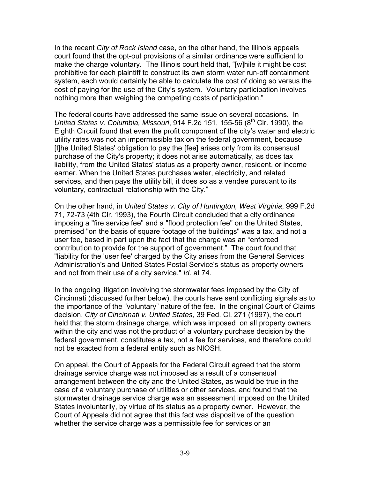In the recent *City of Rock Island* case, on the other hand, the Illinois appeals court found that the opt-out provisions of a similar ordinance were sufficient to make the charge voluntary. The Illinois court held that, "[w]hile it might be cost prohibitive for each plaintiff to construct its own storm water run-off containment system, each would certainly be able to calculate the cost of doing so versus the cost of paying for the use of the City's system. Voluntary participation involves nothing more than weighing the competing costs of participation."

The federal courts have addressed the same issue on several occasions. In *United States v. Columbia, Missouri,* 914 F.2d 151, 155-56 (8<sup>th</sup> Cir. 1990), the Eighth Circuit found that even the profit component of the city's water and electric utility rates was not an impermissible tax on the federal government, because [t]he United States' obligation to pay the [fee] arises only from its consensual purchase of the City's property; it does not arise automatically, as does tax liability, from the United States' status as a property owner, resident, or income earner. When the United States purchases water, electricity, and related services, and then pays the utility bill, it does so as a vendee pursuant to its voluntary, contractual relationship with the City."

On the other hand, in *United States v. City of Huntington, West Virginia*, 999 F.2d 71, 72-73 (4th Cir. 1993), the Fourth Circuit concluded that a city ordinance imposing a "fire service fee" and a "flood protection fee" on the United States, premised "on the basis of square footage of the buildings" was a tax, and not a user fee, based in part upon the fact that the charge was an "enforced contribution to provide for the support of government." The court found that "liability for the 'user fee' charged by the City arises from the General Services Administration's and United States Postal Service's status as property owners and not from their use of a city service." *Id*. at 74.

In the ongoing litigation involving the stormwater fees imposed by the City of Cincinnati (discussed further below), the courts have sent conflicting signals as to the importance of the "voluntary" nature of the fee. In the original Court of Claims decision, *City of Cincinnati v. United States,* 39 Fed. Cl. 271 (1997), the court held that the storm drainage charge, which was imposed on all property owners within the city and was not the product of a voluntary purchase decision by the federal government, constitutes a tax, not a fee for services, and therefore could not be exacted from a federal entity such as NIOSH.

On appeal, the Court of Appeals for the Federal Circuit agreed that the storm drainage service charge was not imposed as a result of a consensual arrangement between the city and the United States, as would be true in the case of a voluntary purchase of utilities or other services, and found that the stormwater drainage service charge was an assessment imposed on the United States involuntarily, by virtue of its status as a property owner. However, the Court of Appeals did not agree that this fact was dispositive of the question whether the service charge was a permissible fee for services or an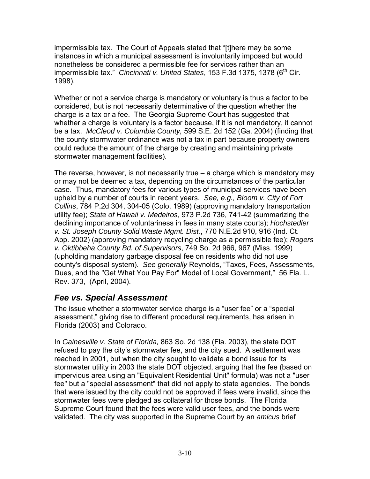impermissible tax. The Court of Appeals stated that "[t]here may be some instances in which a municipal assessment is involuntarily imposed but would nonetheless be considered a permissible fee for services rather than an impermissible tax." *Cincinnati v. United States*, 153 F.3d 1375, 1378 (6<sup>th</sup> Cir. 1998).

Whether or not a service charge is mandatory or voluntary is thus a factor to be considered, but is not necessarily determinative of the question whether the charge is a tax or a fee. The Georgia Supreme Court has suggested that whether a charge is voluntary is a factor because, if it is not mandatory, it cannot be a tax. *McCleod v. Columbia County,* 599 S.E. 2d 152 (Ga. 2004) (finding that the county stormwater ordinance was not a tax in part because property owners could reduce the amount of the charge by creating and maintaining private stormwater management facilities).

The reverse, however, is not necessarily true – a charge which is mandatory may or may not be deemed a tax, depending on the circumstances of the particular case. Thus, mandatory fees for various types of municipal services have been upheld by a number of courts in recent years. *See, e.g., Bloom v. City of Fort Collins*, 784 P.2d 304, 304-05 (Colo. 1989) (approving mandatory transportation utility fee); *State of Hawaii v. Medeiros*, 973 P.2d 736, 741-42 (summarizing the declining importance of voluntariness in fees in many state courts); *Hochstedler v. St. Joseph County Solid Waste Mgmt. Dist.*, 770 N.E.2d 910, 916 (Ind. Ct. App. 2002) (approving mandatory recycling charge as a permissible fee); *Rogers v. Oktibbeha County Bd. of Supervisors*, 749 So. 2d 966, 967 (Miss. 1999) (upholding mandatory garbage disposal fee on residents who did not use county's disposal system). *See generally* Reynolds, "Taxes, Fees, Assessments, Dues, and the "Get What You Pay For" Model of Local Government," 56 Fla. L. Rev. 373, (April, 2004).

#### *Fee vs. Special Assessment*

The issue whether a stormwater service charge is a "user fee" or a "special assessment," giving rise to different procedural requirements, has arisen in Florida (2003) and Colorado.

In *Gainesville v. State of Florida,* 863 So. 2d 138 (Fla. 2003), the state DOT refused to pay the city's stormwater fee, and the city sued. A settlement was reached in 2001, but when the city sought to validate a bond issue for its stormwater utility in 2003 the state DOT objected, arguing that the fee (based on impervious area using an "Equivalent Residential Unit" formula) was not a "user fee" but a "special assessment" that did not apply to state agencies. The bonds that were issued by the city could not be approved if fees were invalid, since the stormwater fees were pledged as collateral for those bonds. The Florida Supreme Court found that the fees were valid user fees, and the bonds were validated. The city was supported in the Supreme Court by an *amicus* brief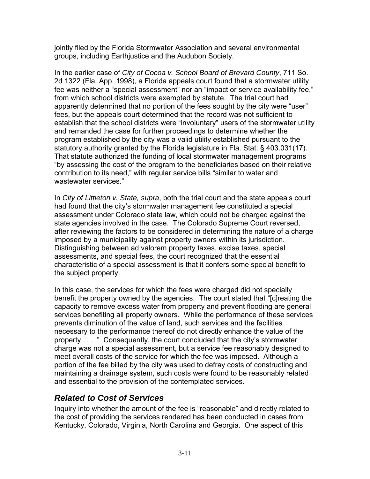jointly filed by the Florida Stormwater Association and several environmental groups, including Earthjustice and the Audubon Society.

In the earlier case of *City of Cocoa v. School Board of Brevard County*, 711 So. 2d 1322 (Fla. App. 1998), a Florida appeals court found that a stormwater utility fee was neither a "special assessment" nor an "impact or service availability fee," from which school districts were exempted by statute. The trial court had apparently determined that no portion of the fees sought by the city were "user" fees, but the appeals court determined that the record was not sufficient to establish that the school districts were "involuntary" users of the stormwater utility and remanded the case for further proceedings to determine whether the program established by the city was a valid utility established pursuant to the statutory authority granted by the Florida legislature in Fla. Stat. § 403.031(17). That statute authorized the funding of local stormwater management programs "by assessing the cost of the program to the beneficiaries based on their relative contribution to its need," with regular service bills "similar to water and wastewater services."

In *City of Littleton v. State, supra*, both the trial court and the state appeals court had found that the city's stormwater management fee constituted a special assessment under Colorado state law, which could not be charged against the state agencies involved in the case. The Colorado Supreme Court reversed, after reviewing the factors to be considered in determining the nature of a charge imposed by a municipality against property owners within its jurisdiction. Distinguishing between ad valorem property taxes, excise taxes, special assessments, and special fees, the court recognized that the essential characteristic of a special assessment is that it confers some special benefit to the subject property.

In this case, the services for which the fees were charged did not specially benefit the property owned by the agencies. The court stated that "[c]reating the capacity to remove excess water from property and prevent flooding are general services benefiting all property owners. While the performance of these services prevents diminution of the value of land, such services and the facilities necessary to the performance thereof do not directly enhance the value of the property . . . ." Consequently, the court concluded that the city's stormwater charge was not a special assessment, but a service fee reasonably designed to meet overall costs of the service for which the fee was imposed. Although a portion of the fee billed by the city was used to defray costs of constructing and maintaining a drainage system, such costs were found to be reasonably related and essential to the provision of the contemplated services.

## *Related to Cost of Services*

Inquiry into whether the amount of the fee is "reasonable" and directly related to the cost of providing the services rendered has been conducted in cases from Kentucky, Colorado, Virginia, North Carolina and Georgia. One aspect of this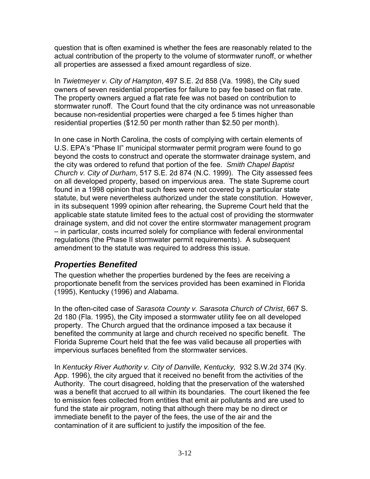question that is often examined is whether the fees are reasonably related to the actual contribution of the property to the volume of stormwater runoff, or whether all properties are assessed a fixed amount regardless of size.

In *Twietmeyer v. City of Hampton*, 497 S.E. 2d 858 (Va. 1998), the City sued owners of seven residential properties for failure to pay fee based on flat rate. The property owners argued a flat rate fee was not based on contribution to stormwater runoff. The Court found that the city ordinance was not unreasonable because non-residential properties were charged a fee 5 times higher than residential properties (\$12.50 per month rather than \$2.50 per month).

In one case in North Carolina, the costs of complying with certain elements of U.S. EPA's "Phase II" municipal stormwater permit program were found to go beyond the costs to construct and operate the stormwater drainage system, and the city was ordered to refund that portion of the fee. *Smith Chapel Baptist Church v. City of Durham*, 517 S.E. 2d 874 (N.C. 1999). The City assessed fees on all developed property, based on impervious area. The state Supreme court found in a 1998 opinion that such fees were not covered by a particular state statute, but were nevertheless authorized under the state constitution. However, in its subsequent 1999 opinion after rehearing, the Supreme Court held that the applicable state statute limited fees to the actual cost of providing the stormwater drainage system, and did not cover the entire stormwater management program – in particular, costs incurred solely for compliance with federal environmental regulations (the Phase II stormwater permit requirements). A subsequent amendment to the statute was required to address this issue.

## *Properties Benefited*

The question whether the properties burdened by the fees are receiving a proportionate benefit from the services provided has been examined in Florida (1995), Kentucky (1996) and Alabama.

In the often-cited case of *Sarasota County v. Sarasota Church of Christ*, 667 S. 2d 180 (Fla. 1995), the City imposed a stormwater utility fee on all developed property. The Church argued that the ordinance imposed a tax because it benefited the community at large and church received no specific benefit. The Florida Supreme Court held that the fee was valid because all properties with impervious surfaces benefited from the stormwater services.

In *Kentucky River Authority v. City of Danville, Kentucky,* 932 S.W.2d 374 (Ky. App. 1996), the city argued that it received no benefit from the activities of the Authority. The court disagreed, holding that the preservation of the watershed was a benefit that accrued to all within its boundaries. The court likened the fee to emission fees collected from entities that emit air pollutants and are used to fund the state air program, noting that although there may be no direct or immediate benefit to the payer of the fees, the use of the air and the contamination of it are sufficient to justify the imposition of the fee.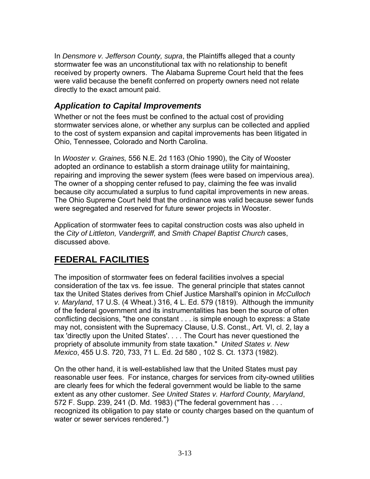In *Densmore v. Jefferson County, supra*, the Plaintiffs alleged that a county stormwater fee was an unconstitutional tax with no relationship to benefit received by property owners. The Alabama Supreme Court held that the fees were valid because the benefit conferred on property owners need not relate directly to the exact amount paid.

#### *Application to Capital Improvements*

Whether or not the fees must be confined to the actual cost of providing stormwater services alone, or whether any surplus can be collected and applied to the cost of system expansion and capital improvements has been litigated in Ohio, Tennessee, Colorado and North Carolina.

In *Wooster v. Graines,* 556 N.E. 2d 1163 (Ohio 1990), the City of Wooster adopted an ordinance to establish a storm drainage utility for maintaining, repairing and improving the sewer system (fees were based on impervious area). The owner of a shopping center refused to pay, claiming the fee was invalid because city accumulated a surplus to fund capital improvements in new areas. The Ohio Supreme Court held that the ordinance was valid because sewer funds were segregated and reserved for future sewer projects in Wooster.

Application of stormwater fees to capital construction costs was also upheld in the *City of Littleton, Vandergriff,* and *Smith Chapel Baptist Church* cases, discussed above*.*

# **FEDERAL FACILITIES**

The imposition of stormwater fees on federal facilities involves a special consideration of the tax vs. fee issue. The general principle that states cannot tax the United States derives from Chief Justice Marshall's opinion in *McCulloch v. Maryland*, 17 U.S. (4 Wheat.) 316, 4 L. Ed. 579 (1819). Although the immunity of the federal government and its instrumentalities has been the source of often conflicting decisions, "the one constant . . . is simple enough to express: a State may not, consistent with the Supremacy Clause, U.S. Const., Art. VI, cl. 2, lay a tax 'directly upon the United States'. . . . The Court has never questioned the propriety of absolute immunity from state taxation." *United States v. New Mexico*, 455 U.S. 720, 733, 71 L. Ed. 2d 580 , 102 S. Ct. 1373 (1982).

On the other hand, it is well-established law that the United States must pay reasonable user fees. For instance, charges for services from city-owned utilities are clearly fees for which the federal government would be liable to the same extent as any other customer. *See United States v. Harford County, Maryland*, 572 F. Supp. 239, 241 (D. Md. 1983) ("The federal government has . . . recognized its obligation to pay state or county charges based on the quantum of water or sewer services rendered.")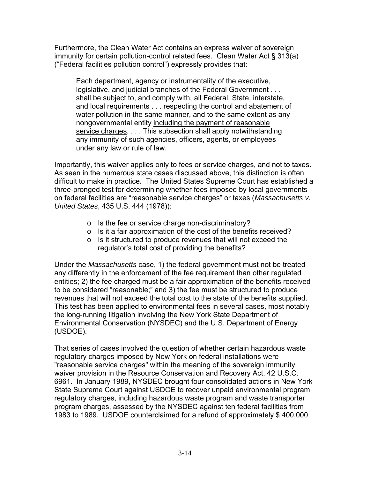Furthermore, the Clean Water Act contains an express waiver of sovereign immunity for certain pollution-control related fees. Clean Water Act § 313(a) ("Federal facilities pollution control") expressly provides that:

Each department, agency or instrumentality of the executive, legislative, and judicial branches of the Federal Government . . . shall be subject to, and comply with, all Federal, State, interstate, and local requirements . . . respecting the control and abatement of water pollution in the same manner, and to the same extent as any nongovernmental entity including the payment of reasonable service charges. . . . This subsection shall apply notwithstanding any immunity of such agencies, officers, agents, or employees under any law or rule of law.

Importantly, this waiver applies only to fees or service charges, and not to taxes. As seen in the numerous state cases discussed above, this distinction is often difficult to make in practice. The United States Supreme Court has established a three-pronged test for determining whether fees imposed by local governments on federal facilities are "reasonable service charges" or taxes (*Massachusetts v. United States*, 435 U.S. 444 (1978)):

- o Is the fee or service charge non-discriminatory?
- o Is it a fair approximation of the cost of the benefits received?
- o Is it structured to produce revenues that will not exceed the regulator's total cost of providing the benefits?

Under the *Massachusetts* case, 1) the federal government must not be treated any differently in the enforcement of the fee requirement than other regulated entities; 2) the fee charged must be a fair approximation of the benefits received to be considered "reasonable;" and 3) the fee must be structured to produce revenues that will not exceed the total cost to the state of the benefits supplied. This test has been applied to environmental fees in several cases, most notably the long-running litigation involving the New York State Department of Environmental Conservation (NYSDEC) and the U.S. Department of Energy (USDOE).

That series of cases involved the question of whether certain hazardous waste regulatory charges imposed by New York on federal installations were "reasonable service charges" within the meaning of the sovereign immunity waiver provision in the Resource Conservation and Recovery Act, 42 U.S.C. 6961. In January 1989, NYSDEC brought four consolidated actions in New York State Supreme Court against USDOE to recover unpaid environmental program regulatory charges, including hazardous waste program and waste transporter program charges, assessed by the NYSDEC against ten federal facilities from 1983 to 1989. USDOE counterclaimed for a refund of approximately \$ 400,000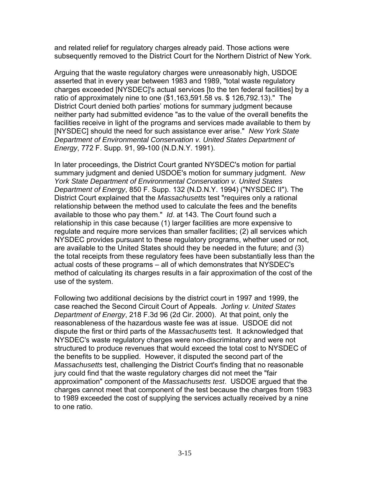and related relief for regulatory charges already paid. Those actions were subsequently removed to the District Court for the Northern District of New York.

Arguing that the waste regulatory charges were unreasonably high, USDOE asserted that in every year between 1983 and 1989, "total waste regulatory charges exceeded [NYSDEC]'s actual services [to the ten federal facilities] by a ratio of approximately nine to one (\$1,163,591.58 vs. \$ 126,792.13)." The District Court denied both parties' motions for summary judgment because neither party had submitted evidence "as to the value of the overall benefits the facilities receive in light of the programs and services made available to them by [NYSDEC] should the need for such assistance ever arise." *New York State Department of Environmental Conservation v. United States Department of Energy*, 772 F. Supp. 91, 99-100 (N.D.N.Y. 1991).

In later proceedings, the District Court granted NYSDEC's motion for partial summary judgment and denied USDOE's motion for summary judgment. *New York State Department of Environmental Conservation v. United States Department of Energy*, 850 F. Supp. 132 (N.D.N.Y. 1994) ("NYSDEC II"). The District Court explained that the *Massachusetts* test "requires only a rational relationship between the method used to calculate the fees and the benefits available to those who pay them." *Id*. at 143. The Court found such a relationship in this case because (1) larger facilities are more expensive to regulate and require more services than smaller facilities; (2) all services which NYSDEC provides pursuant to these regulatory programs, whether used or not, are available to the United States should they be needed in the future; and (3) the total receipts from these regulatory fees have been substantially less than the actual costs of these programs – all of which demonstrates that NYSDEC's method of calculating its charges results in a fair approximation of the cost of the use of the system.

Following two additional decisions by the district court in 1997 and 1999, the case reached the Second Circuit Court of Appeals. *Jorling v. United States Department of Energy*, 218 F.3d 96 (2d Cir. 2000). At that point, only the reasonableness of the hazardous waste fee was at issue. USDOE did not dispute the first or third parts of the *Massachusetts* test. It acknowledged that NYSDEC's waste regulatory charges were non-discriminatory and were not structured to produce revenues that would exceed the total cost to NYSDEC of the benefits to be supplied. However, it disputed the second part of the *Massachusetts* test, challenging the District Court's finding that no reasonable jury could find that the waste regulatory charges did not meet the "fair approximation" component of the *Massachusetts test*. USDOE argued that the charges cannot meet that component of the test because the charges from 1983 to 1989 exceeded the cost of supplying the services actually received by a nine to one ratio.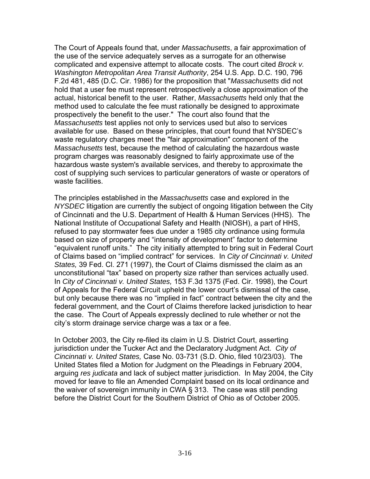The Court of Appeals found that, under *Massachusetts*, a fair approximation of the use of the service adequately serves as a surrogate for an otherwise complicated and expensive attempt to allocate costs. The court cited *Brock v. Washington Metropolitan Area Transit Authority*, 254 U.S. App. D.C. 190, 796 F.2d 481, 485 (D.C. Cir. 1986) for the proposition that "*Massachusetts* did not hold that a user fee must represent retrospectively a close approximation of the actual, historical benefit to the user. Rather, *Massachusetts* held only that the method used to calculate the fee must rationally be designed to approximate prospectively the benefit to the user." The court also found that the *Massachusetts* test applies not only to services used but also to services available for use. Based on these principles, that court found that NYSDEC's waste regulatory charges meet the "fair approximation" component of the *Massachusetts* test, because the method of calculating the hazardous waste program charges was reasonably designed to fairly approximate use of the hazardous waste system's available services, and thereby to approximate the cost of supplying such services to particular generators of waste or operators of waste facilities.

The principles established in the *Massachusetts* case and explored in the *NYSDEC* litigation are currently the subject of ongoing litigation between the City of Cincinnati and the U.S. Department of Health & Human Services (HHS). The National Institute of Occupational Safety and Health (NIOSH), a part of HHS, refused to pay stormwater fees due under a 1985 city ordinance using formula based on size of property and "intensity of development" factor to determine "equivalent runoff units." The city initially attempted to bring suit in Federal Court of Claims based on "implied contract" for services. In *City of Cincinnati v. United States,* 39 Fed. Cl. 271 (1997), the Court of Claims dismissed the claim as an unconstitutional "tax" based on property size rather than services actually used. In *City of Cincinnati v. United States,* 153 F.3d 1375 (Fed. Cir. 1998), the Court of Appeals for the Federal Circuit upheld the lower court's dismissal of the case, but only because there was no "implied in fact" contract between the city and the federal government, and the Court of Claims therefore lacked jurisdiction to hear the case. The Court of Appeals expressly declined to rule whether or not the city's storm drainage service charge was a tax or a fee.

In October 2003, the City re-filed its claim in U.S. District Court, asserting jurisdiction under the Tucker Act and the Declaratory Judgment Act. *City of Cincinnati v. United States,* Case No. 03-731 (S.D. Ohio, filed 10/23/03). The United States filed a Motion for Judgment on the Pleadings in February 2004, arguing *res judicata* and lack of subject matter jurisdiction. In May 2004, the City moved for leave to file an Amended Complaint based on its local ordinance and the waiver of sovereign immunity in CWA § 313. The case was still pending before the District Court for the Southern District of Ohio as of October 2005.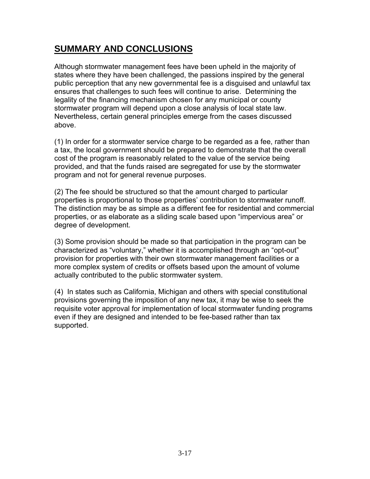# **SUMMARY AND CONCLUSIONS**

Although stormwater management fees have been upheld in the majority of states where they have been challenged, the passions inspired by the general public perception that any new governmental fee is a disguised and unlawful tax ensures that challenges to such fees will continue to arise. Determining the legality of the financing mechanism chosen for any municipal or county stormwater program will depend upon a close analysis of local state law. Nevertheless, certain general principles emerge from the cases discussed above.

(1) In order for a stormwater service charge to be regarded as a fee, rather than a tax, the local government should be prepared to demonstrate that the overall cost of the program is reasonably related to the value of the service being provided, and that the funds raised are segregated for use by the stormwater program and not for general revenue purposes.

(2) The fee should be structured so that the amount charged to particular properties is proportional to those properties' contribution to stormwater runoff. The distinction may be as simple as a different fee for residential and commercial properties, or as elaborate as a sliding scale based upon "impervious area" or degree of development.

(3) Some provision should be made so that participation in the program can be characterized as "voluntary," whether it is accomplished through an "opt-out" provision for properties with their own stormwater management facilities or a more complex system of credits or offsets based upon the amount of volume actually contributed to the public stormwater system.

(4) In states such as California, Michigan and others with special constitutional provisions governing the imposition of any new tax, it may be wise to seek the requisite voter approval for implementation of local stormwater funding programs even if they are designed and intended to be fee-based rather than tax supported.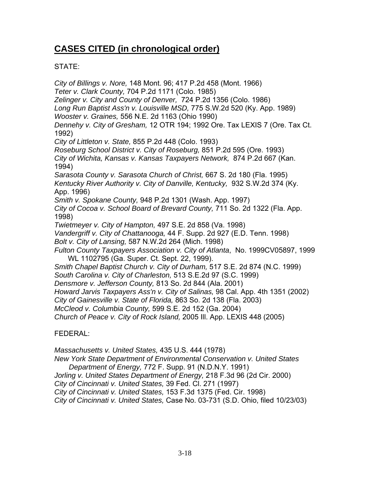# **CASES CITED (in chronological order)**

#### STATE:

*City of Billings v. Nore,* 148 Mont. 96; 417 P.2d 458 (Mont. 1966) *Teter v. Clark County,* 704 P.2d 1171 (Colo. 1985) *Zelinger v. City and County of Denver,* 724 P.2d 1356 (Colo. 1986) *Long Run Baptist Ass'n v. Louisville MSD,* 775 S.W.2d 520 (Ky. App. 1989) *Wooster v. Graines,* 556 N.E. 2d 1163 (Ohio 1990) *Dennehy v. City of Gresham,* 12 OTR 194; 1992 Ore. Tax LEXIS 7 (Ore. Tax Ct. 1992) *City of Littleton v. State,* 855 P.2d 448 (Colo. 1993) *Roseburg School District v. City of Roseburg,* 851 P.2d 595 (Ore. 1993) *City of Wichita, Kansas v. Kansas Taxpayers Network,* 874 P.2d 667 (Kan. 1994) *Sarasota County v. Sarasota Church of Christ,* 667 S. 2d 180 (Fla. 1995) *Kentucky River Authority v. City of Danville, Kentucky,* 932 S.W.2d 374 (Ky. App. 1996) *Smith v. Spokane County,* 948 P.2d 1301 (Wash. App. 1997) *City of Cocoa v. School Board of Brevard County,* 711 So. 2d 1322 (Fla. App. 1998) *Twietmeyer v. City of Hampton,* 497 S.E. 2d 858 (Va. 1998) *Vandergriff v. City of Chattanooga,* 44 F. Supp. 2d 927 (E.D. Tenn. 1998) *Bolt v. City of Lansing,* 587 N.W.2d 264 (Mich. 1998) *Fulton County Taxpayers Association v. City of Atlanta*, No. 1999CV05897, 1999 WL 1102795 (Ga. Super. Ct. Sept. 22, 1999). *Smith Chapel Baptist Church v. City of Durham,* 517 S.E. 2d 874 (N.C. 1999) *South Carolina v. City of Charleston,* 513 S.E.2d 97 (S.C. 1999) *Densmore v. Jefferson County,* 813 So. 2d 844 (Ala. 2001) *Howard Jarvis Taxpayers Ass'n v. City of Salinas,* 98 Cal. App. 4th 1351 (2002) *City of Gainesville v. State of Florida,* 863 So. 2d 138 (Fla. 2003) *McCleod v. Columbia County,* 599 S.E. 2d 152 (Ga. 2004) *Church of Peace v. City of Rock Island,* 2005 Ill. App. LEXIS 448 (2005) FEDERAL: *Massachusetts v. United States,* 435 U.S. 444 (1978) *New York State Department of Environmental Conservation v. United States* 

*Department of Energy,* 772 F. Supp. 91 (N.D.N.Y. 1991)

*Jorling v. United States Department of Energy,* 218 F.3d 96 (2d Cir. 2000)

*City of Cincinnati v. United States,* 39 Fed. Cl. 271 (1997)

*City of Cincinnati v. United States,* 153 F.3d 1375 (Fed. Cir. 1998)

*City of Cincinnati v. United States,* Case No. 03-731 (S.D. Ohio, filed 10/23/03)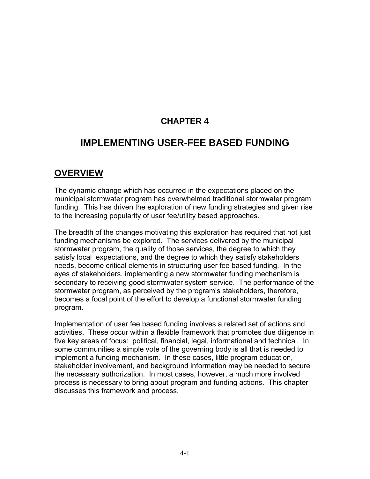## **CHAPTER 4**

## **IMPLEMENTING USER-FEE BASED FUNDING**

## **OVERVIEW**

The dynamic change which has occurred in the expectations placed on the municipal stormwater program has overwhelmed traditional stormwater program funding. This has driven the exploration of new funding strategies and given rise to the increasing popularity of user fee/utility based approaches.

The breadth of the changes motivating this exploration has required that not just funding mechanisms be explored. The services delivered by the municipal stormwater program, the quality of those services, the degree to which they satisfy local expectations, and the degree to which they satisfy stakeholders needs, become critical elements in structuring user fee based funding. In the eyes of stakeholders, implementing a new stormwater funding mechanism is secondary to receiving good stormwater system service. The performance of the stormwater program, as perceived by the program's stakeholders, therefore, becomes a focal point of the effort to develop a functional stormwater funding program.

Implementation of user fee based funding involves a related set of actions and activities. These occur within a flexible framework that promotes due diligence in five key areas of focus: political, financial, legal, informational and technical. In some communities a simple vote of the governing body is all that is needed to implement a funding mechanism. In these cases, little program education, stakeholder involvement, and background information may be needed to secure the necessary authorization. In most cases, however, a much more involved process is necessary to bring about program and funding actions. This chapter discusses this framework and process.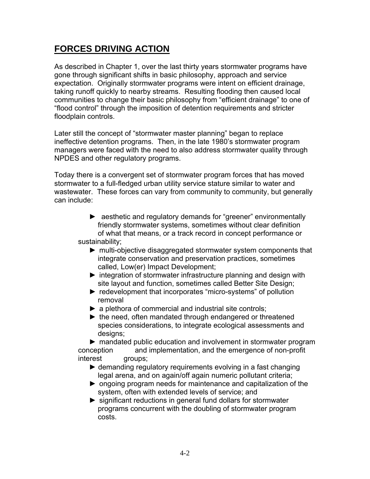# **FORCES DRIVING ACTION**

As described in Chapter 1, over the last thirty years stormwater programs have gone through significant shifts in basic philosophy, approach and service expectation. Originally stormwater programs were intent on efficient drainage, taking runoff quickly to nearby streams. Resulting flooding then caused local communities to change their basic philosophy from "efficient drainage" to one of "flood control" through the imposition of detention requirements and stricter floodplain controls.

Later still the concept of "stormwater master planning" began to replace ineffective detention programs. Then, in the late 1980's stormwater program managers were faced with the need to also address stormwater quality through NPDES and other regulatory programs.

Today there is a convergent set of stormwater program forces that has moved stormwater to a full-fledged urban utility service stature similar to water and wastewater. These forces can vary from community to community, but generally can include:

- ► aesthetic and regulatory demands for "greener" environmentally friendly stormwater systems, sometimes without clear definition of what that means, or a track record in concept performance or sustainability;
	- ► multi-objective disaggregated stormwater system components that integrate conservation and preservation practices, sometimes called, Low(er) Impact Development;
	- ► integration of stormwater infrastructure planning and design with site layout and function, sometimes called Better Site Design;
	- ► redevelopment that incorporates "micro-systems" of pollution removal
	- $\triangleright$  a plethora of commercial and industrial site controls;
	- ► the need, often mandated through endangered or threatened species considerations, to integrate ecological assessments and designs;

► mandated public education and involvement in stormwater program conception and implementation, and the emergence of non-profit interest groups;

- ► demanding regulatory requirements evolving in a fast changing legal arena, and on again/off again numeric pollutant criteria;
- ► ongoing program needs for maintenance and capitalization of the system, often with extended levels of service; and
- ► significant reductions in general fund dollars for stormwater programs concurrent with the doubling of stormwater program costs.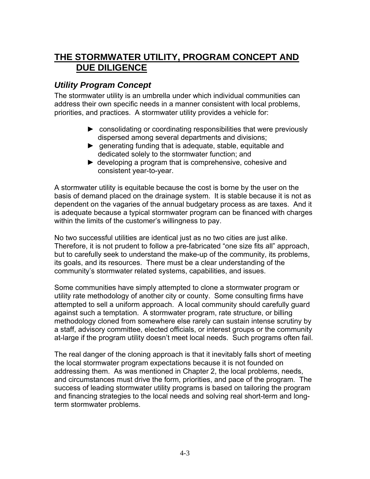# **THE STORMWATER UTILITY, PROGRAM CONCEPT AND DUE DILIGENCE**

#### *Utility Program Concept*

The stormwater utility is an umbrella under which individual communities can address their own specific needs in a manner consistent with local problems, priorities, and practices. A stormwater utility provides a vehicle for:

- ► consolidating or coordinating responsibilities that were previously dispersed among several departments and divisions;
- $\blacktriangleright$  generating funding that is adequate, stable, equitable and dedicated solely to the stormwater function; and
- ► developing a program that is comprehensive, cohesive and consistent year-to-year.

A stormwater utility is equitable because the cost is borne by the user on the basis of demand placed on the drainage system. It is stable because it is not as dependent on the vagaries of the annual budgetary process as are taxes. And it is adequate because a typical stormwater program can be financed with charges within the limits of the customer's willingness to pay.

No two successful utilities are identical just as no two cities are just alike. Therefore, it is not prudent to follow a pre-fabricated "one size fits all" approach, but to carefully seek to understand the make-up of the community, its problems, its goals, and its resources. There must be a clear understanding of the community's stormwater related systems, capabilities, and issues.

Some communities have simply attempted to clone a stormwater program or utility rate methodology of another city or county. Some consulting firms have attempted to sell a uniform approach. A local community should carefully guard against such a temptation. A stormwater program, rate structure, or billing methodology cloned from somewhere else rarely can sustain intense scrutiny by a staff, advisory committee, elected officials, or interest groups or the community at-large if the program utility doesn't meet local needs. Such programs often fail.

The real danger of the cloning approach is that it inevitably falls short of meeting the local stormwater program expectations because it is not founded on addressing them. As was mentioned in Chapter 2, the local problems, needs, and circumstances must drive the form, priorities, and pace of the program. The success of leading stormwater utility programs is based on tailoring the program and financing strategies to the local needs and solving real short-term and longterm stormwater problems.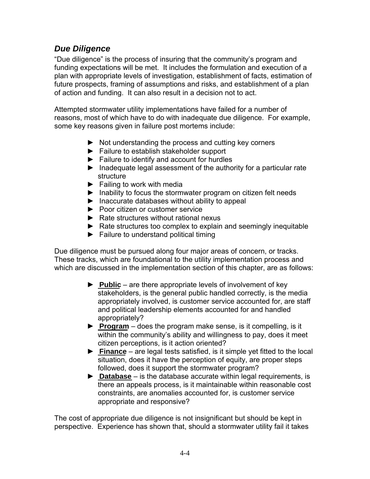#### *Due Diligence*

"Due diligence" is the process of insuring that the community's program and funding expectations will be met. It includes the formulation and execution of a plan with appropriate levels of investigation, establishment of facts, estimation of future prospects, framing of assumptions and risks, and establishment of a plan of action and funding. It can also result in a decision not to act.

Attempted stormwater utility implementations have failed for a number of reasons, most of which have to do with inadequate due diligence. For example, some key reasons given in failure post mortems include:

- ► Not understanding the process and cutting key corners
- ► Failure to establish stakeholder support
- ► Failure to identify and account for hurdles
- ► Inadequate legal assessment of the authority for a particular rate structure
- $\blacktriangleright$  Failing to work with media
- ► Inability to focus the stormwater program on citizen felt needs
- ► Inaccurate databases without ability to appeal
- ► Poor citizen or customer service
- ► Rate structures without rational nexus
- ► Rate structures too complex to explain and seemingly inequitable
- ► Failure to understand political timing

Due diligence must be pursued along four major areas of concern, or tracks. These tracks, which are foundational to the utility implementation process and which are discussed in the implementation section of this chapter, are as follows:

- ► **Public** are there appropriate levels of involvement of key stakeholders, is the general public handled correctly, is the media appropriately involved, is customer service accounted for, are staff and political leadership elements accounted for and handled appropriately?
- ► **Program** does the program make sense, is it compelling, is it within the community's ability and willingness to pay, does it meet citizen perceptions, is it action oriented?
- ► **Finance** are legal tests satisfied, is it simple yet fitted to the local situation, does it have the perception of equity, are proper steps followed, does it support the stormwater program?
- ► **Database**  is the database accurate within legal requirements, is there an appeals process, is it maintainable within reasonable cost constraints, are anomalies accounted for, is customer service appropriate and responsive?

The cost of appropriate due diligence is not insignificant but should be kept in perspective. Experience has shown that, should a stormwater utility fail it takes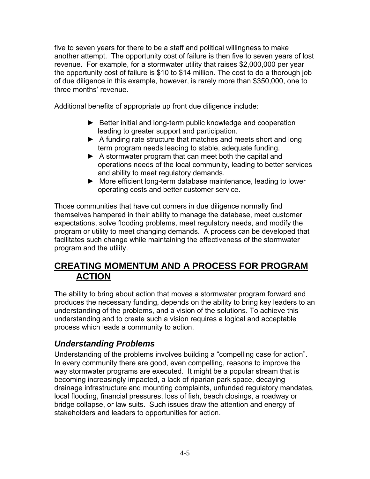five to seven years for there to be a staff and political willingness to make another attempt. The opportunity cost of failure is then five to seven years of lost revenue. For example, for a stormwater utility that raises \$2,000,000 per year the opportunity cost of failure is \$10 to \$14 million. The cost to do a thorough job of due diligence in this example, however, is rarely more than \$350,000, one to three months' revenue.

Additional benefits of appropriate up front due diligence include:

- ► Better initial and long-term public knowledge and cooperation leading to greater support and participation.
- ► A funding rate structure that matches and meets short and long term program needs leading to stable, adequate funding.
- ► A stormwater program that can meet both the capital and operations needs of the local community, leading to better services and ability to meet regulatory demands.
- ► More efficient long-term database maintenance, leading to lower operating costs and better customer service.

Those communities that have cut corners in due diligence normally find themselves hampered in their ability to manage the database, meet customer expectations, solve flooding problems, meet regulatory needs, and modify the program or utility to meet changing demands. A process can be developed that facilitates such change while maintaining the effectiveness of the stormwater program and the utility.

## **CREATING MOMENTUM AND A PROCESS FOR PROGRAM ACTION**

The ability to bring about action that moves a stormwater program forward and produces the necessary funding, depends on the ability to bring key leaders to an understanding of the problems, and a vision of the solutions. To achieve this understanding and to create such a vision requires a logical and acceptable process which leads a community to action.

## *Understanding Problems*

Understanding of the problems involves building a "compelling case for action". In every community there are good, even compelling, reasons to improve the way stormwater programs are executed. It might be a popular stream that is becoming increasingly impacted, a lack of riparian park space, decaying drainage infrastructure and mounting complaints, unfunded regulatory mandates, local flooding, financial pressures, loss of fish, beach closings, a roadway or bridge collapse, or law suits. Such issues draw the attention and energy of stakeholders and leaders to opportunities for action.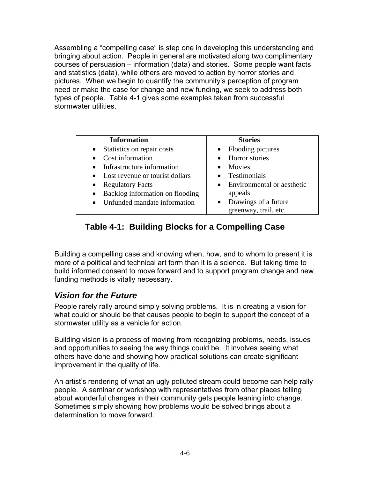Assembling a "compelling case" is step one in developing this understanding and bringing about action. People in general are motivated along two complimentary courses of persuasion – information (data) and stories. Some people want facts and statistics (data), while others are moved to action by horror stories and pictures. When we begin to quantify the community's perception of program need or make the case for change and new funding, we seek to address both types of people. Table 4-1 gives some examples taken from successful stormwater utilities.

| <b>Information</b>                           | <b>Stories</b>                          |
|----------------------------------------------|-----------------------------------------|
| Statistics on repair costs<br>$\bullet$      | Flooding pictures<br>$\bullet$          |
| Cost information                             | • Horror stories                        |
| • Infrastructure information                 | Movies                                  |
| • Lost revenue or tourist dollars            | • Testimonials                          |
| <b>Regulatory Facts</b><br>$\bullet$         | Environmental or aesthetic<br>$\bullet$ |
| Backlog information on flooding<br>$\bullet$ | appeals                                 |
| Unfunded mandate information                 | Drawings of a future                    |
|                                              | greenway, trail, etc.                   |

## **Table 4-1: Building Blocks for a Compelling Case**

Building a compelling case and knowing when, how, and to whom to present it is more of a political and technical art form than it is a science. But taking time to build informed consent to move forward and to support program change and new funding methods is vitally necessary.

#### *Vision for the Future*

People rarely rally around simply solving problems. It is in creating a vision for what could or should be that causes people to begin to support the concept of a stormwater utility as a vehicle for action.

Building vision is a process of moving from recognizing problems, needs, issues and opportunities to seeing the way things could be. It involves seeing what others have done and showing how practical solutions can create significant improvement in the quality of life.

An artist's rendering of what an ugly polluted stream could become can help rally people. A seminar or workshop with representatives from other places telling about wonderful changes in their community gets people leaning into change. Sometimes simply showing how problems would be solved brings about a determination to move forward.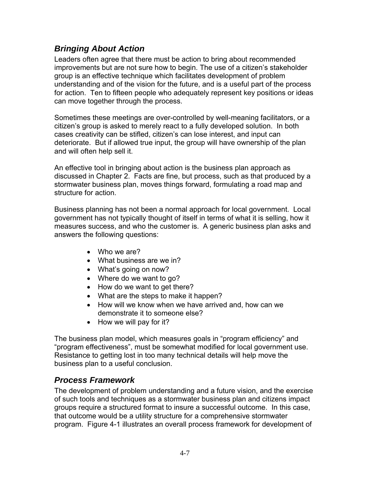## *Bringing About Action*

Leaders often agree that there must be action to bring about recommended improvements but are not sure how to begin. The use of a citizen's stakeholder group is an effective technique which facilitates development of problem understanding and of the vision for the future, and is a useful part of the process for action. Ten to fifteen people who adequately represent key positions or ideas can move together through the process.

Sometimes these meetings are over-controlled by well-meaning facilitators, or a citizen's group is asked to merely react to a fully developed solution. In both cases creativity can be stifled, citizen's can lose interest, and input can deteriorate. But if allowed true input, the group will have ownership of the plan and will often help sell it.

An effective tool in bringing about action is the business plan approach as discussed in Chapter 2. Facts are fine, but process, such as that produced by a stormwater business plan, moves things forward, formulating a road map and structure for action.

Business planning has not been a normal approach for local government. Local government has not typically thought of itself in terms of what it is selling, how it measures success, and who the customer is. A generic business plan asks and answers the following questions:

- Who we are?
- What business are we in?
- What's going on now?
- Where do we want to go?
- How do we want to get there?
- What are the steps to make it happen?
- How will we know when we have arrived and, how can we demonstrate it to someone else?
- How we will pay for it?

The business plan model, which measures goals in "program efficiency" and "program effectiveness", must be somewhat modified for local government use. Resistance to getting lost in too many technical details will help move the business plan to a useful conclusion.

#### *Process Framework*

The development of problem understanding and a future vision, and the exercise of such tools and techniques as a stormwater business plan and citizens impact groups require a structured format to insure a successful outcome. In this case, that outcome would be a utility structure for a comprehensive stormwater program. Figure 4-1 illustrates an overall process framework for development of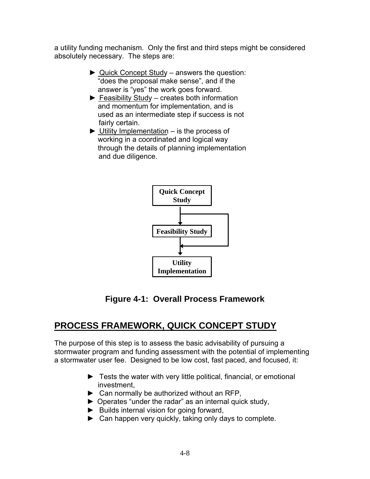a utility funding mechanism. Only the first and third steps might be considered absolutely necessary. The steps are:

- ► Quick Concept Study answers the question: "does the proposal make sense", and if the answer is "yes" the work goes forward.
- $\blacktriangleright$  Feasibility Study creates both information and momentum for implementation, and is used as an intermediate step if success is not fairly certain.
- $\triangleright$  Utility Implementation is the process of working in a coordinated and logical way through the details of planning implementation and due diligence.



**Figure 4-1: Overall Process Framework** 

# **PROCESS FRAMEWORK, QUICK CONCEPT STUDY**

The purpose of this step is to assess the basic advisability of pursuing a stormwater program and funding assessment with the potential of implementing a stormwater user fee. Designed to be low cost, fast paced, and focused, it:

- ► Tests the water with very little political, financial, or emotional investment,
- ► Can normally be authorized without an RFP,
- ► Operates "under the radar" as an internal quick study,
- ► Builds internal vision for going forward,
- ► Can happen very quickly, taking only days to complete.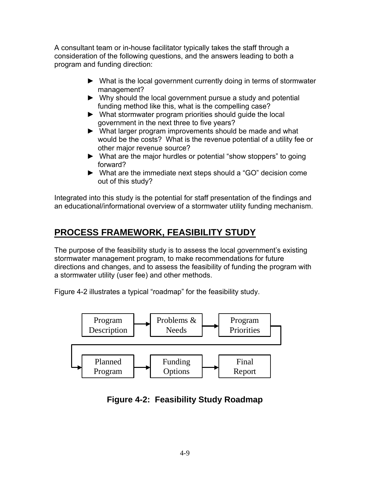A consultant team or in-house facilitator typically takes the staff through a consideration of the following questions, and the answers leading to both a program and funding direction:

- ► What is the local government currently doing in terms of stormwater management?
- ► Why should the local government pursue a study and potential funding method like this, what is the compelling case?
- ► What stormwater program priorities should guide the local government in the next three to five years?
- ► What larger program improvements should be made and what would be the costs? What is the revenue potential of a utility fee or other major revenue source?
- ► What are the major hurdles or potential "show stoppers" to going forward?
- ► What are the immediate next steps should a "GO" decision come out of this study?

Integrated into this study is the potential for staff presentation of the findings and an educational/informational overview of a stormwater utility funding mechanism.

# **PROCESS FRAMEWORK, FEASIBILITY STUDY**

The purpose of the feasibility study is to assess the local government's existing stormwater management program, to make recommendations for future directions and changes, and to assess the feasibility of funding the program with a stormwater utility (user fee) and other methods.

Figure 4-2 illustrates a typical "roadmap" for the feasibility study.



**Figure 4-2: Feasibility Study Roadmap**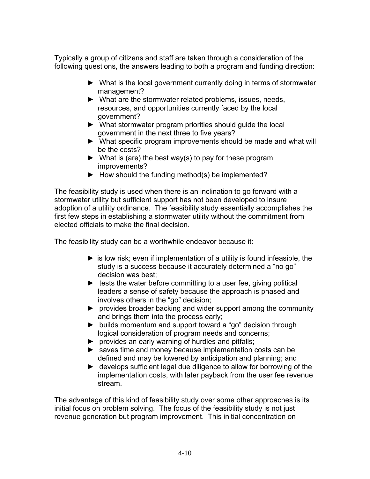Typically a group of citizens and staff are taken through a consideration of the following questions, the answers leading to both a program and funding direction:

- ► What is the local government currently doing in terms of stormwater management?
- ► What are the stormwater related problems, issues, needs, resources, and opportunities currently faced by the local government?
- ► What stormwater program priorities should guide the local government in the next three to five years?
- ► What specific program improvements should be made and what will be the costs?
- $\blacktriangleright$  What is (are) the best way(s) to pay for these program improvements?
- $\blacktriangleright$  How should the funding method(s) be implemented?

The feasibility study is used when there is an inclination to go forward with a stormwater utility but sufficient support has not been developed to insure adoption of a utility ordinance. The feasibility study essentially accomplishes the first few steps in establishing a stormwater utility without the commitment from elected officials to make the final decision.

The feasibility study can be a worthwhile endeavor because it:

- $\triangleright$  is low risk; even if implementation of a utility is found infeasible, the study is a success because it accurately determined a "no go" decision was best;
- $\blacktriangleright$  tests the water before committing to a user fee, giving political leaders a sense of safety because the approach is phased and involves others in the "go" decision;
- ► provides broader backing and wider support among the community and brings them into the process early;
- ► builds momentum and support toward a "go" decision through logical consideration of program needs and concerns;
- ► provides an early warning of hurdles and pitfalls;
- ► saves time and money because implementation costs can be defined and may be lowered by anticipation and planning; and
- ► develops sufficient legal due diligence to allow for borrowing of the implementation costs, with later payback from the user fee revenue stream.

The advantage of this kind of feasibility study over some other approaches is its initial focus on problem solving. The focus of the feasibility study is not just revenue generation but program improvement. This initial concentration on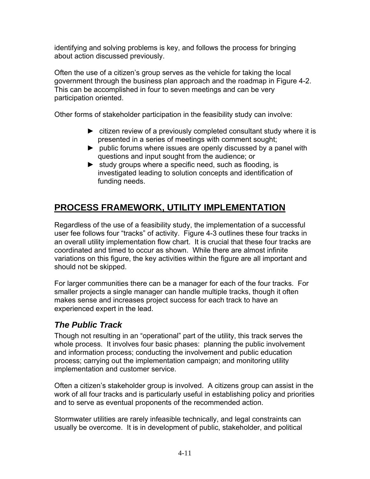identifying and solving problems is key, and follows the process for bringing about action discussed previously.

Often the use of a citizen's group serves as the vehicle for taking the local government through the business plan approach and the roadmap in Figure 4-2. This can be accomplished in four to seven meetings and can be very participation oriented.

Other forms of stakeholder participation in the feasibility study can involve:

- ► citizen review of a previously completed consultant study where it is presented in a series of meetings with comment sought;
- ► public forums where issues are openly discussed by a panel with questions and input sought from the audience; or
- ► study groups where a specific need, such as flooding, is investigated leading to solution concepts and identification of funding needs.

# **PROCESS FRAMEWORK, UTILITY IMPLEMENTATION**

Regardless of the use of a feasibility study, the implementation of a successful user fee follows four "tracks" of activity. Figure 4-3 outlines these four tracks in an overall utility implementation flow chart. It is crucial that these four tracks are coordinated and timed to occur as shown. While there are almost infinite variations on this figure, the key activities within the figure are all important and should not be skipped.

For larger communities there can be a manager for each of the four tracks. For smaller projects a single manager can handle multiple tracks, though it often makes sense and increases project success for each track to have an experienced expert in the lead.

## *The Public Track*

Though not resulting in an "operational" part of the utility, this track serves the whole process. It involves four basic phases: planning the public involvement and information process; conducting the involvement and public education process; carrying out the implementation campaign; and monitoring utility implementation and customer service.

Often a citizen's stakeholder group is involved. A citizens group can assist in the work of all four tracks and is particularly useful in establishing policy and priorities and to serve as eventual proponents of the recommended action.

Stormwater utilities are rarely infeasible technically, and legal constraints can usually be overcome. It is in development of public, stakeholder, and political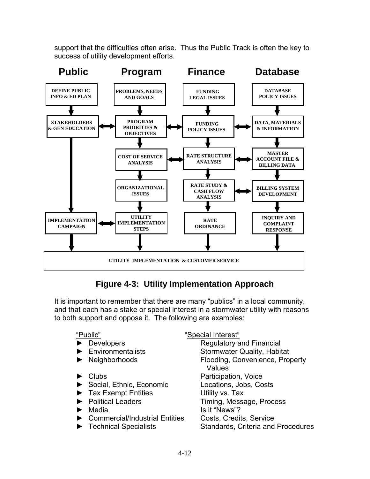support that the difficulties often arise. Thus the Public Track is often the key to success of utility development efforts.



## **Figure 4-3: Utility Implementation Approach**

It is important to remember that there are many "publics" in a local community, and that each has a stake or special interest in a stormwater utility with reasons to both support and oppose it. The following are examples:

- 
- 
- 
- 
- ► Social, Ethnic, Economic Locations, Jobs, Costs
- ► Tax Exempt Entities Utility vs. Tax
- 
- 
- ▶ Commercial/Industrial Entities Costs, Credits, Service
- 

"Public" "Special Interest"

► Developers Regulatory and Financial ► Environmentalists Stormwater Quality, Habitat ► Neighborhoods Flooding, Convenience, Property Values ► Clubs Participation, Voice ► Political Leaders Timing, Message, Process ► Media Is it "News"? ► Technical Specialists Standards, Criteria and Procedures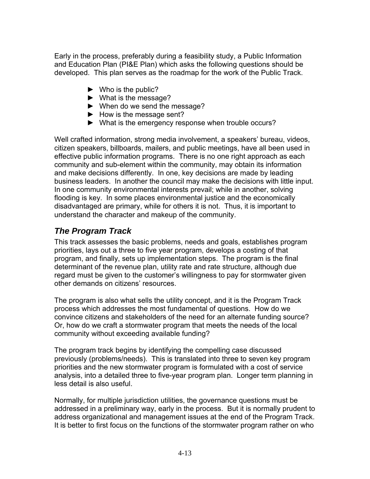Early in the process, preferably during a feasibility study, a Public Information and Education Plan (PI&E Plan) which asks the following questions should be developed. This plan serves as the roadmap for the work of the Public Track.

- $\blacktriangleright$  Who is the public?
- ► What is the message?
- ► When do we send the message?
- ► How is the message sent?
- ► What is the emergency response when trouble occurs?

Well crafted information, strong media involvement, a speakers' bureau, videos, citizen speakers, billboards, mailers, and public meetings, have all been used in effective public information programs. There is no one right approach as each community and sub-element within the community, may obtain its information and make decisions differently. In one, key decisions are made by leading business leaders. In another the council may make the decisions with little input. In one community environmental interests prevail; while in another, solving flooding is key. In some places environmental justice and the economically disadvantaged are primary, while for others it is not. Thus, it is important to understand the character and makeup of the community.

## *The Program Track*

This track assesses the basic problems, needs and goals, establishes program priorities, lays out a three to five year program, develops a costing of that program, and finally, sets up implementation steps. The program is the final determinant of the revenue plan, utility rate and rate structure, although due regard must be given to the customer's willingness to pay for stormwater given other demands on citizens' resources.

The program is also what sells the utility concept, and it is the Program Track process which addresses the most fundamental of questions. How do we convince citizens and stakeholders of the need for an alternate funding source? Or, how do we craft a stormwater program that meets the needs of the local community without exceeding available funding?

The program track begins by identifying the compelling case discussed previously (problems/needs). This is translated into three to seven key program priorities and the new stormwater program is formulated with a cost of service analysis, into a detailed three to five-year program plan. Longer term planning in less detail is also useful.

Normally, for multiple jurisdiction utilities, the governance questions must be addressed in a preliminary way, early in the process. But it is normally prudent to address organizational and management issues at the end of the Program Track. It is better to first focus on the functions of the stormwater program rather on who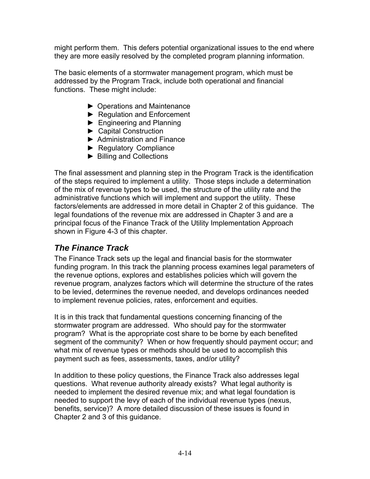might perform them. This defers potential organizational issues to the end where they are more easily resolved by the completed program planning information.

The basic elements of a stormwater management program, which must be addressed by the Program Track, include both operational and financial functions. These might include:

- ► Operations and Maintenance
- ► Regulation and Enforcement
- ► Engineering and Planning
- ► Capital Construction
- ► Administration and Finance
- ► Regulatory Compliance
- ► Billing and Collections

The final assessment and planning step in the Program Track is the identification of the steps required to implement a utility. Those steps include a determination of the mix of revenue types to be used, the structure of the utility rate and the administrative functions which will implement and support the utility. These factors/elements are addressed in more detail in Chapter 2 of this guidance. The legal foundations of the revenue mix are addressed in Chapter 3 and are a principal focus of the Finance Track of the Utility Implementation Approach shown in Figure 4-3 of this chapter.

#### *The Finance Track*

The Finance Track sets up the legal and financial basis for the stormwater funding program. In this track the planning process examines legal parameters of the revenue options, explores and establishes policies which will govern the revenue program, analyzes factors which will determine the structure of the rates to be levied, determines the revenue needed, and develops ordinances needed to implement revenue policies, rates, enforcement and equities.

It is in this track that fundamental questions concerning financing of the stormwater program are addressed. Who should pay for the stormwater program? What is the appropriate cost share to be borne by each benefited segment of the community? When or how frequently should payment occur; and what mix of revenue types or methods should be used to accomplish this payment such as fees, assessments, taxes, and/or utility?

In addition to these policy questions, the Finance Track also addresses legal questions. What revenue authority already exists? What legal authority is needed to implement the desired revenue mix; and what legal foundation is needed to support the levy of each of the individual revenue types (nexus, benefits, service)? A more detailed discussion of these issues is found in Chapter 2 and 3 of this guidance.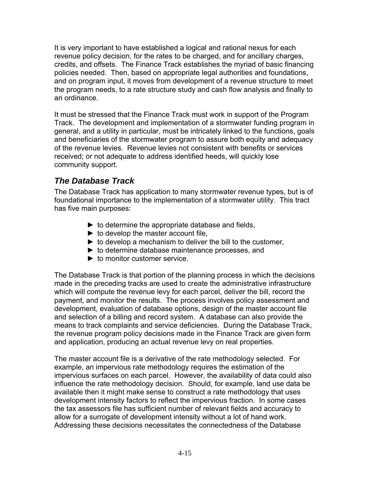It is very important to have established a logical and rational nexus for each revenue policy decision, for the rates to be charged, and for ancillary charges, credits, and offsets. The Finance Track establishes the myriad of basic financing policies needed. Then, based on appropriate legal authorities and foundations, and on program input, it moves from development of a revenue structure to meet the program needs, to a rate structure study and cash flow analysis and finally to an ordinance.

It must be stressed that the Finance Track must work in support of the Program Track. The development and implementation of a stormwater funding program in general, and a utility in particular, must be intricately linked to the functions, goals and beneficiaries of the stormwater program to assure both equity and adequacy of the revenue levies. Revenue levies not consistent with benefits or services received; or not adequate to address identified heeds, will quickly lose community support.

## *The Database Track*

The Database Track has application to many stormwater revenue types, but is of foundational importance to the implementation of a stormwater utility. This tract has five main purposes:

- $\triangleright$  to determine the appropriate database and fields,
- $\blacktriangleright$  to develop the master account file,
- $\triangleright$  to develop a mechanism to deliver the bill to the customer,
- ► to determine database maintenance processes, and
- ► to monitor customer service.

The Database Track is that portion of the planning process in which the decisions made in the preceding tracks are used to create the administrative infrastructure which will compute the revenue levy for each parcel, deliver the bill, record the payment, and monitor the results. The process involves policy assessment and development, evaluation of database options, design of the master account file and selection of a billing and record system. A database can also provide the means to track complaints and service deficiencies. During the Database Track, the revenue program policy decisions made in the Finance Track are given form and application, producing an actual revenue levy on real properties.

The master account file is a derivative of the rate methodology selected. For example, an impervious rate methodology requires the estimation of the impervious surfaces on each parcel. However, the availability of data could also influence the rate methodology decision. Should, for example, land use data be available then it might make sense to construct a rate methodology that uses development intensity factors to reflect the impervious fraction. In some cases the tax assessors file has sufficient number of relevant fields and accuracy to allow for a surrogate of development intensity without a lot of hand work. Addressing these decisions necessitates the connectedness of the Database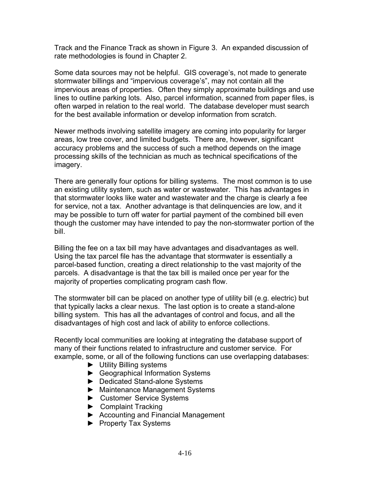Track and the Finance Track as shown in Figure 3. An expanded discussion of rate methodologies is found in Chapter 2.

Some data sources may not be helpful. GIS coverage's, not made to generate stormwater billings and "impervious coverage's", may not contain all the impervious areas of properties. Often they simply approximate buildings and use lines to outline parking lots. Also, parcel information, scanned from paper files, is often warped in relation to the real world. The database developer must search for the best available information or develop information from scratch.

Newer methods involving satellite imagery are coming into popularity for larger areas, low tree cover, and limited budgets. There are, however, significant accuracy problems and the success of such a method depends on the image processing skills of the technician as much as technical specifications of the imagery.

There are generally four options for billing systems. The most common is to use an existing utility system, such as water or wastewater. This has advantages in that stormwater looks like water and wastewater and the charge is clearly a fee for service, not a tax. Another advantage is that delinquencies are low, and it may be possible to turn off water for partial payment of the combined bill even though the customer may have intended to pay the non-stormwater portion of the bill.

Billing the fee on a tax bill may have advantages and disadvantages as well. Using the tax parcel file has the advantage that stormwater is essentially a parcel-based function, creating a direct relationship to the vast majority of the parcels. A disadvantage is that the tax bill is mailed once per year for the majority of properties complicating program cash flow.

The stormwater bill can be placed on another type of utility bill (e.g. electric) but that typically lacks a clear nexus. The last option is to create a stand-alone billing system. This has all the advantages of control and focus, and all the disadvantages of high cost and lack of ability to enforce collections.

Recently local communities are looking at integrating the database support of many of their functions related to infrastructure and customer service. For example, some, or all of the following functions can use overlapping databases:

- ► Utility Billing systems
- ► Geographical Information Systems
- ► Dedicated Stand-alone Systems
- ► Maintenance Management Systems
- ► Customer Service Systems
- ► Complaint Tracking
- ► Accounting and Financial Management
- ► Property Tax Systems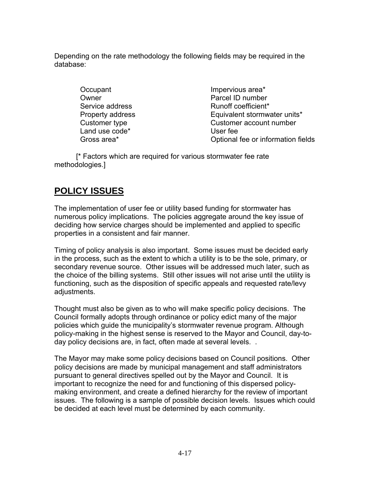Depending on the rate methodology the following fields may be required in the database:

> Occupant **Impervious** area\* Land use code<sup>\*</sup> User fee

Owner **Parcel ID** number Service address Runoff coefficient\* Property address Equivalent stormwater units\* Customer type Customer account number Gross area\* **Conservation** Conservation Coptional fee or information fields

 [\* Factors which are required for various stormwater fee rate methodologies.]

# **POLICY ISSUES**

The implementation of user fee or utility based funding for stormwater has numerous policy implications. The policies aggregate around the key issue of deciding how service charges should be implemented and applied to specific properties in a consistent and fair manner.

Timing of policy analysis is also important. Some issues must be decided early in the process, such as the extent to which a utility is to be the sole, primary, or secondary revenue source. Other issues will be addressed much later, such as the choice of the billing systems. Still other issues will not arise until the utility is functioning, such as the disposition of specific appeals and requested rate/levy adjustments.

Thought must also be given as to who will make specific policy decisions. The Council formally adopts through ordinance or policy edict many of the major policies which guide the municipality's stormwater revenue program. Although policy-making in the highest sense is reserved to the Mayor and Council, day-today policy decisions are, in fact, often made at several levels. .

The Mayor may make some policy decisions based on Council positions. Other policy decisions are made by municipal management and staff administrators pursuant to general directives spelled out by the Mayor and Council. It is important to recognize the need for and functioning of this dispersed policymaking environment, and create a defined hierarchy for the review of important issues. The following is a sample of possible decision levels. Issues which could be decided at each level must be determined by each community.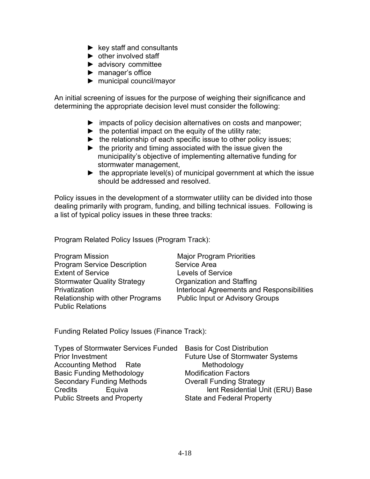- $\blacktriangleright$  key staff and consultants
- $\blacktriangleright$  other involved staff
- ► advisory committee
- ► manager's office
- ► municipal council/mayor

An initial screening of issues for the purpose of weighing their significance and determining the appropriate decision level must consider the following:

- ► impacts of policy decision alternatives on costs and manpower;
- $\blacktriangleright$  the potential impact on the equity of the utility rate;
- ► the relationship of each specific issue to other policy issues;
- $\blacktriangleright$  the priority and timing associated with the issue given the municipality's objective of implementing alternative funding for stormwater management,
- $\blacktriangleright$  the appropriate level(s) of municipal government at which the issue should be addressed and resolved.

Policy issues in the development of a stormwater utility can be divided into those dealing primarily with program, funding, and billing technical issues. Following is a list of typical policy issues in these three tracks:

Program Related Policy Issues (Program Track):

| <b>Program Mission</b>             | <b>Major Program Priorities</b>                   |
|------------------------------------|---------------------------------------------------|
| <b>Program Service Description</b> | Service Area                                      |
| <b>Extent of Service</b>           | <b>Levels of Service</b>                          |
| <b>Stormwater Quality Strategy</b> | Organization and Staffing                         |
| Privatization                      | <b>Interlocal Agreements and Responsibilities</b> |
| Relationship with other Programs   | <b>Public Input or Advisory Groups</b>            |
| <b>Public Relations</b>            |                                                   |

Funding Related Policy Issues (Finance Track):

| Types of Stormwater Services Funded Basis for Cost Distribution |                                         |
|-----------------------------------------------------------------|-----------------------------------------|
| Prior Investment                                                | <b>Future Use of Stormwater Systems</b> |
| <b>Accounting Method Rate</b>                                   | Methodology                             |
| <b>Basic Funding Methodology</b>                                | <b>Modification Factors</b>             |
| <b>Secondary Funding Methods</b>                                | <b>Overall Funding Strategy</b>         |
| Credits<br>Equiva                                               | lent Residential Unit (ERU) Base        |
| <b>Public Streets and Property</b>                              | <b>State and Federal Property</b>       |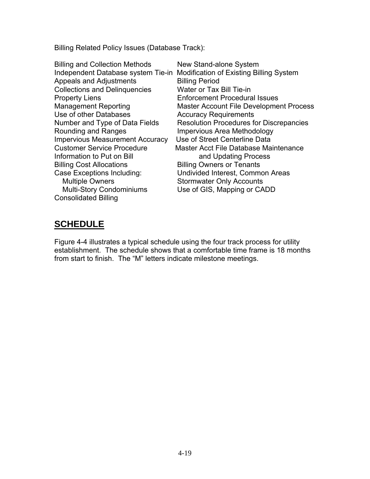Billing Related Policy Issues (Database Track):

Billing and Collection Methods New Stand-alone System Independent Database system Tie-in Modification of Existing Billing System Appeals and Adjustments Appeals and Adjustments Collections and Delinquencies Water or Tax Bill Tie-in Property Liens Enforcement Procedural Issues Management Reporting Master Account File Development Process Use of other Databases Accuracy Requirements Number and Type of Data Fields Resolution Procedures for Discrepancies Rounding and Ranges **Impervious Area Methodology** Impervious Measurement Accuracy Use of Street Centerline Data Customer Service Procedure Master Acct File Database Maintenance Information to Put on Bill and Updating Process Billing Cost Allocations **Billing Owners or Tenants** Case Exceptions Including: Undivided Interest, Common Areas Multiple Owners Stormwater Only Accounts Multi-Story Condominiums Use of GIS, Mapping or CADD Consolidated Billing

## **SCHEDULE**

Figure 4-4 illustrates a typical schedule using the four track process for utility establishment. The schedule shows that a comfortable time frame is 18 months from start to finish. The "M" letters indicate milestone meetings.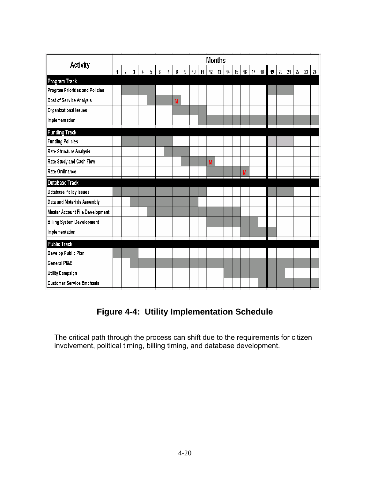| <b>Activity</b>                   |   |                |              |   |   |   |                |   |                |    |    |    | <b>Months</b> |    |    |    |    |    |    |        |    |    |              |  |
|-----------------------------------|---|----------------|--------------|---|---|---|----------------|---|----------------|----|----|----|---------------|----|----|----|----|----|----|--------|----|----|--------------|--|
|                                   | 1 | $\overline{2}$ | $\mathbf{3}$ | 4 | 5 | 6 | $\overline{I}$ | 8 | $\overline{9}$ | 10 | 11 | 12 | 13            | 14 | 15 | 16 | 17 | 18 | 19 | $20\,$ | 21 | 22 | $23 \mid 24$ |  |
| Program Track                     |   |                |              |   |   |   |                |   |                |    |    |    |               |    |    |    |    |    |    |        |    |    |              |  |
| Program Priorities and Policies   |   |                |              |   |   |   |                |   |                |    |    |    |               |    |    |    |    |    |    |        |    |    |              |  |
| Cost of Service Analysis          |   |                |              |   |   |   |                | M |                |    |    |    |               |    |    |    |    |    |    |        |    |    |              |  |
| Organizational Issues             |   |                |              |   |   |   |                |   |                |    |    |    |               |    |    |    |    |    |    |        |    |    |              |  |
| Implementation                    |   |                |              |   |   |   |                |   |                |    |    |    |               |    |    |    |    |    |    |        |    |    |              |  |
| <b>Funding Track</b>              |   |                |              |   |   |   |                |   |                |    |    |    |               |    |    |    |    |    |    |        |    |    |              |  |
| <b>Funding Policies</b>           |   |                |              |   |   |   |                |   |                |    |    |    |               |    |    |    |    |    |    |        |    |    |              |  |
| Rate Structure Analysis           |   |                |              |   |   |   |                |   |                |    |    |    |               |    |    |    |    |    |    |        |    |    |              |  |
| Rate Study and Cash Flow          |   |                |              |   |   |   |                |   |                |    |    | M  |               |    |    |    |    |    |    |        |    |    |              |  |
| Rate Ordinance                    |   |                |              |   |   |   |                |   |                |    |    |    |               |    |    | M  |    |    |    |        |    |    |              |  |
| Database Track                    |   |                |              |   |   |   |                |   |                |    |    |    |               |    |    |    |    |    |    |        |    |    |              |  |
| Database Policy Issues            |   |                |              |   |   |   |                |   |                |    |    |    |               |    |    |    |    |    |    |        |    |    |              |  |
| Data and Materials Assembly       |   |                |              |   |   |   |                |   |                |    |    |    |               |    |    |    |    |    |    |        |    |    |              |  |
| Master Account File Development   |   |                |              |   |   |   |                |   |                |    |    |    |               |    |    |    |    |    |    |        |    |    |              |  |
| <b>Billing System Development</b> |   |                |              |   |   |   |                |   |                |    |    |    |               |    |    |    |    |    |    |        |    |    |              |  |
| Implementation                    |   |                |              |   |   |   |                |   |                |    |    |    |               |    |    |    |    |    |    |        |    |    |              |  |
| <b>Public Track</b>               |   |                |              |   |   |   |                |   |                |    |    |    |               |    |    |    |    |    |    |        |    |    |              |  |
| Develop Public Plan               |   |                |              |   |   |   |                |   |                |    |    |    |               |    |    |    |    |    |    |        |    |    |              |  |
| General PI&E                      |   |                |              |   |   |   |                |   |                |    |    |    |               |    |    |    |    |    |    |        |    |    |              |  |
| Utility Campaign                  |   |                |              |   |   |   |                |   |                |    |    |    |               |    |    |    |    |    |    |        |    |    |              |  |
| <b>Customer Service Emphasis</b>  |   |                |              |   |   |   |                |   |                |    |    |    |               |    |    |    |    |    |    |        |    |    |              |  |

# **Figure 4-4: Utility Implementation Schedule**

The critical path through the process can shift due to the requirements for citizen involvement, political timing, billing timing, and database development.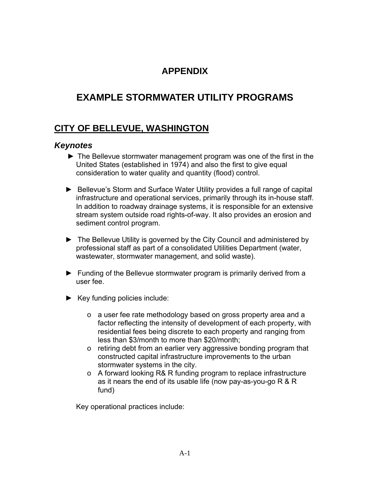## **APPENDIX**

# **EXAMPLE STORMWATER UTILITY PROGRAMS**

## **CITY OF BELLEVUE, WASHINGTON**

#### *Keynotes*

- ► The Bellevue stormwater management program was one of the first in the United States (established in 1974) and also the first to give equal consideration to water quality and quantity (flood) control.
- ► Bellevue's Storm and Surface Water Utility provides a full range of capital infrastructure and operational services, primarily through its in-house staff. In addition to roadway drainage systems, it is responsible for an extensive stream system outside road rights-of-way. It also provides an erosion and sediment control program.
- ► The Bellevue Utility is governed by the City Council and administered by professional staff as part of a consolidated Utilities Department (water, wastewater, stormwater management, and solid waste).
- ► Funding of the Bellevue stormwater program is primarily derived from a user fee.
- $\blacktriangleright$  Key funding policies include:
	- o a user fee rate methodology based on gross property area and a factor reflecting the intensity of development of each property, with residential fees being discrete to each property and ranging from less than \$3/month to more than \$20/month;
	- o retiring debt from an earlier very aggressive bonding program that constructed capital infrastructure improvements to the urban stormwater systems in the city.
	- o A forward looking R& R funding program to replace infrastructure as it nears the end of its usable life (now pay-as-you-go R & R fund)

Key operational practices include: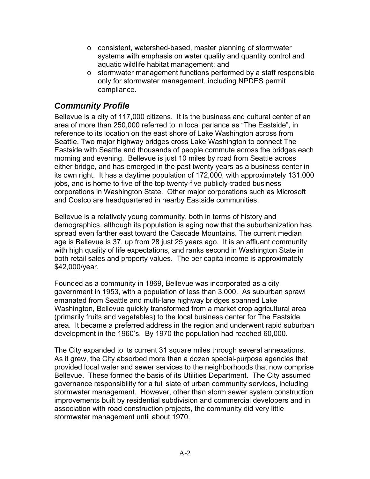- o consistent, watershed-based, master planning of stormwater systems with emphasis on water quality and quantity control and aquatic wildlife habitat management; and
- $\circ$  stormwater management functions performed by a staff responsible only for stormwater management, including NPDES permit compliance.

#### *Community Profile*

Bellevue is a city of 117,000 citizens. It is the business and cultural center of an area of more than 250,000 referred to in local parlance as "The Eastside", in reference to its location on the east shore of Lake Washington across from Seattle. Two major highway bridges cross Lake Washington to connect The Eastside with Seattle and thousands of people commute across the bridges each morning and evening. Bellevue is just 10 miles by road from Seattle across either bridge, and has emerged in the past twenty years as a business center in its own right. It has a daytime population of 172,000, with approximately 131,000 jobs, and is home to five of the top twenty-five publicly-traded business corporations in Washington State. Other major corporations such as Microsoft and Costco are headquartered in nearby Eastside communities.

Bellevue is a relatively young community, both in terms of history and demographics, although its population is aging now that the suburbanization has spread even farther east toward the Cascade Mountains. The current median age is Bellevue is 37, up from 28 just 25 years ago. It is an affluent community with high quality of life expectations, and ranks second in Washington State in both retail sales and property values. The per capita income is approximately \$42,000/year.

Founded as a community in 1869, Bellevue was incorporated as a city government in 1953, with a population of less than 3,000. As suburban sprawl emanated from Seattle and multi-lane highway bridges spanned Lake Washington, Bellevue quickly transformed from a market crop agricultural area (primarily fruits and vegetables) to the local business center for The Eastside area. It became a preferred address in the region and underwent rapid suburban development in the 1960's. By 1970 the population had reached 60,000.

The City expanded to its current 31 square miles through several annexations. As it grew, the City absorbed more than a dozen special-purpose agencies that provided local water and sewer services to the neighborhoods that now comprise Bellevue. These formed the basis of its Utilities Department. The City assumed governance responsibility for a full slate of urban community services, including stormwater management. However, other than storm sewer system construction improvements built by residential subdivision and commercial developers and in association with road construction projects, the community did very little stormwater management until about 1970.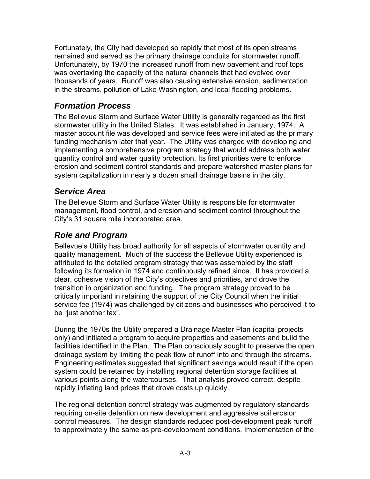Fortunately, the City had developed so rapidly that most of its open streams remained and served as the primary drainage conduits for stormwater runoff. Unfortunately, by 1970 the increased runoff from new pavement and roof tops was overtaxing the capacity of the natural channels that had evolved over thousands of years. Runoff was also causing extensive erosion, sedimentation in the streams, pollution of Lake Washington, and local flooding problems.

#### *Formation Process*

The Bellevue Storm and Surface Water Utility is generally regarded as the first stormwater utility in the United States. It was established in January, 1974. A master account file was developed and service fees were initiated as the primary funding mechanism later that year. The Utility was charged with developing and implementing a comprehensive program strategy that would address both water quantity control and water quality protection. Its first priorities were to enforce erosion and sediment control standards and prepare watershed master plans for system capitalization in nearly a dozen small drainage basins in the city.

#### *Service Area*

The Bellevue Storm and Surface Water Utility is responsible for stormwater management, flood control, and erosion and sediment control throughout the City's 31 square mile incorporated area.

### *Role and Program*

Bellevue's Utility has broad authority for all aspects of stormwater quantity and quality management. Much of the success the Bellevue Utility experienced is attributed to the detailed program strategy that was assembled by the staff following its formation in 1974 and continuously refined since. It has provided a clear, cohesive vision of the City's objectives and priorities, and drove the transition in organization and funding. The program strategy proved to be critically important in retaining the support of the City Council when the initial service fee (1974) was challenged by citizens and businesses who perceived it to be "just another tax".

During the 1970s the Utility prepared a Drainage Master Plan (capital projects only) and initiated a program to acquire properties and easements and build the facilities identified in the Plan. The Plan consciously sought to preserve the open drainage system by limiting the peak flow of runoff into and through the streams. Engineering estimates suggested that significant savings would result if the open system could be retained by installing regional detention storage facilities at various points along the watercourses. That analysis proved correct, despite rapidly inflating land prices that drove costs up quickly.

The regional detention control strategy was augmented by regulatory standards requiring on-site detention on new development and aggressive soil erosion control measures. The design standards reduced post-development peak runoff to approximately the same as pre-development conditions. Implementation of the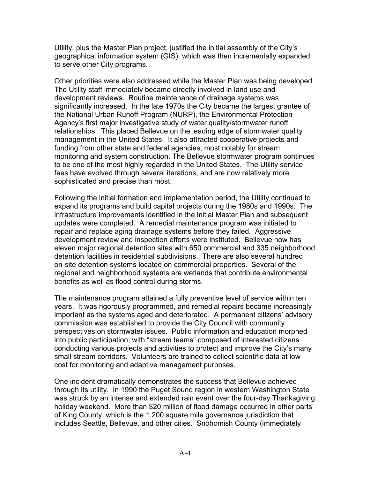Utility, plus the Master Plan project, justified the initial assembly of the City's geographical information system (GIS), which was then incrementally expanded to serve other City programs.

Other priorities were also addressed while the Master Plan was being developed. The Utility staff immediately became directly involved in land use and development reviews. Routine maintenance of drainage systems was significantly increased. In the late 1970s the City became the largest grantee of the National Urban Runoff Program (NURP), the Environmental Protection Agency's first major investigative study of water quality/stormwater runoff relationships. This placed Bellevue on the leading edge of stormwater quality management in the United States. It also attracted cooperative projects and funding from other state and federal agencies, most notably for stream monitoring and system construction. The Bellevue stormwater program continues to be one of the most highly regarded in the United States. The Utility service fees have evolved through several iterations, and are now relatively more sophisticated and precise than most.

Following the initial formation and implementation period, the Utility continued to expand its programs and build capital projects during the 1980s and 1990s. The infrastructure improvements identified in the initial Master Plan and subsequent updates were completed. A remedial maintenance program was initiated to repair and replace aging drainage systems before they failed. Aggressive development review and inspection efforts were instituted. Bellevue now has eleven major regional detention sites with 650 commercial and 335 neighborhood detention facilities in residential subdivisions. There are also several hundred on-site detention systems located on commercial properties. Several of the regional and neighborhood systems are wetlands that contribute environmental benefits as well as flood control during storms.

The maintenance program attained a fully preventive level of service within ten years. It was rigorously programmed, and remedial repairs became increasingly important as the systems aged and deteriorated. A permanent citizens' advisory commission was established to provide the City Council with community perspectives on stormwater issues. Public information and education morphed into public participation, with "stream teams" composed of interested citizens conducting various projects and activities to protect and improve the City's many small stream corridors. Volunteers are trained to collect scientific data at low cost for monitoring and adaptive management purposes.

One incident dramatically demonstrates the success that Bellevue achieved through its utility. In 1990 the Puget Sound region in western Washington State was struck by an intense and extended rain event over the four-day Thanksgiving holiday weekend. More than \$20 million of flood damage occurred in other parts of King County, which is the 1,200 square mile governance jurisdiction that includes Seattle, Bellevue, and other cities. Snohomish County (immediately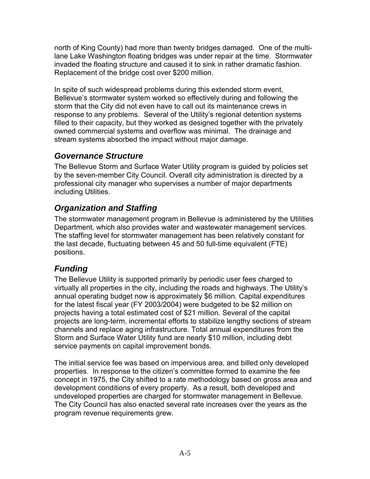north of King County) had more than twenty bridges damaged. One of the multilane Lake Washington floating bridges was under repair at the time. Stormwater invaded the floating structure and caused it to sink in rather dramatic fashion. Replacement of the bridge cost over \$200 million.

In spite of such widespread problems during this extended storm event, Bellevue's stormwater system worked so effectively during and following the storm that the City did not even have to call out its maintenance crews in response to any problems. Several of the Utility's regional detention systems filled to their capacity, but they worked as designed together with the privately owned commercial systems and overflow was minimal. The drainage and stream systems absorbed the impact without major damage.

#### *Governance Structure*

The Bellevue Storm and Surface Water Utility program is guided by policies set by the seven-member City Council. Overall city administration is directed by a professional city manager who supervises a number of major departments including Utilities.

# *Organization and Staffing*

The stormwater management program in Bellevue is administered by the Utilities Department, which also provides water and wastewater management services. The staffing level for stormwater management has been relatively constant for the last decade, fluctuating between 45 and 50 full-time equivalent (FTE) positions.

# *Funding*

The Bellevue Utility is supported primarily by periodic user fees charged to virtually all properties in the city, including the roads and highways. The Utility's annual operating budget now is approximately \$6 million. Capital expenditures for the latest fiscal year (FY 2003/2004) were budgeted to be \$2 million on projects having a total estimated cost of \$21 million. Several of the capital projects are long-term, incremental efforts to stabilize lengthy sections of stream channels and replace aging infrastructure. Total annual expenditures from the Storm and Surface Water Utility fund are nearly \$10 million, including debt service payments on capital improvement bonds.

The initial service fee was based on impervious area, and billed only developed properties. In response to the citizen's committee formed to examine the fee concept in 1975, the City shifted to a rate methodology based on gross area and development conditions of every property. As a result, both developed and undeveloped properties are charged for stormwater management in Bellevue. The City Council has also enacted several rate increases over the years as the program revenue requirements grew.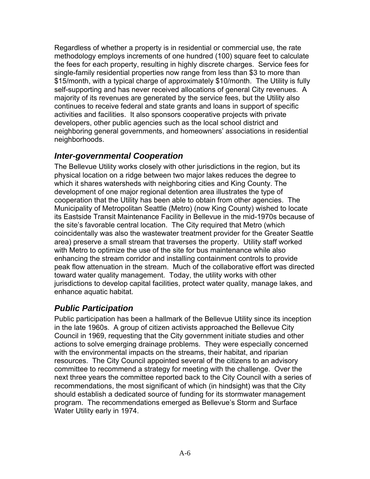Regardless of whether a property is in residential or commercial use, the rate methodology employs increments of one hundred (100) square feet to calculate the fees for each property, resulting in highly discrete charges. Service fees for single-family residential properties now range from less than \$3 to more than \$15/month, with a typical charge of approximately \$10/month. The Utility is fully self-supporting and has never received allocations of general City revenues. A majority of its revenues are generated by the service fees, but the Utility also continues to receive federal and state grants and loans in support of specific activities and facilities. It also sponsors cooperative projects with private developers, other public agencies such as the local school district and neighboring general governments, and homeowners' associations in residential neighborhoods.

#### *Inter-governmental Cooperation*

The Bellevue Utility works closely with other jurisdictions in the region, but its physical location on a ridge between two major lakes reduces the degree to which it shares watersheds with neighboring cities and King County. The development of one major regional detention area illustrates the type of cooperation that the Utility has been able to obtain from other agencies. The Municipality of Metropolitan Seattle (Metro) (now King County) wished to locate its Eastside Transit Maintenance Facility in Bellevue in the mid-1970s because of the site's favorable central location. The City required that Metro (which coincidentally was also the wastewater treatment provider for the Greater Seattle area) preserve a small stream that traverses the property. Utility staff worked with Metro to optimize the use of the site for bus maintenance while also enhancing the stream corridor and installing containment controls to provide peak flow attenuation in the stream. Much of the collaborative effort was directed toward water quality management. Today, the utility works with other jurisdictions to develop capital facilities, protect water quality, manage lakes, and enhance aquatic habitat.

# *Public Participation*

Public participation has been a hallmark of the Bellevue Utility since its inception in the late 1960s. A group of citizen activists approached the Bellevue City Council in 1969, requesting that the City government initiate studies and other actions to solve emerging drainage problems. They were especially concerned with the environmental impacts on the streams, their habitat, and riparian resources. The City Council appointed several of the citizens to an advisory committee to recommend a strategy for meeting with the challenge. Over the next three years the committee reported back to the City Council with a series of recommendations, the most significant of which (in hindsight) was that the City should establish a dedicated source of funding for its stormwater management program. The recommendations emerged as Bellevue's Storm and Surface Water Utility early in 1974.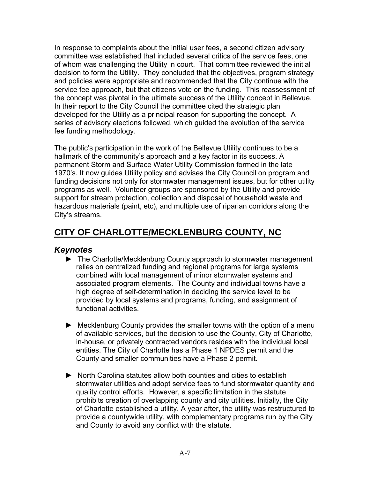In response to complaints about the initial user fees, a second citizen advisory committee was established that included several critics of the service fees, one of whom was challenging the Utility in court. That committee reviewed the initial decision to form the Utility. They concluded that the objectives, program strategy and policies were appropriate and recommended that the City continue with the service fee approach, but that citizens vote on the funding. This reassessment of the concept was pivotal in the ultimate success of the Utility concept in Bellevue. In their report to the City Council the committee cited the strategic plan developed for the Utility as a principal reason for supporting the concept. A series of advisory elections followed, which guided the evolution of the service fee funding methodology.

The public's participation in the work of the Bellevue Utility continues to be a hallmark of the community's approach and a key factor in its success. A permanent Storm and Surface Water Utility Commission formed in the late 1970's. It now guides Utility policy and advises the City Council on program and funding decisions not only for stormwater management issues, but for other utility programs as well. Volunteer groups are sponsored by the Utility and provide support for stream protection, collection and disposal of household waste and hazardous materials (paint, etc), and multiple use of riparian corridors along the City's streams.

# **CITY OF CHARLOTTE/MECKLENBURG COUNTY, NC**

#### *Keynotes*

- ► The Charlotte/Mecklenburg County approach to stormwater management relies on centralized funding and regional programs for large systems combined with local management of minor stormwater systems and associated program elements. The County and individual towns have a high degree of self-determination in deciding the service level to be provided by local systems and programs, funding, and assignment of functional activities.
- ► Mecklenburg County provides the smaller towns with the option of a menu of available services, but the decision to use the County, City of Charlotte, in-house, or privately contracted vendors resides with the individual local entities. The City of Charlotte has a Phase 1 NPDES permit and the County and smaller communities have a Phase 2 permit.
- ► North Carolina statutes allow both counties and cities to establish stormwater utilities and adopt service fees to fund stormwater quantity and quality control efforts. However, a specific limitation in the statute prohibits creation of overlapping county and city utilities. Initially, the City of Charlotte established a utility. A year after, the utility was restructured to provide a countywide utility, with complementary programs run by the City and County to avoid any conflict with the statute.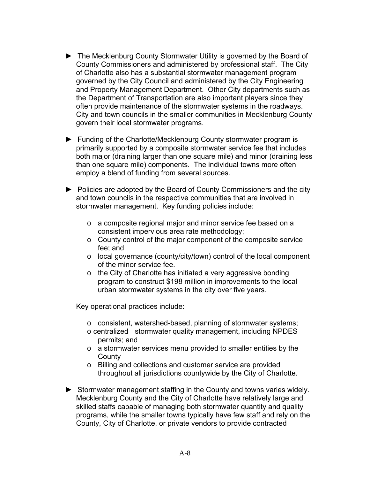- ► The Mecklenburg County Stormwater Utility is governed by the Board of County Commissioners and administered by professional staff. The City of Charlotte also has a substantial stormwater management program governed by the City Council and administered by the City Engineering and Property Management Department. Other City departments such as the Department of Transportation are also important players since they often provide maintenance of the stormwater systems in the roadways. City and town councils in the smaller communities in Mecklenburg County govern their local stormwater programs.
- ► Funding of the Charlotte/Mecklenburg County stormwater program is primarily supported by a composite stormwater service fee that includes both major (draining larger than one square mile) and minor (draining less than one square mile) components. The individual towns more often employ a blend of funding from several sources.
- ► Policies are adopted by the Board of County Commissioners and the city and town councils in the respective communities that are involved in stormwater management. Key funding policies include:
	- o a composite regional major and minor service fee based on a consistent impervious area rate methodology;
	- o County control of the major component of the composite service fee; and
	- o local governance (county/city/town) control of the local component of the minor service fee.
	- o the City of Charlotte has initiated a very aggressive bonding program to construct \$198 million in improvements to the local urban stormwater systems in the city over five years.

Key operational practices include:

- o consistent, watershed-based, planning of stormwater systems;
- o centralized stormwater quality management, including NPDES permits; and
- o a stormwater services menu provided to smaller entities by the **County**
- o Billing and collections and customer service are provided throughout all jurisdictions countywide by the City of Charlotte.
- ► Stormwater management staffing in the County and towns varies widely. Mecklenburg County and the City of Charlotte have relatively large and skilled staffs capable of managing both stormwater quantity and quality programs, while the smaller towns typically have few staff and rely on the County, City of Charlotte, or private vendors to provide contracted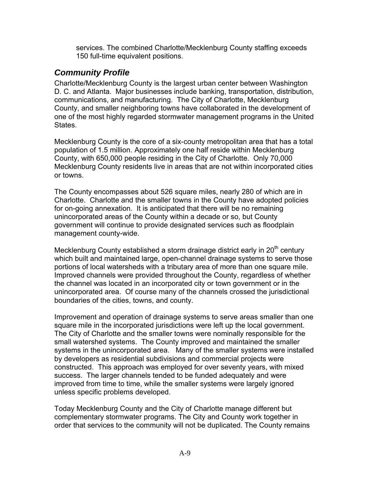services. The combined Charlotte/Mecklenburg County staffing exceeds 150 full-time equivalent positions.

#### *Community Profile*

Charlotte/Mecklenburg County is the largest urban center between Washington D. C. and Atlanta. Major businesses include banking, transportation, distribution, communications, and manufacturing. The City of Charlotte, Mecklenburg County, and smaller neighboring towns have collaborated in the development of one of the most highly regarded stormwater management programs in the United States.

Mecklenburg County is the core of a six-county metropolitan area that has a total population of 1.5 million. Approximately one half reside within Mecklenburg County, with 650,000 people residing in the City of Charlotte. Only 70,000 Mecklenburg County residents live in areas that are not within incorporated cities or towns.

The County encompasses about 526 square miles, nearly 280 of which are in Charlotte. Charlotte and the smaller towns in the County have adopted policies for on-going annexation. It is anticipated that there will be no remaining unincorporated areas of the County within a decade or so, but County government will continue to provide designated services such as floodplain management county-wide.

Mecklenburg County established a storm drainage district early in  $20<sup>th</sup>$  century which built and maintained large, open-channel drainage systems to serve those portions of local watersheds with a tributary area of more than one square mile. Improved channels were provided throughout the County, regardless of whether the channel was located in an incorporated city or town government or in the unincorporated area. Of course many of the channels crossed the jurisdictional boundaries of the cities, towns, and county.

Improvement and operation of drainage systems to serve areas smaller than one square mile in the incorporated jurisdictions were left up the local government. The City of Charlotte and the smaller towns were nominally responsible for the small watershed systems. The County improved and maintained the smaller systems in the unincorporated area. Many of the smaller systems were installed by developers as residential subdivisions and commercial projects were constructed. This approach was employed for over seventy years, with mixed success. The larger channels tended to be funded adequately and were improved from time to time, while the smaller systems were largely ignored unless specific problems developed.

Today Mecklenburg County and the City of Charlotte manage different but complementary stormwater programs. The City and County work together in order that services to the community will not be duplicated. The County remains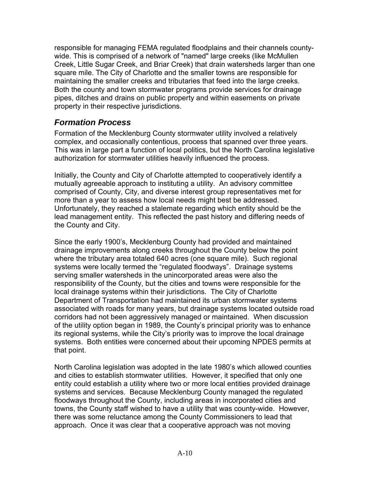responsible for managing FEMA regulated floodplains and their channels countywide. This is comprised of a network of "named" large creeks (like McMullen Creek, Little Sugar Creek, and Briar Creek) that drain watersheds larger than one square mile. The City of Charlotte and the smaller towns are responsible for maintaining the smaller creeks and tributaries that feed into the large creeks. Both the county and town stormwater programs provide services for drainage pipes, ditches and drains on public property and within easements on private property in their respective jurisdictions.

#### *Formation Process*

Formation of the Mecklenburg County stormwater utility involved a relatively complex, and occasionally contentious, process that spanned over three years. This was in large part a function of local politics, but the North Carolina legislative authorization for stormwater utilities heavily influenced the process.

Initially, the County and City of Charlotte attempted to cooperatively identify a mutually agreeable approach to instituting a utility. An advisory committee comprised of County, City, and diverse interest group representatives met for more than a year to assess how local needs might best be addressed. Unfortunately, they reached a stalemate regarding which entity should be the lead management entity. This reflected the past history and differing needs of the County and City.

Since the early 1900's, Mecklenburg County had provided and maintained drainage improvements along creeks throughout the County below the point where the tributary area totaled 640 acres (one square mile). Such regional systems were locally termed the "regulated floodways". Drainage systems serving smaller watersheds in the unincorporated areas were also the responsibility of the County, but the cities and towns were responsible for the local drainage systems within their jurisdictions. The City of Charlotte Department of Transportation had maintained its urban stormwater systems associated with roads for many years, but drainage systems located outside road corridors had not been aggressively managed or maintained. When discussion of the utility option began in 1989, the County's principal priority was to enhance its regional systems, while the City's priority was to improve the local drainage systems. Both entities were concerned about their upcoming NPDES permits at that point.

North Carolina legislation was adopted in the late 1980's which allowed counties and cities to establish stormwater utilities. However, it specified that only one entity could establish a utility where two or more local entities provided drainage systems and services. Because Mecklenburg County managed the regulated floodways throughout the County, including areas in incorporated cities and towns, the County staff wished to have a utility that was county-wide. However, there was some reluctance among the County Commissioners to lead that approach. Once it was clear that a cooperative approach was not moving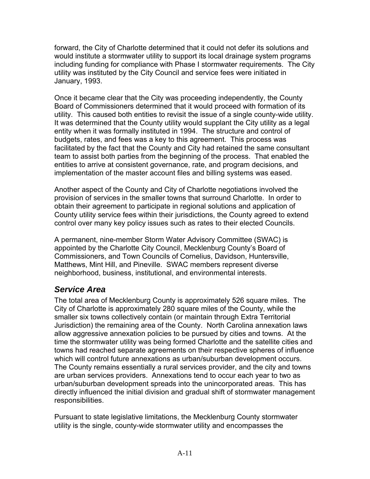forward, the City of Charlotte determined that it could not defer its solutions and would institute a stormwater utility to support its local drainage system programs including funding for compliance with Phase I stormwater requirements. The City utility was instituted by the City Council and service fees were initiated in January, 1993.

Once it became clear that the City was proceeding independently, the County Board of Commissioners determined that it would proceed with formation of its utility. This caused both entities to revisit the issue of a single county-wide utility. It was determined that the County utility would supplant the City utility as a legal entity when it was formally instituted in 1994. The structure and control of budgets, rates, and fees was a key to this agreement. This process was facilitated by the fact that the County and City had retained the same consultant team to assist both parties from the beginning of the process. That enabled the entities to arrive at consistent governance, rate, and program decisions, and implementation of the master account files and billing systems was eased.

Another aspect of the County and City of Charlotte negotiations involved the provision of services in the smaller towns that surround Charlotte. In order to obtain their agreement to participate in regional solutions and application of County utility service fees within their jurisdictions, the County agreed to extend control over many key policy issues such as rates to their elected Councils.

A permanent, nine-member Storm Water Advisory Committee (SWAC) is appointed by the Charlotte City Council, Mecklenburg County's Board of Commissioners, and Town Councils of Cornelius, Davidson, Huntersville, Matthews, Mint Hill, and Pineville. SWAC members represent diverse neighborhood, business, institutional, and environmental interests.

#### *Service Area*

The total area of Mecklenburg County is approximately 526 square miles. The City of Charlotte is approximately 280 square miles of the County, while the smaller six towns collectively contain (or maintain through Extra Territorial Jurisdiction) the remaining area of the County. North Carolina annexation laws allow aggressive annexation policies to be pursued by cities and towns. At the time the stormwater utility was being formed Charlotte and the satellite cities and towns had reached separate agreements on their respective spheres of influence which will control future annexations as urban/suburban development occurs. The County remains essentially a rural services provider, and the city and towns are urban services providers. Annexations tend to occur each year to two as urban/suburban development spreads into the unincorporated areas. This has directly influenced the initial division and gradual shift of stormwater management responsibilities.

Pursuant to state legislative limitations, the Mecklenburg County stormwater utility is the single, county-wide stormwater utility and encompasses the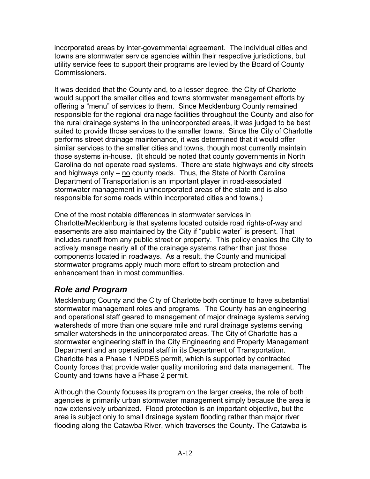incorporated areas by inter-governmental agreement. The individual cities and towns are stormwater service agencies within their respective jurisdictions, but utility service fees to support their programs are levied by the Board of County Commissioners.

It was decided that the County and, to a lesser degree, the City of Charlotte would support the smaller cities and towns stormwater management efforts by offering a "menu" of services to them. Since Mecklenburg County remained responsible for the regional drainage facilities throughout the County and also for the rural drainage systems in the unincorporated areas, it was judged to be best suited to provide those services to the smaller towns. Since the City of Charlotte performs street drainage maintenance, it was determined that it would offer similar services to the smaller cities and towns, though most currently maintain those systems in-house. (It should be noted that county governments in North Carolina do not operate road systems. There are state highways and city streets and highways only – no county roads. Thus, the State of North Carolina Department of Transportation is an important player in road-associated stormwater management in unincorporated areas of the state and is also responsible for some roads within incorporated cities and towns.)

One of the most notable differences in stormwater services in Charlotte/Mecklenburg is that systems located outside road rights-of-way and easements are also maintained by the City if "public water" is present. That includes runoff from any public street or property. This policy enables the City to actively manage nearly all of the drainage systems rather than just those components located in roadways. As a result, the County and municipal stormwater programs apply much more effort to stream protection and enhancement than in most communities.

# *Role and Program*

Mecklenburg County and the City of Charlotte both continue to have substantial stormwater management roles and programs. The County has an engineering and operational staff geared to management of major drainage systems serving watersheds of more than one square mile and rural drainage systems serving smaller watersheds in the unincorporated areas. The City of Charlotte has a stormwater engineering staff in the City Engineering and Property Management Department and an operational staff in its Department of Transportation. Charlotte has a Phase 1 NPDES permit, which is supported by contracted County forces that provide water quality monitoring and data management. The County and towns have a Phase 2 permit.

Although the County focuses its program on the larger creeks, the role of both agencies is primarily urban stormwater management simply because the area is now extensively urbanized. Flood protection is an important objective, but the area is subject only to small drainage system flooding rather than major river flooding along the Catawba River, which traverses the County. The Catawba is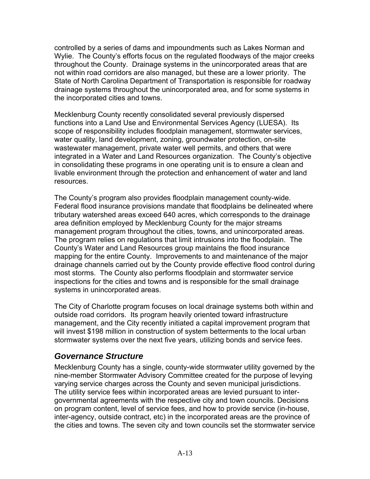controlled by a series of dams and impoundments such as Lakes Norman and Wylie. The County's efforts focus on the regulated floodways of the major creeks throughout the County. Drainage systems in the unincorporated areas that are not within road corridors are also managed, but these are a lower priority. The State of North Carolina Department of Transportation is responsible for roadway drainage systems throughout the unincorporated area, and for some systems in the incorporated cities and towns.

Mecklenburg County recently consolidated several previously dispersed functions into a Land Use and Environmental Services Agency (LUESA). Its scope of responsibility includes floodplain management, stormwater services, water quality, land development, zoning, groundwater protection, on-site wastewater management, private water well permits, and others that were integrated in a Water and Land Resources organization. The County's objective in consolidating these programs in one operating unit is to ensure a clean and livable environment through the protection and enhancement of water and land resources.

The County's program also provides floodplain management county-wide. Federal flood insurance provisions mandate that floodplains be delineated where tributary watershed areas exceed 640 acres, which corresponds to the drainage area definition employed by Mecklenburg County for the major streams management program throughout the cities, towns, and unincorporated areas. The program relies on regulations that limit intrusions into the floodplain. The County's Water and Land Resources group maintains the flood insurance mapping for the entire County. Improvements to and maintenance of the major drainage channels carried out by the County provide effective flood control during most storms. The County also performs floodplain and stormwater service inspections for the cities and towns and is responsible for the small drainage systems in unincorporated areas.

The City of Charlotte program focuses on local drainage systems both within and outside road corridors. Its program heavily oriented toward infrastructure management, and the City recently initiated a capital improvement program that will invest \$198 million in construction of system betterments to the local urban stormwater systems over the next five years, utilizing bonds and service fees.

#### *Governance Structure*

Mecklenburg County has a single, county-wide stormwater utility governed by the nine-member Stormwater Advisory Committee created for the purpose of levying varying service charges across the County and seven municipal jurisdictions. The utility service fees within incorporated areas are levied pursuant to intergovernmental agreements with the respective city and town councils. Decisions on program content, level of service fees, and how to provide service (in-house, inter-agency, outside contract, etc) in the incorporated areas are the province of the cities and towns. The seven city and town councils set the stormwater service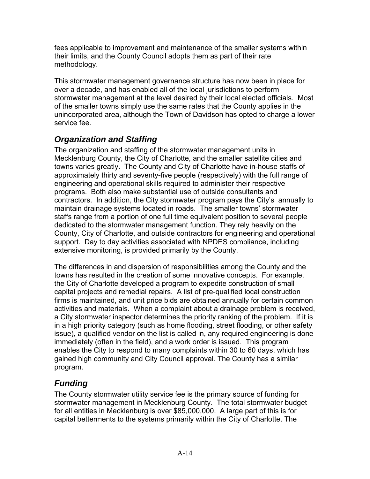fees applicable to improvement and maintenance of the smaller systems within their limits, and the County Council adopts them as part of their rate methodology.

This stormwater management governance structure has now been in place for over a decade, and has enabled all of the local jurisdictions to perform stormwater management at the level desired by their local elected officials. Most of the smaller towns simply use the same rates that the County applies in the unincorporated area, although the Town of Davidson has opted to charge a lower service fee.

# *Organization and Staffing*

The organization and staffing of the stormwater management units in Mecklenburg County, the City of Charlotte, and the smaller satellite cities and towns varies greatly. The County and City of Charlotte have in-house staffs of approximately thirty and seventy-five people (respectively) with the full range of engineering and operational skills required to administer their respective programs. Both also make substantial use of outside consultants and contractors. In addition, the City stormwater program pays the City's annually to maintain drainage systems located in roads. The smaller towns' stormwater staffs range from a portion of one full time equivalent position to several people dedicated to the stormwater management function. They rely heavily on the County, City of Charlotte, and outside contractors for engineering and operational support. Day to day activities associated with NPDES compliance, including extensive monitoring, is provided primarily by the County.

The differences in and dispersion of responsibilities among the County and the towns has resulted in the creation of some innovative concepts. For example, the City of Charlotte developed a program to expedite construction of small capital projects and remedial repairs. A list of pre-qualified local construction firms is maintained, and unit price bids are obtained annually for certain common activities and materials. When a complaint about a drainage problem is received, a City stormwater inspector determines the priority ranking of the problem. If it is in a high priority category (such as home flooding, street flooding, or other safety issue), a qualified vendor on the list is called in, any required engineering is done immediately (often in the field), and a work order is issued. This program enables the City to respond to many complaints within 30 to 60 days, which has gained high community and City Council approval. The County has a similar program.

# *Funding*

The County stormwater utility service fee is the primary source of funding for stormwater management in Mecklenburg County. The total stormwater budget for all entities in Mecklenburg is over \$85,000,000. A large part of this is for capital betterments to the systems primarily within the City of Charlotte. The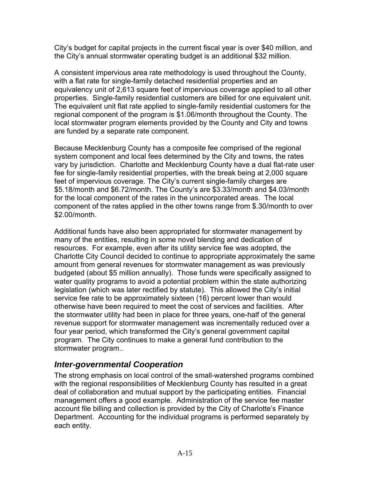City's budget for capital projects in the current fiscal year is over \$40 million, and the City's annual stormwater operating budget is an additional \$32 million.

A consistent impervious area rate methodology is used throughout the County, with a flat rate for single-family detached residential properties and an equivalency unit of 2,613 square feet of impervious coverage applied to all other properties. Single-family residential customers are billed for one equivalent unit. The equivalent unit flat rate applied to single-family residential customers for the regional component of the program is \$1.06/month throughout the County. The local stormwater program elements provided by the County and City and towns are funded by a separate rate component.

Because Mecklenburg County has a composite fee comprised of the regional system component and local fees determined by the City and towns, the rates vary by jurisdiction. Charlotte and Mecklenburg County have a dual flat-rate user fee for single-family residential properties, with the break being at 2,000 square feet of impervious coverage. The City's current single-family charges are \$5.18/month and \$6.72/month. The County's are \$3.33/month and \$4.03/month for the local component of the rates in the unincorporated areas. The local component of the rates applied in the other towns range from \$.30/month to over \$2.00/month.

Additional funds have also been appropriated for stormwater management by many of the entities, resulting in some novel blending and dedication of resources. For example, even after its utility service fee was adopted, the Charlotte City Council decided to continue to appropriate approximately the same amount from general revenues for stormwater management as was previously budgeted (about \$5 million annually). Those funds were specifically assigned to water quality programs to avoid a potential problem within the state authorizing legislation (which was later rectified by statute). This allowed the City's initial service fee rate to be approximately sixteen (16) percent lower than would otherwise have been required to meet the cost of services and facilities. After the stormwater utility had been in place for three years, one-half of the general revenue support for stormwater management was incrementally reduced over a four year period, which transformed the City's general government capital program. The City continues to make a general fund contribution to the stormwater program..

#### *Inter-governmental Cooperation*

The strong emphasis on local control of the small-watershed programs combined with the regional responsibilities of Mecklenburg County has resulted in a great deal of collaboration and mutual support by the participating entities. Financial management offers a good example. Administration of the service fee master account file billing and collection is provided by the City of Charlotte's Finance Department. Accounting for the individual programs is performed separately by each entity.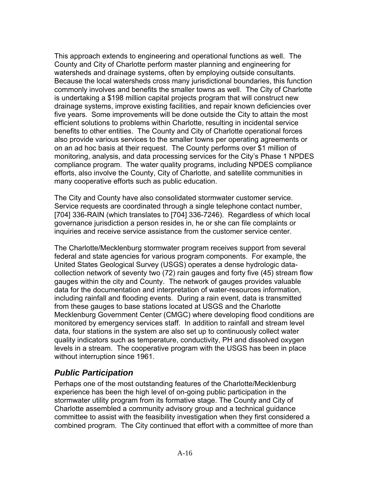This approach extends to engineering and operational functions as well. The County and City of Charlotte perform master planning and engineering for watersheds and drainage systems, often by employing outside consultants. Because the local watersheds cross many jurisdictional boundaries, this function commonly involves and benefits the smaller towns as well. The City of Charlotte is undertaking a \$198 million capital projects program that will construct new drainage systems, improve existing facilities, and repair known deficiencies over five years. Some improvements will be done outside the City to attain the most efficient solutions to problems within Charlotte, resulting in incidental service benefits to other entities. The County and City of Charlotte operational forces also provide various services to the smaller towns per operating agreements or on an ad hoc basis at their request. The County performs over \$1 million of monitoring, analysis, and data processing services for the City's Phase 1 NPDES compliance program. The water quality programs, including NPDES compliance efforts, also involve the County, City of Charlotte, and satellite communities in many cooperative efforts such as public education.

The City and County have also consolidated stormwater customer service. Service requests are coordinated through a single telephone contact number, [704] 336-RAIN (which translates to [704] 336-7246). Regardless of which local governance jurisdiction a person resides in, he or she can file complaints or inquiries and receive service assistance from the customer service center.

The Charlotte/Mecklenburg stormwater program receives support from several federal and state agencies for various program components. For example, the United States Geological Survey (USGS) operates a dense hydrologic datacollection network of seventy two (72) rain gauges and forty five (45) stream flow gauges within the city and County. The network of gauges provides valuable data for the documentation and interpretation of water-resources information, including rainfall and flooding events. During a rain event, data is transmitted from these gauges to base stations located at USGS and the Charlotte Mecklenburg Government Center (CMGC) where developing flood conditions are monitored by emergency services staff. In addition to rainfall and stream level data, four stations in the system are also set up to continuously collect water quality indicators such as temperature, conductivity, PH and dissolved oxygen levels in a stream. The cooperative program with the USGS has been in place without interruption since 1961.

#### *Public Participation*

Perhaps one of the most outstanding features of the Charlotte/Mecklenburg experience has been the high level of on-going public participation in the stormwater utility program from its formative stage. The County and City of Charlotte assembled a community advisory group and a technical guidance committee to assist with the feasibility investigation when they first considered a combined program. The City continued that effort with a committee of more than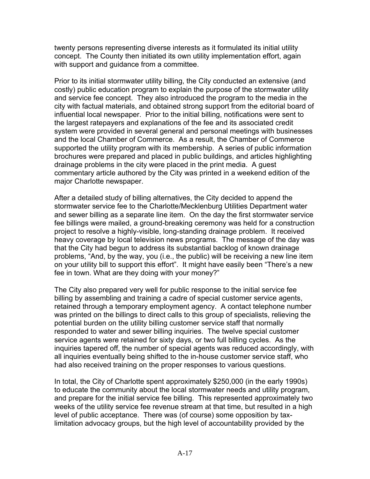twenty persons representing diverse interests as it formulated its initial utility concept. The County then initiated its own utility implementation effort, again with support and guidance from a committee.

Prior to its initial stormwater utility billing, the City conducted an extensive (and costly) public education program to explain the purpose of the stormwater utility and service fee concept. They also introduced the program to the media in the city with factual materials, and obtained strong support from the editorial board of influential local newspaper. Prior to the initial billing, notifications were sent to the largest ratepayers and explanations of the fee and its associated credit system were provided in several general and personal meetings with businesses and the local Chamber of Commerce. As a result, the Chamber of Commerce supported the utility program with its membership. A series of public information brochures were prepared and placed in public buildings, and articles highlighting drainage problems in the city were placed in the print media. A guest commentary article authored by the City was printed in a weekend edition of the major Charlotte newspaper.

After a detailed study of billing alternatives, the City decided to append the stormwater service fee to the Charlotte/Mecklenburg Utilities Department water and sewer billing as a separate line item. On the day the first stormwater service fee billings were mailed, a ground-breaking ceremony was held for a construction project to resolve a highly-visible, long-standing drainage problem. It received heavy coverage by local television news programs. The message of the day was that the City had begun to address its substantial backlog of known drainage problems, "And, by the way, you (i.e., the public) will be receiving a new line item on your utility bill to support this effort". It might have easily been "There's a new fee in town. What are they doing with your money?"

The City also prepared very well for public response to the initial service fee billing by assembling and training a cadre of special customer service agents, retained through a temporary employment agency. A contact telephone number was printed on the billings to direct calls to this group of specialists, relieving the potential burden on the utility billing customer service staff that normally responded to water and sewer billing inquiries. The twelve special customer service agents were retained for sixty days, or two full billing cycles. As the inquiries tapered off, the number of special agents was reduced accordingly, with all inquiries eventually being shifted to the in-house customer service staff, who had also received training on the proper responses to various questions.

In total, the City of Charlotte spent approximately \$250,000 (in the early 1990s) to educate the community about the local stormwater needs and utility program, and prepare for the initial service fee billing. This represented approximately two weeks of the utility service fee revenue stream at that time, but resulted in a high level of public acceptance. There was (of course) some opposition by taxlimitation advocacy groups, but the high level of accountability provided by the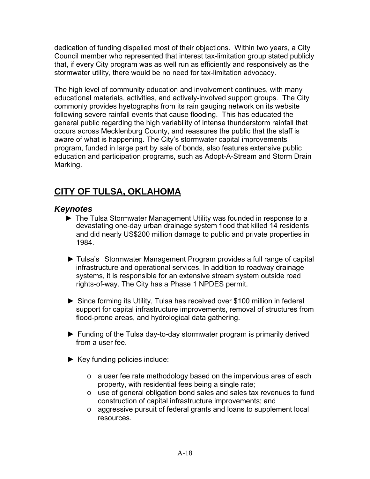dedication of funding dispelled most of their objections. Within two years, a City Council member who represented that interest tax-limitation group stated publicly that, if every City program was as well run as efficiently and responsively as the stormwater utility, there would be no need for tax-limitation advocacy.

The high level of community education and involvement continues, with many educational materials, activities, and actively-involved support groups. The City commonly provides hyetographs from its rain gauging network on its website following severe rainfall events that cause flooding. This has educated the general public regarding the high variability of intense thunderstorm rainfall that occurs across Mecklenburg County, and reassures the public that the staff is aware of what is happening. The City's stormwater capital improvements program, funded in large part by sale of bonds, also features extensive public education and participation programs, such as Adopt-A-Stream and Storm Drain Marking.

# **CITY OF TULSA, OKLAHOMA**

#### *Keynotes*

- ► The Tulsa Stormwater Management Utility was founded in response to a devastating one-day urban drainage system flood that killed 14 residents and did nearly US\$200 million damage to public and private properties in 1984.
- ► Tulsa's Stormwater Management Program provides a full range of capital infrastructure and operational services. In addition to roadway drainage systems, it is responsible for an extensive stream system outside road rights-of-way. The City has a Phase 1 NPDES permit.
- ► Since forming its Utility, Tulsa has received over \$100 million in federal support for capital infrastructure improvements, removal of structures from flood-prone areas, and hydrological data gathering.
- ► Funding of the Tulsa day-to-day stormwater program is primarily derived from a user fee.
- ► Key funding policies include:
	- o a user fee rate methodology based on the impervious area of each property, with residential fees being a single rate;
	- o use of general obligation bond sales and sales tax revenues to fund construction of capital infrastructure improvements; and
	- o aggressive pursuit of federal grants and loans to supplement local resources.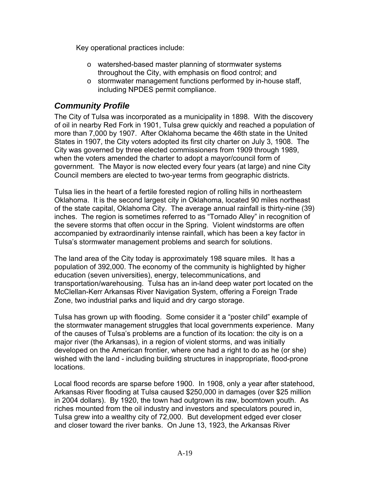Key operational practices include:

- o watershed-based master planning of stormwater systems throughout the City, with emphasis on flood control; and
- o stormwater management functions performed by in-house staff, including NPDES permit compliance.

#### *Community Profile*

The City of Tulsa was incorporated as a municipality in 1898. With the discovery of oil in nearby Red Fork in 1901, Tulsa grew quickly and reached a population of more than 7,000 by 1907. After Oklahoma became the 46th state in the United States in 1907, the City voters adopted its first city charter on July 3, 1908. The City was governed by three elected commissioners from 1909 through 1989, when the voters amended the charter to adopt a mayor/council form of government. The Mayor is now elected every four years (at large) and nine City Council members are elected to two-year terms from geographic districts.

Tulsa lies in the heart of a fertile forested region of rolling hills in northeastern Oklahoma. It is the second largest city in Oklahoma, located 90 miles northeast of the state capital, Oklahoma City. The average annual rainfall is thirty-nine (39) inches. The region is sometimes referred to as "Tornado Alley" in recognition of the severe storms that often occur in the Spring. Violent windstorms are often accompanied by extraordinarily intense rainfall, which has been a key factor in Tulsa's stormwater management problems and search for solutions.

The land area of the City today is approximately 198 square miles. It has a population of 392,000. The economy of the community is highlighted by higher education (seven universities), energy, telecommunications, and transportation/warehousing. Tulsa has an in-land deep water port located on the McClellan-Kerr Arkansas River Navigation System, offering a Foreign Trade Zone, two industrial parks and liquid and dry cargo storage.

Tulsa has grown up with flooding. Some consider it a "poster child" example of the stormwater management struggles that local governments experience. Many of the causes of Tulsa's problems are a function of its location: the city is on a major river (the Arkansas), in a region of violent storms, and was initially developed on the American frontier, where one had a right to do as he (or she) wished with the land - including building structures in inappropriate, flood-prone locations.

Local flood records are sparse before 1900. In 1908, only a year after statehood, Arkansas River flooding at Tulsa caused \$250,000 in damages (over \$25 million in 2004 dollars). By 1920, the town had outgrown its raw, boomtown youth. As riches mounted from the oil industry and investors and speculators poured in, Tulsa grew into a wealthy city of 72,000. But development edged ever closer and closer toward the river banks. On June 13, 1923, the Arkansas River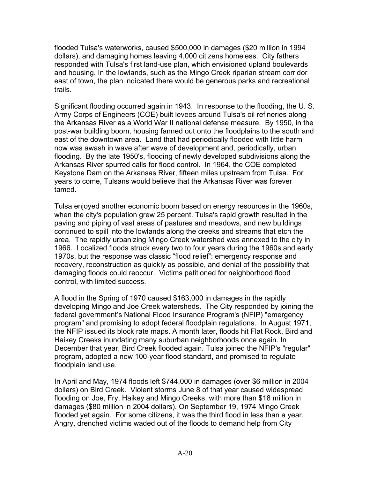flooded Tulsa's waterworks, caused \$500,000 in damages (\$20 million in 1994 dollars), and damaging homes leaving 4,000 citizens homeless. City fathers responded with Tulsa's first land-use plan, which envisioned upland boulevards and housing. In the lowlands, such as the Mingo Creek riparian stream corridor east of town, the plan indicated there would be generous parks and recreational trails.

Significant flooding occurred again in 1943. In response to the flooding, the U. S. Army Corps of Engineers (COE) built levees around Tulsa's oil refineries along the Arkansas River as a World War II national defense measure. By 1950, in the post-war building boom, housing fanned out onto the floodplains to the south and east of the downtown area. Land that had periodically flooded with little harm now was awash in wave after wave of development and, periodically, urban flooding. By the late 1950's, flooding of newly developed subdivisions along the Arkansas River spurred calls for flood control. In 1964, the COE completed Keystone Dam on the Arkansas River, fifteen miles upstream from Tulsa. For years to come, Tulsans would believe that the Arkansas River was forever tamed.

Tulsa enjoyed another economic boom based on energy resources in the 1960s, when the city's population grew 25 percent. Tulsa's rapid growth resulted in the paving and piping of vast areas of pastures and meadows, and new buildings continued to spill into the lowlands along the creeks and streams that etch the area. The rapidly urbanizing Mingo Creek watershed was annexed to the city in 1966. Localized floods struck every two to four years during the 1960s and early 1970s, but the response was classic "flood relief": emergency response and recovery, reconstruction as quickly as possible, and denial of the possibility that damaging floods could reoccur. Victims petitioned for neighborhood flood control, with limited success.

A flood in the Spring of 1970 caused \$163,000 in damages in the rapidly developing Mingo and Joe Creek watersheds. The City responded by joining the federal government's National Flood Insurance Program's (NFIP) "emergency program" and promising to adopt federal floodplain regulations. In August 1971, the NFIP issued its block rate maps. A month later, floods hit Flat Rock, Bird and Haikey Creeks inundating many suburban neighborhoods once again. In December that year, Bird Creek flooded again. Tulsa joined the NFIP's "regular" program, adopted a new 100-year flood standard, and promised to regulate floodplain land use.

In April and May, 1974 floods left \$744,000 in damages (over \$6 million in 2004 dollars) on Bird Creek. Violent storms June 8 of that year caused widespread flooding on Joe, Fry, Haikey and Mingo Creeks, with more than \$18 million in damages (\$80 million in 2004 dollars). On September 19, 1974 Mingo Creek flooded yet again. For some citizens, it was the third flood in less than a year. Angry, drenched victims waded out of the floods to demand help from City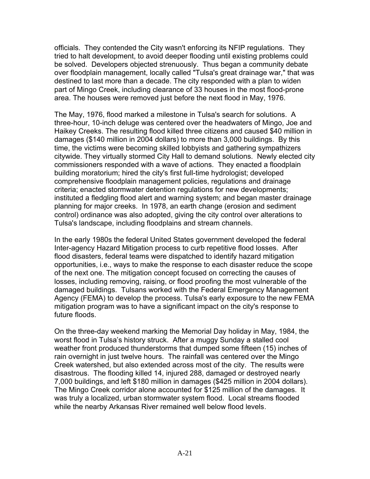officials. They contended the City wasn't enforcing its NFIP regulations. They tried to halt development, to avoid deeper flooding until existing problems could be solved. Developers objected strenuously. Thus began a community debate over floodplain management, locally called "Tulsa's great drainage war," that was destined to last more than a decade. The city responded with a plan to widen part of Mingo Creek, including clearance of 33 houses in the most flood-prone area. The houses were removed just before the next flood in May, 1976.

The May, 1976, flood marked a milestone in Tulsa's search for solutions. A three-hour, 10-inch deluge was centered over the headwaters of Mingo, Joe and Haikey Creeks. The resulting flood killed three citizens and caused \$40 million in damages (\$140 million in 2004 dollars) to more than 3,000 buildings. By this time, the victims were becoming skilled lobbyists and gathering sympathizers citywide. They virtually stormed City Hall to demand solutions. Newly elected city commissioners responded with a wave of actions. They enacted a floodplain building moratorium; hired the city's first full-time hydrologist; developed comprehensive floodplain management policies, regulations and drainage criteria; enacted stormwater detention regulations for new developments; instituted a fledgling flood alert and warning system; and began master drainage planning for major creeks. In 1978, an earth change (erosion and sediment control) ordinance was also adopted, giving the city control over alterations to Tulsa's landscape, including floodplains and stream channels.

In the early 1980s the federal United States government developed the federal Inter-agency Hazard Mitigation process to curb repetitive flood losses. After flood disasters, federal teams were dispatched to identify hazard mitigation opportunities, i.e., ways to make the response to each disaster reduce the scope of the next one. The mitigation concept focused on correcting the causes of losses, including removing, raising, or flood proofing the most vulnerable of the damaged buildings. Tulsans worked with the Federal Emergency Management Agency (FEMA) to develop the process. Tulsa's early exposure to the new FEMA mitigation program was to have a significant impact on the city's response to future floods.

On the three-day weekend marking the Memorial Day holiday in May, 1984, the worst flood in Tulsa's history struck. After a muggy Sunday a stalled cool weather front produced thunderstorms that dumped some fifteen (15) inches of rain overnight in just twelve hours. The rainfall was centered over the Mingo Creek watershed, but also extended across most of the city. The results were disastrous. The flooding killed 14, injured 288, damaged or destroyed nearly 7,000 buildings, and left \$180 million in damages (\$425 million in 2004 dollars). The Mingo Creek corridor alone accounted for \$125 million of the damages. It was truly a localized, urban stormwater system flood. Local streams flooded while the nearby Arkansas River remained well below flood levels.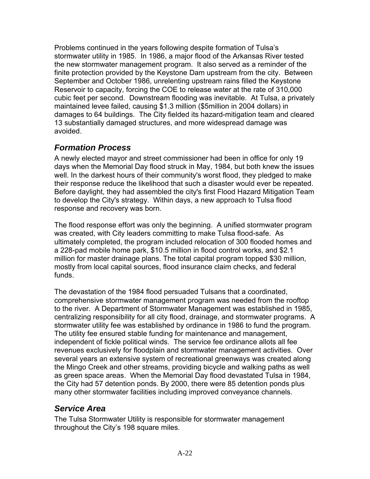Problems continued in the years following despite formation of Tulsa's stormwater utility in 1985. In 1986, a major flood of the Arkansas River tested the new stormwater management program. It also served as a reminder of the finite protection provided by the Keystone Dam upstream from the city. Between September and October 1986, unrelenting upstream rains filled the Keystone Reservoir to capacity, forcing the COE to release water at the rate of 310,000 cubic feet per second. Downstream flooding was inevitable. At Tulsa, a privately maintained levee failed, causing \$1.3 million (\$5million in 2004 dollars) in damages to 64 buildings. The City fielded its hazard-mitigation team and cleared 13 substantially damaged structures, and more widespread damage was avoided.

#### *Formation Process*

A newly elected mayor and street commissioner had been in office for only 19 days when the Memorial Day flood struck in May, 1984, but both knew the issues well. In the darkest hours of their community's worst flood, they pledged to make their response reduce the likelihood that such a disaster would ever be repeated. Before daylight, they had assembled the city's first Flood Hazard Mitigation Team to develop the City's strategy. Within days, a new approach to Tulsa flood response and recovery was born.

The flood response effort was only the beginning. A unified stormwater program was created, with City leaders committing to make Tulsa flood-safe. As ultimately completed, the program included relocation of 300 flooded homes and a 228-pad mobile home park, \$10.5 million in flood control works, and \$2.1 million for master drainage plans. The total capital program topped \$30 million, mostly from local capital sources, flood insurance claim checks, and federal funds.

The devastation of the 1984 flood persuaded Tulsans that a coordinated, comprehensive stormwater management program was needed from the rooftop to the river. A Department of Stormwater Management was established in 1985, centralizing responsibility for all city flood, drainage, and stormwater programs. A stormwater utility fee was established by ordinance in 1986 to fund the program. The utility fee ensured stable funding for maintenance and management, independent of fickle political winds. The service fee ordinance allots all fee revenues exclusively for floodplain and stormwater management activities. Over several years an extensive system of recreational greenways was created along the Mingo Creek and other streams, providing bicycle and walking paths as well as green space areas. When the Memorial Day flood devastated Tulsa in 1984, the City had 57 detention ponds. By 2000, there were 85 detention ponds plus many other stormwater facilities including improved conveyance channels.

#### *Service Area*

The Tulsa Stormwater Utility is responsible for stormwater management throughout the City's 198 square miles.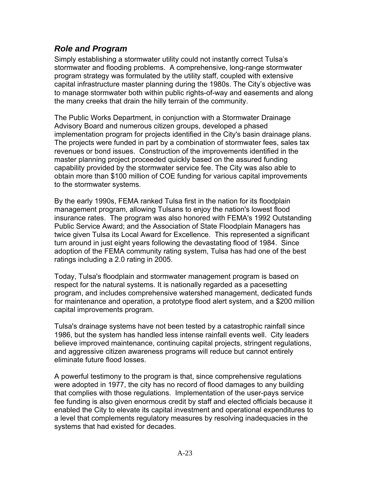#### *Role and Program*

Simply establishing a stormwater utility could not instantly correct Tulsa's stormwater and flooding problems. A comprehensive, long-range stormwater program strategy was formulated by the utility staff, coupled with extensive capital infrastructure master planning during the 1980s. The City's objective was to manage stormwater both within public rights-of-way and easements and along the many creeks that drain the hilly terrain of the community.

The Public Works Department, in conjunction with a Stormwater Drainage Advisory Board and numerous citizen groups, developed a phased implementation program for projects identified in the City's basin drainage plans. The projects were funded in part by a combination of stormwater fees, sales tax revenues or bond issues. Construction of the improvements identified in the master planning project proceeded quickly based on the assured funding capability provided by the stormwater service fee. The City was also able to obtain more than \$100 million of COE funding for various capital improvements to the stormwater systems.

By the early 1990s, FEMA ranked Tulsa first in the nation for its floodplain management program, allowing Tulsans to enjoy the nation's lowest flood insurance rates. The program was also honored with FEMA's 1992 Outstanding Public Service Award; and the Association of State Floodplain Managers has twice given Tulsa its Local Award for Excellence. This represented a significant turn around in just eight years following the devastating flood of 1984. Since adoption of the FEMA community rating system, Tulsa has had one of the best ratings including a 2.0 rating in 2005.

Today, Tulsa's floodplain and stormwater management program is based on respect for the natural systems. It is nationally regarded as a pacesetting program, and includes comprehensive watershed management, dedicated funds for maintenance and operation, a prototype flood alert system, and a \$200 million capital improvements program.

Tulsa's drainage systems have not been tested by a catastrophic rainfall since 1986, but the system has handled less intense rainfall events well. City leaders believe improved maintenance, continuing capital projects, stringent regulations, and aggressive citizen awareness programs will reduce but cannot entirely eliminate future flood losses.

A powerful testimony to the program is that, since comprehensive regulations were adopted in 1977, the city has no record of flood damages to any building that complies with those regulations. Implementation of the user-pays service fee funding is also given enormous credit by staff and elected officials because it enabled the City to elevate its capital investment and operational expenditures to a level that complements regulatory measures by resolving inadequacies in the systems that had existed for decades.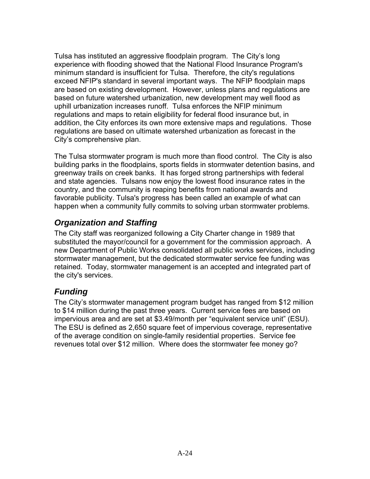Tulsa has instituted an aggressive floodplain program. The City's long experience with flooding showed that the National Flood Insurance Program's minimum standard is insufficient for Tulsa. Therefore, the city's regulations exceed NFIP's standard in several important ways. The NFIP floodplain maps are based on existing development. However, unless plans and regulations are based on future watershed urbanization, new development may well flood as uphill urbanization increases runoff. Tulsa enforces the NFIP minimum regulations and maps to retain eligibility for federal flood insurance but, in addition, the City enforces its own more extensive maps and regulations. Those regulations are based on ultimate watershed urbanization as forecast in the City's comprehensive plan.

The Tulsa stormwater program is much more than flood control. The City is also building parks in the floodplains, sports fields in stormwater detention basins, and greenway trails on creek banks. It has forged strong partnerships with federal and state agencies. Tulsans now enjoy the lowest flood insurance rates in the country, and the community is reaping benefits from national awards and favorable publicity. Tulsa's progress has been called an example of what can happen when a community fully commits to solving urban stormwater problems.

# *Organization and Staffing*

The City staff was reorganized following a City Charter change in 1989 that substituted the mayor/council for a government for the commission approach. A new Department of Public Works consolidated all public works services, including stormwater management, but the dedicated stormwater service fee funding was retained. Today, stormwater management is an accepted and integrated part of the city's services.

# *Funding*

The City's stormwater management program budget has ranged from \$12 million to \$14 million during the past three years. Current service fees are based on impervious area and are set at \$3.49/month per "equivalent service unit" (ESU). The ESU is defined as 2,650 square feet of impervious coverage, representative of the average condition on single-family residential properties. Service fee revenues total over \$12 million. Where does the stormwater fee money go?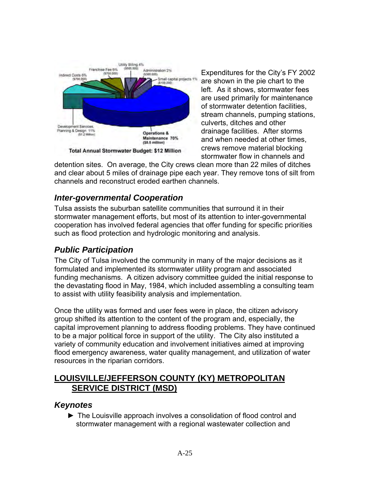

Expenditures for the City's FY 2 002 are shown in the pie chart to the left. As it shows, stormwater fees are used primarily for maint enance of stormwater detention facili ties, stream channels, pumping s tations, culverts, ditches and other drainage facilities. After sto rms and when needed at other times, crews remove material blocking stormwater flow in channels and

detention sites. On average, the City crews clean more than 22 miles of ditche s and clear about 5 miles of drainage pipe each year. They remove tons of silt from channels and reconstruct eroded earthen channels.

# *Inter-governmental Cooperation*

Tulsa assists the suburban satellite communities that surround it in their stormwater management efforts, but most of its attention to inter-governmental cooperation has involved federal agencies that offer funding for specific priorities such as flood protection and hydrologic monitoring and analysis.

# *Public Participation*

The City of Tulsa involved the community in many of the major decisions as it formulated and implemented its stormwater utility program and associated funding mechanisms. A citizen advisory committee guided the initial response to the devastating flood in May, 1984, which included assembling a consulting team to assist with utility feasibility analysis and implementation.

Once the utility was formed and user fees were in place, the citizen advisory group shifted its attention to the content of the program and, especially, the capital improvement planning to address flooding problems. They have continued to be a major political force in support of the utility. The City also instituted a variety of community education and involvement initiatives aimed at improving flood emergency awareness, water quality management, and utilization of water resources in the riparian corridors.

# **LOUISVILLE/JEFFERSON COUNTY (KY) METROPOLITAN SERVICE DISTRICT (MSD)**

#### *Keynotes*

► The Louisville approach involves a consolidation of flood control and stormwater management with a regional wastewater collection and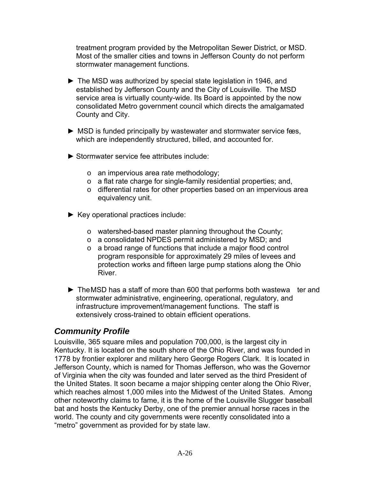treatment program provided by the Metropolitan Sewer District, or MSD. Most of the smaller cities and towns in Jefferson County do not perform stormwater management function s.

- ► The MSD was authorized by special state legislation in 1946, and established by Jefferson County and the City of Louisville. The MSD service area is virtually county-wide. Its Board is appointed by the now consolidated Metro government council which directs the amalgamated County and City.
- $\blacktriangleright$  MSD is funded principally by wastewater and stormwater service fees, which are independently structured, billed, and accounted for.
- ► Stormwater service fee attributes include:
	- $\circ$  an impervious area rate methodology;
	- o a flat rate charge for single-family residential properties; and,
	- $\circ$  differential rates for other properties based on an impervious area equivalency unit.
- ► Key operational practices include:
	- o watershed-based master planning throughout the County;
	- o a consolidated NPDES permit administered by MSD; and
	- program responsible for approximately 29 miles of levees and protection works and fifteen large pump stations along the Ohio o a broad range of functions that include a major flood control River.
- $\blacktriangleright$  The MSD has a staff of more than 600 that performs both wastewa ter and stormwater administrative, engineering, operational, regulatory, and infrastructure improvement/management functions. The staff is extens ively cross-trained to obtain efficient operations.

# *Community Profile*

Kentuc ky. It is located on the south shore of the Ohio River, and was founded in 1778 by frontier explorer and military hero George Rogers Clark. It is located in Jefferson County, which is named for Thomas Jefferson, who was the Governor of Virginia when the city was founded and later served as the third President of the United States. It soon became a major shipping center along the Ohio River, which reaches almost 1,000 miles into the Midwest of the United States. Among Louisville, 365 square miles and population 700,000, is the largest city in other noteworthy claims to fame, it is the home of the Louisville Slugger baseball bat and hosts the Kentucky Derby, one of the premier annual horse races in the world. The county and city governments were recently consolidated into a "metro" government as provided for by state law.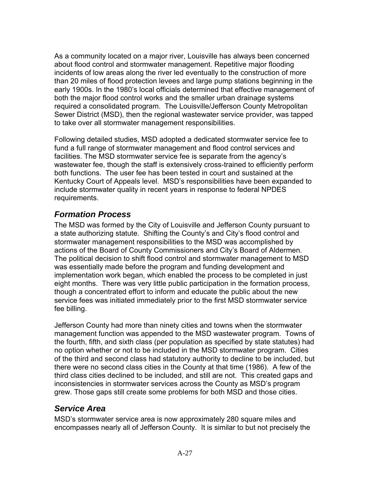As a community located on a major river, Louisville has always been concerned about flood control and stormwater management. Repetitive major flooding incidents of low areas along the river led eventually to the construction of more than 20 miles of flood protection levees and large pump stations beginning in the early 1900s. In the 1980's local officials determined that effective management of both the major flood control works and the smaller urban drainage systems Sewer District (MSD), then the regional wastewater service provider, was tapped required a consolidated program. The Louisville/Jefferson County Metropolitan to take over all stormwater management responsibilities.

both functions. The user fee has been tested in court and sustained at the Kentucky Court of Appeals level. MSD's responsibilities have been expanded to Following detailed studies, MSD adopted a dedicated stormwater service fee to fund a full range of stormwater management and flood control services and facilities. The MSD stormwater service fee is separate from the agency's wastewater fee, though the staff is extensively cross-trained to efficiently perform include stormwater quality in recent years in response to federal NPDES requirements.

# *Formation Process*

stormwater management responsibilities to the MSD was accomplished by actions of the Board of County Commissioners and City's Board of Aldermen. The political decision to shift flood control and stormwater management to MSD was essentially made before the program and funding development and The MSD was formed by the City of Louisville and Jefferson County pursuant to a state authorizing statute. Shifting the County's and City's flood control and implementation work began, which enabled the process to be completed in just eight months. There was very little public participation in the formation process, though a concentrated effort to inform and educate the public about the new service fees was initiated immediately prior to the first MSD stormwater service fee billing.

the fourth, fifth, and sixth class (per population as specified by state statutes) had of the third and second class had statutory authority to decline to be included, but there were no second class cities in the County at that time (1986). A few of the third class cities declined to be included, and still are not. This created gaps and Jefferson County had more than ninety cities and towns when the stormwater management function was appended to the MSD wastewater program. Towns of no option whether or not to be included in the MSD stormwater program. Cities inconsistencies in stormwater services across the County as MSD's program grew. Those gaps still create some problems for both MSD and those cities.

# *Service Area*

MSD's stormwater service area is now approximately 280 square miles and encompasses nearly all of Jefferson County. It is similar to but not precisely the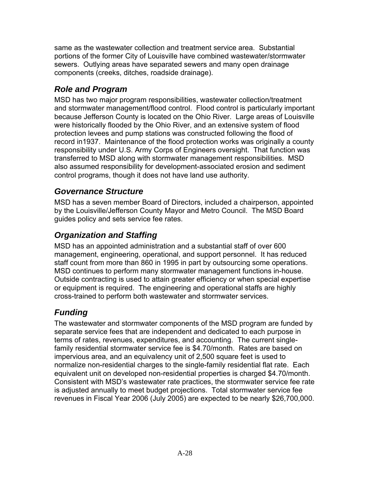same as the wastewater collection and treatment service area. Substantial portions of the former City of Louisville have combined wastewater/stormwater sewers. Outlying areas have separated sewers and many open drainage components (creeks, ditches, roadside drainage).

# *Role and Program*

MSD has two major program responsibilities, wastewater collection/treatment and stormwater management/flood control. Flood control is particularly important because Jefferson County is located on the Ohio River. Large areas of Louisville were historically flooded by the Ohio River, and an extensive system of flood protection levees and pump stations was constructed following the flood of record in1937. Maintenance of the flood protection works was originally a county responsibility under U.S. Army Corps of Engineers oversight. That function was transferred to MSD along with stormwater management responsibilities. MSD also assumed responsibility for development-associated erosion and sediment control programs, though it does not have land use authority.

#### *Governance Structure*

MSD has a seven member Board of Directors, included a chairperson, appointed by the Louisville/Jefferson County Mayor and Metro Council. The MSD Board guides policy and sets service fee rates.

# *Organization and Staffing*

MSD has an appointed administration and a substantial staff of over 600 management, engineering, operational, and support personnel. It has reduced staff count from more than 860 in 1995 in part by outsourcing some operations. MSD continues to perform many stormwater management functions in-house. Outside contracting is used to attain greater efficiency or when special expertise or equipment is required. The engineering and operational staffs are highly cross-trained to perform both wastewater and stormwater services.

# *Funding*

The wastewater and stormwater components of the MSD program are funded by separate service fees that are independent and dedicated to each purpose in terms of rates, revenues, expenditures, and accounting. The current singlefamily residential stormwater service fee is \$4.70/month. Rates are based on impervious area, and an equivalency unit of 2,500 square feet is used to normalize non-residential charges to the single-family residential flat rate. Each equivalent unit on developed non-residential properties is charged \$4.70/month. Consistent with MSD's wastewater rate practices, the stormwater service fee rate is adjusted annually to meet budget projections. Total stormwater service fee revenues in Fiscal Year 2006 (July 2005) are expected to be nearly \$26,700,000.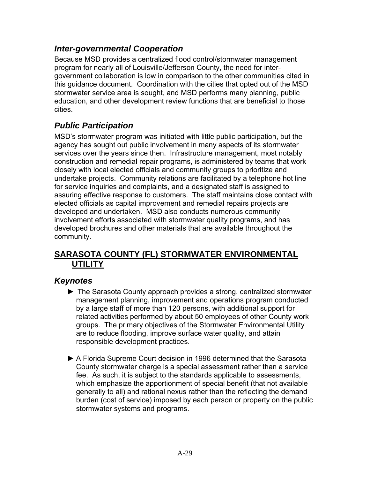#### *Inter-governmental Cooperation*

Because MSD provides a centralized flood control/stormwater management program for nearly all of Louisville/Jefferson County, the need for intergovernment collaboration is low in comparison to the other communities cited in this guidance document. Coordination wi th the cities that opted out of the MSD education, and other development review functions that are beneficial to those stormwater service area is sought, and MSD performs many planning, public cities.

# *Public Participation*

agency has sought out public involvement in many aspects of its stormwater services over the years since then. Infrastructure management, most notably construction and remedial repair programs, is administered by teams that work undertake projects. Community relations are facilitated by a telephone hot line MSD's stormwater program was initiated with little public participation, but the closely with local elected officials and community groups to prioritize and for service inquiries and complaints, and a designated staff is assigned to assuring effective response to customers. The staff maintains close contact with elected officials as capital improvement and remedial repairs projects are developed and undertaken. MSD also conducts numerous community involvement efforts associated with stormwater quality programs, and has developed brochures and other materials that are available throughout the community.

#### **SARASOTA COUNTY (FL) STORMWATER ENVIRONMENTAL UTILITY**

#### *Keynotes*

- ► The Sarasota County approach provides a strong, centralized stormwater manageme nt planning, improvement and operations program conducted by a large staff of more than 120 persons, with additional support for related activities performed by about 50 employees of other County work groups. The primary objectives of the Stormwater Environmental Utility are to reduce flooding, improve surface water quality, and attain responsible development practices.
- ► A Florida Supreme Court decision in 1996 determined that the Sarasota County stormwater charge is a special assessment rather than a service fee. As such, it is subject to the standards applicable to assessments, which emphasize the apportionment of special benefit (that not available generally to all) and rational nexus rather than the reflecting the demand burden (cost of service) imposed by each person or property on the public stormwater systems and programs.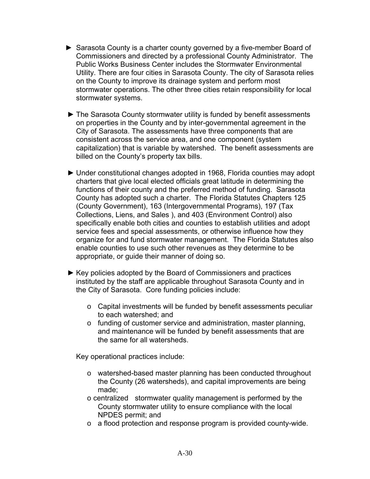- ► Sarasota County is a charter county governed by a five-member Board of Commissioners and directed by a professional County Administrator. The Public Works Business Center includes the Stormwater Environmental Utility. There are four cities in Sarasota County. The city of Sarasota relies on the County to improve its drainage system and perform most stormwater operations. The other three cities retain responsibility for local stormwater systems.
- ► The Sarasota County stormwater utility is funded by benefit assessments on properties in the County and by inter-governmental agreement in the City of Sarasota. The assessments have three components that are consistent across the service area, and one component (system capitalization) that is variable by watershed. The benefit assessments are billed on the County's property tax bills.
- ► Under constitutional changes adopted in 1968, Florida counties may adopt charters that give local elected officials great latitude in determining the functions of their county and the preferred method of funding. Sarasota County has adopted such a charter. The Florida Statutes Chapters 125 (County Government), 163 (Intergovernmental Programs), 197 (Tax Collections, Liens, and Sales ), and 403 (Environment Control) also specifically enable both cities and counties to establish utilities and adopt service fees and special assessments, or otherwise influence how they organize for and fund stormwater management. The Florida Statutes also enable counties to use such other revenues as they determine to be appropriate, or guide their manner of doing so.
- ► Key policies adopted by the Board of Commissioners and practices instituted by the staff are applicable throughout Sarasota County and in the City of Sarasota. Core funding policies include:
	- o Capital investments will be funded by benefit assessments peculiar to each watershed; and
	- o funding of customer service and administration, master planning, and maintenance will be funded by benefit assessments that are the same for all watersheds.

Key operational practices include:

- o watershed-based master planning has been conducted throughout the County (26 watersheds), and capital improvements are being made;
- o centralized stormwater quality management is performed by the County stormwater utility to ensure compliance with the local NPDES permit; and
- o a flood protection and response program is provided county-wide.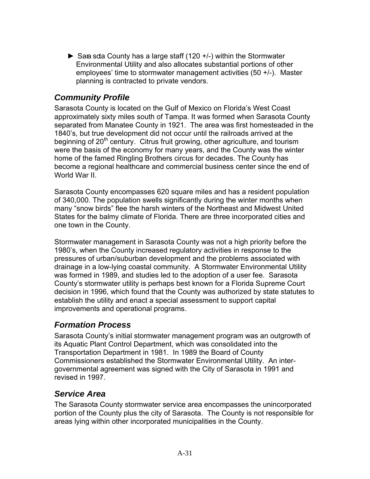$\triangleright$  Sara sota County has a large staff (120 +/-) within the Stormwater Environmental Utility and also allocates substantial portions of other employees' time to stormwater management activities (50 +/-). Master planning is contracted to private vendors.

### *Community Profile*

Sarasota County is located on the Gulf of Mexico on Florida's West Coast approximately sixty miles south of Tampa. It was formed when Sarasota County separated from Manatee County in 1921. The area was first homesteaded in the 1840's, but true development did not occur until the railroads arrived at the beginning of  $20<sup>th</sup>$  century. Citrus fruit growing, other agriculture, and tourism were the basis of the economy for many years, and the County was the winter home of the famed Ringling Brothers circus for decades. The County has become a regional healthcare and commercial business center since the end of World War II.

Sarasota County encompasses 620 square miles and has a resident population many "snow birds" flee the harsh winters of the Northeast and Midwest United States for the balmy climate of Florida. There are three incorporated cities and of 340,000. The population swells significantly during the winter months when one town in the County.

pressures of urban/suburban development and the problems associated with drainage in a low-lying coastal community. A Stormwater Environmental Utility County's stormwater utility is perhaps best known for a Florida Supreme Court decision in 1996, which found that the County was authorized by state statutes to Stormwater management in Sarasota County was not a high priority before the 1980's, when the County increased regulatory activities in response to the was formed in 1989, and studies led to the adoption of a user fee. Sarasota establish the utility and enact a special assessment to support capital improvements and operational programs.

# *Formation Process*

Sarasota County's initial stormwater management program was an outgrowth of its Aquatic Plant Control Department, which was consolidated into the Transportation Department in 1981. In 1989 the Board of County Commissioners established the Stormwater Environmental Utility. An intergovernmental agreement was signed with the City of Sarasota in 1991 and revised in 1997.

# *Service Area*

The Sarasota County stormwater service area encompasses the unincorporated portion of the County plus the city of Sarasota. The County is not responsible for areas lying within other incorporated municipalities in the County.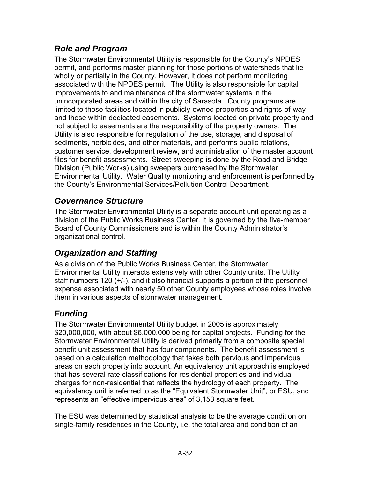# *Role and Program*

The Stormwater Environmental Utility is responsible for the County's NPDES permit, and performs master planning for those portions of watersheds that lie wholly or partially in the County. However, it does not perform monitoring associated with the NPDES permit. The Utility is also responsible for capital improvements to and maintenance of the stormwater systems in the unincorporated areas and within the city of Sarasota. County programs are limited to those facilities located in publicly-owned properties and rights-of-way and those within dedicated easements. Systems located on private property and not subject to easements are the responsibility of the property owners. The Utility is also responsible for regulation of the use, storage, and disposal of sediments, herbicides, and other materials, and performs public relations, customer service, development review, and administration of the master account files for benefit assessments. Street sweeping is done by the Road and Bridge Division (Public Works) using sweepers purchased by the Stormwater Environmental Utility. Water Quality monitoring and enforcement is performed by the County's Environmental Services/Pollution Control Department.

#### *Governance Structure*

The Stormwater Environmental Utility is a separate account unit operating as a division of the Public Works Business Center. It is governed by the five-member Board of County Commissioners and is within the County Administrator's organizational control.

# *Organization and Staffing*

As a division of the Public Works Business Center, the Stormwater Environmental Utility interacts extensively with other County units. The Utility staff numbers 120 (+/-), and it also financial supports a portion of the personnel expense associated with nearly 50 other County employees whose roles involve them in various aspects of stormwater management.

# *Funding*

The Stormwater Environmental Utility budget in 2005 is approximately \$20,000,000, with about \$6,000,000 being for capital projects. Funding for the Stormwater Environmental Utility is derived primarily from a composite special benefit unit assessment that has four components. The benefit assessment is based on a calculation methodology that takes both pervious and impervious areas on each property into account. An equivalency unit approach is employed that has several rate classifications for residential properties and individual charges for non-residential that reflects the hydrology of each property. The equivalency unit is referred to as the "Equivalent Stormwater Unit", or ESU, and represents an "effective impervious area" of 3,153 square feet.

The ESU was determined by statistical analysis to be the average condition on single-family residences in the County, i.e. the total area and condition of an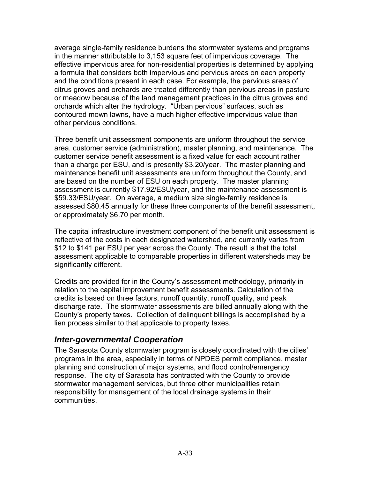average single-family residence burdens the stormwater systems and programs in the manner attributable to 3,153 square feet of impervious coverage. The ffective impervious area for non-residential properties is determined by applying e or meadow because of the land management practices in the citrus groves and a formula that considers both impervious and pervious areas on each property and the conditions present in each case. For example, the pervious areas of citrus groves and orchards are treated differently than pervious areas in pasture orchards which alter the hydrology. "Urban pervious" surfaces, such as contoured mown lawns, have a much higher effective impervious value than other pervious conditions.

area, customer service (administration), master planning, and maintenance. The than a charge per ESU, and is presently \$3.20/year. The master planning and maintenance benefit unit assessments are uniform throughout the County, and assessed \$80.45 annually for these three components of the benefit assessment, Three benefit unit assessment components are uniform throughout the service customer service benefit assessment is a fixed value for each account rather are based on the number of ESU on each property. The master planning assessment is currently \$17.92/ESU/year, and the maintenance assessment is \$59.33/ESU/year. On average, a medium size single-family residence is or approximately \$6.70 per month.

The capital infrastructure investment component of the benefit unit assessment is reflective of the costs in each designated watershed, and currently varies from assessment applicable to comparable properties in different watersheds may be significantly different. \$12 to \$141 per ESU per year across the County. The result is that the total

discharge rate. The stormwater assessments are billed annually along with the County's property taxes. Collection of delinquent billings is accomplished by a Credits are provided for in the County's assessment methodology, primarily in relation to the capital improvement benefit assessments. Calculation of the credits is based on three factors, runoff quantity, runoff quality, and peak lien process similar to that applicable to property taxes.

#### *Inter-governmental Cooperation*

planning and construction of major systems, and flood control/emergency stormwater management services, but three other municipalities retain The Sarasota County stormwater program is closely coordinated with the cities' programs in the area, especially in terms of NPDES permit compliance, master response. The city of Sarasota has contracted with the County to provide responsibility for management of the local drainage systems in their communities.